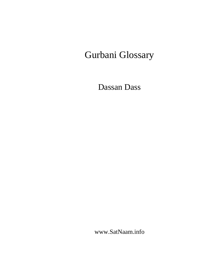# Gurbani Glossary

Dassan Dass

www.SatNaam.info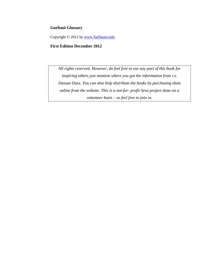## **Gurbani Glossary**

Copyright © 2012 by [www.SatNaam.info](http://www.satnaam.info/)

## **First Edition December 2012**

*All rights reserved. However, do feel free to use any part of this book for inspiring others just mention where you got the information from i.e. Dassan Dass. You can also help distribute the books by purchasing them online from the website. This is a not-for- profit Seva project done on a volunteer basis – so feel free to join in.*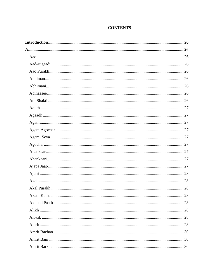# **CONTENTS**

| 28 |
|----|
|    |
|    |
|    |
|    |
|    |
|    |
|    |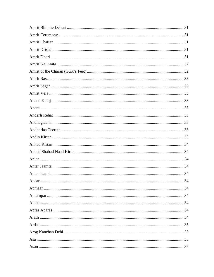| Apaar | 34 |
|-------|----|
|       |    |
|       |    |
|       |    |
|       |    |
|       |    |
|       |    |
|       |    |
|       |    |
|       |    |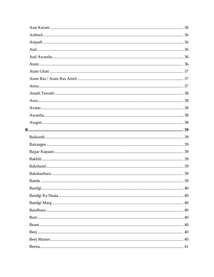| Banda | 39 |
|-------|----|
|       |    |
|       |    |
|       |    |
|       |    |
|       |    |
|       |    |
|       |    |
|       |    |
|       |    |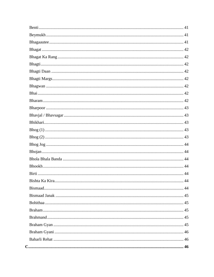| Rishta Ka Kira | 44 |
|----------------|----|
|                |    |
|                |    |
|                |    |
|                |    |
|                |    |
|                |    |
|                |    |
|                |    |
|                |    |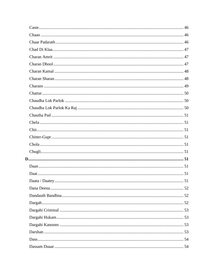| Daata / Daatey. | 51 |
|-----------------|----|
|                 |    |
|                 |    |
|                 |    |
|                 |    |
|                 |    |
|                 |    |
|                 |    |
|                 |    |
|                 |    |
|                 |    |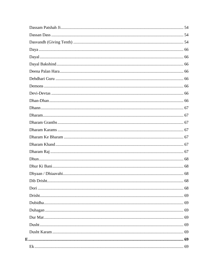| 68<br>Dib Drisht |  |
|------------------|--|
|                  |  |
|                  |  |
|                  |  |
|                  |  |
|                  |  |
|                  |  |
|                  |  |
|                  |  |
|                  |  |
|                  |  |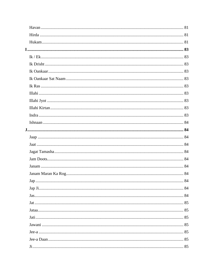| Jap. |  |
|------|--|
|      |  |
|      |  |
|      |  |
|      |  |
|      |  |
|      |  |
|      |  |
|      |  |
|      |  |
|      |  |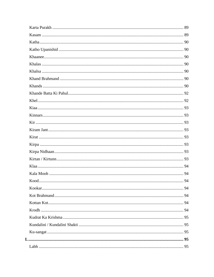| Kood | 94 |
|------|----|
|      |    |
|      |    |
|      |    |
|      |    |
|      |    |
|      |    |
|      |    |
|      |    |
|      |    |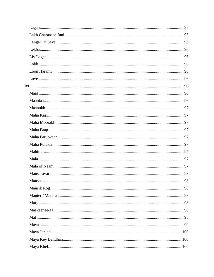| Mansha | 98 |
|--------|----|
|        |    |
|        |    |
|        |    |
|        |    |
|        |    |
|        |    |
|        |    |
|        |    |
|        |    |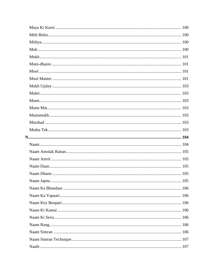| 105 |  |
|-----|--|
|     |  |
|     |  |
|     |  |
|     |  |
|     |  |
|     |  |
|     |  |
|     |  |
|     |  |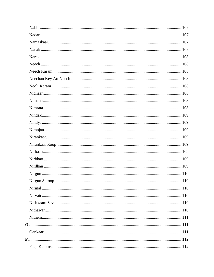| Nirgun Saroop. | 110 |
|----------------|-----|
|                |     |
|                |     |
|                |     |
|                |     |
|                |     |
|                |     |
|                |     |
|                |     |
|                |     |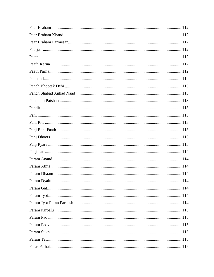| Param Dyalu | 114 |
|-------------|-----|
|             |     |
|             |     |
|             |     |
|             |     |
|             |     |
|             |     |
|             |     |
|             |     |
|             |     |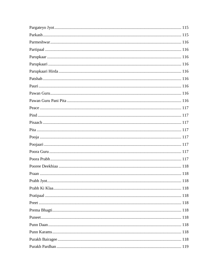| Prabh Jyot. | 118 |
|-------------|-----|
|             |     |
|             |     |
|             |     |
|             |     |
|             |     |
|             |     |
|             |     |
|             |     |
|             |     |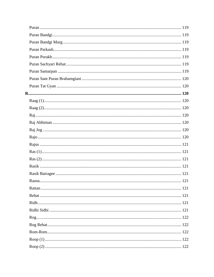| Rasna and the contract of the contract of the contract of the contract of the contract of the contract of the contract of the contract of the contract of the contract of the contract of the contract of the contract of the | .121 |
|-------------------------------------------------------------------------------------------------------------------------------------------------------------------------------------------------------------------------------|------|
|                                                                                                                                                                                                                               |      |
|                                                                                                                                                                                                                               |      |
|                                                                                                                                                                                                                               |      |
|                                                                                                                                                                                                                               |      |
|                                                                                                                                                                                                                               |      |
|                                                                                                                                                                                                                               |      |
|                                                                                                                                                                                                                               |      |
|                                                                                                                                                                                                                               |      |
|                                                                                                                                                                                                                               |      |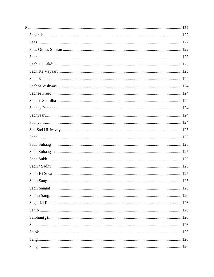| Sadh Sang. | 125 |
|------------|-----|
|            |     |
|            |     |
|            |     |
|            |     |
|            |     |
|            |     |
|            |     |
|            |     |
|            |     |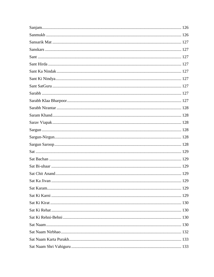| Sat Ka Jivan | 129 |
|--------------|-----|
|              |     |
|              |     |
|              |     |
|              |     |
|              |     |
|              |     |
|              |     |
|              |     |
|              |     |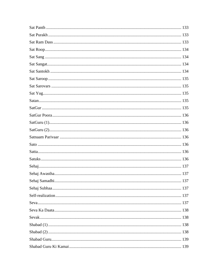| 137 |
|-----|
|     |
|     |
|     |
|     |
|     |
|     |
|     |
|     |
|     |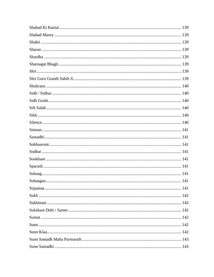| Suhaagan | 141 |
|----------|-----|
|          |     |
|          |     |
|          |     |
|          |     |
|          |     |
|          |     |
|          |     |
|          |     |
|          |     |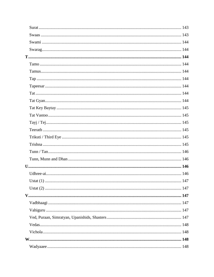| Ustat $(1)$ . | 147 |
|---------------|-----|
|               |     |
|               |     |
|               |     |
|               |     |
|               |     |
|               |     |
|               |     |
|               |     |
|               |     |
|               |     |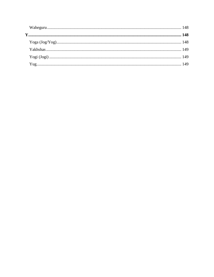<span id="page-24-0"></span>

| ${\bf Y}oga\ (Jog/Yog)\hspace{2cm}148$ |  |
|----------------------------------------|--|
|                                        |  |
|                                        |  |
|                                        |  |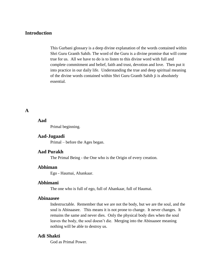# **Introduction**

This Gurbani glossary is a deep divine explanation of the words contained within Shri Guru Granth Sahib. The word of the Guru is a divine promise that will come true for us. All we have to do is to listen to this divine word with full and complete commitment and belief, faith and trust, devotion and love. Then put it into practice in our daily life. Understanding the true and deep spiritual meaning of the divine words contained within Shri Guru Granth Sahib ji is absolutely essential.

# <span id="page-25-1"></span><span id="page-25-0"></span>**A**

## **Aad**

Primal beginning.

## <span id="page-25-2"></span>**Aad-Jugaadi**

Primal – before the Ages began.

# <span id="page-25-3"></span>**Aad Purakh**

The Primal Being - the One who is the Origin of every creation.

# <span id="page-25-4"></span>**Abhiman**

Ego - Haumai, Ahankaar.

#### <span id="page-25-5"></span>**Abhimani**

The one who is full of ego, full of Ahankaar, full of Haumai.

#### <span id="page-25-6"></span>**Abinaasee**

Indestructable. Remember that we are not the body, but we are the soul, and the soul is Abinaasee. This means it is not prone to change. It never changes. It remains the same and never dies. Only the physical body dies when the soul leaves the body, the soul doesn't die. Merging into the Abinaasee meaning nothing will be able to destroy us.

## <span id="page-25-7"></span>**Adi Shakti**

God as Primal Power.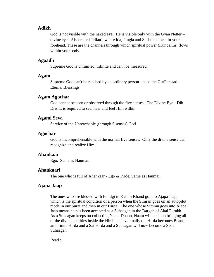## <span id="page-26-0"></span>**Adikh**

God is not visible with the naked eye. He is visible only with the Gyan Netter  $$ divine eye. Also called Trikuti, where Ida, Pingla and Sushman meet in your forehead. These are the channels through which spiritual power (Kundalini) flows within your body.

## <span id="page-26-1"></span>**Agaadh**

Supreme God is unlimited, infinite and can't be measured.

#### <span id="page-26-2"></span>**Agam**

Supreme God can't be reached by an ordinary person - need the GurParsaad - Eternal Blessings.

## <span id="page-26-3"></span>**Agam Agochar**

God cannot be seen or observed through the five senses. The Divine Eye - Dib Drisht, is required to see, hear and feel Him within.

## <span id="page-26-4"></span>**Agami Seva**

Service of the Unreachable (through 5 senses) God.

## <span id="page-26-5"></span>**Agochar**

God is incomprehensible with the normal five senses. Only the divine sense can recognize and realize Him.

## <span id="page-26-6"></span>**Ahankaar**

Ego. Same as Haumai.

## <span id="page-26-7"></span>**Ahankaari**

The one who is full of Ahankaar - Ego & Pride. Same as Haumai.

# <span id="page-26-8"></span>**Ajapa Jaap**

The ones who are blessed with Bandgi in Karam Khand go into Ajapa Jaap, which is the spiritual condition of a person when the Simran goes on an autopilot mode in our Surat and then in our Hirda. The one whose Simran goes into Ajapa Jaap means he has been accepted as a Suhaagan in the Dargah of Akal Purakh. As a Suhaagan keeps on collecting Naam Dhann, Naam will keep on bringing all of the divine qualities inside the Hirda and eventually the Hirda becomes Beant, an infinite Hirda and a Sat Hirda and a Suhaagan will now become a Sada Suhaagan.

Read :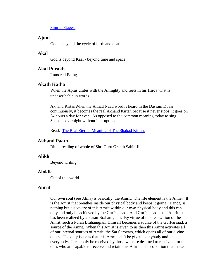[Simran Stages.](http://www.satnaam.info/index.php?option=com_content&task=view&id=58&Itemid=14)

## <span id="page-27-0"></span>**Ajuni**

God is beyond the cycle of birth and death.

# <span id="page-27-1"></span>**Akal**

God is beyond Kaal - beyond time and space.

## <span id="page-27-2"></span>**Akal Purakh**

Immortal Being.

## <span id="page-27-3"></span>**Akath Katha**

When the Apras unites with the Almighty and feels in his Hirda what is undescribable in words.

Akhand KirtanWhen the Anhad Naad word is heard in the Dassam Duaar continuously, it becomes the real Akhand Kirtan because it never stops, it goes on 24 hours a day for ever. As opposed to the common meaning today to sing Shabads overnight without interuption.

Read: [The Real Eternal Meaning of The Shabad Kirtan.](http://www.satnaam.info/index.php?option=com_content&task=view&id=205&Itemid=0)

## <span id="page-27-4"></span>**Akhand Paath**

Ritual reading of whole of Shri Guru Granth Sahib Ji.

## <span id="page-27-5"></span>**Alikh**

Beyond writing.

#### <span id="page-27-6"></span>**Alokik**

Out of this world.

# <span id="page-27-7"></span>**Amrit**

Our own soul (see Atma) is basically, the Amrit. The life element is the Amrit. It is the Amrit that breathes inside our physical body and keeps it going. Bandgi is nothing but discovery of this Amrit within our own physical body and this can only and only be achieved by the GurParsaad. And GurParsaad is the Amrit that has been realized by a Puran Brahamgiani. By virtue of this realization of the Amrit, such a Puran Brahamgiani Himself becomes a source of the GurParsaad, a source of the Amrit. When this Amrit is given to us then this Amrit activates all of our internal sources of Amrit, the Sat Sarovars, which opens all of our divine doors. The only issue is that this Amrit can't be given to anybody and everybody. It can only be received by those who are destined to receive it, or the ones who are capable to receive and retain this Amrit. The condition that makes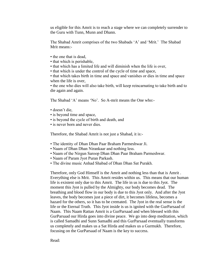us eligible for this Amrit is to reach a stage where we can completely surrender to the Guru with Tunn, Munn and Dhann.

The Shabad Amrit comprises of the two Shabads 'A' and 'Mrit.' The Shabad Mrit means:-

- the one that is dead.
- that which is perishable,
- that which has a limited life and will diminish when the life is over,
- that which is under the control of the cycle of time and space,

• that which takes birth in time and space and vanishes or dies in time and space when the life is over,

• the one who dies will also take birth, will keep reincarnating to take birth and to die again and again.

The Shabad 'A' means 'No'. So A-mrit means the One who:-

- doesn't die,
- is beyond time and space,
- is beyond the cycle of birth and death, and
- is never born and never dies.

Therefore, the Shabad Amrit is not just a Shabad, it is:-

- The identity of Dhan Dhan Paar Braham Parmeshwar Ji.
- Naam of Dhan Dhan Nirankaar and nothing less.
- Naam of the Nirgun Saroop Dhan Dhan Paar Braham Parmeshwar.
- Naam of Param Jyot Puran Parkash.
- The divine music Anhad Shabad of Dhan Dhan Sat Purakh.

Therefore, only God Himself is the Amrit and nothing less than that is Amrit . Everything else is Mrit. This Amrit resides within us. This means that our human life is existent only due to this Amrit. The life in us is due to this Jyot. The moment this Jyot is pulled by the Almighty, our body becomes dead. The breathing and blood flow in our body is due to this Jyot only. And after the Jyot leaves, the body becomes just a piece of dirt, it becomes lifeless, becomes a hazard for the others, so it has to be cremated. The Jyot in the real sense is the life or the Eternal Truth. This Jyot inside is us is ignited with the GurParsaad of Naam. This Naam Rattan Amrit is a GurParsaad and when blessed with this GurParsaad our Hirda goes into divine peace. We go into deep meditation, which is called Samadhi and Sunn Samadhi and this GurParsaad eventually transforms us completely and makes us a Sat Hirda and makes us a Gurmukh. Therefore, focusing on the GurParsaad of Naam is the key to success.

Read: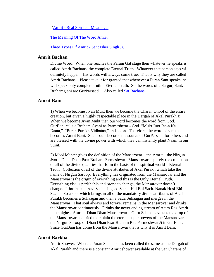"Amrit - [Real Spiritual Meaning."](http://www.satnaam.info/index.php?option=com_content&task=view&id=199&Itemid=26)

[The Meaning Of The Word](http://www.satnaam.info/index.php?option=com_content&task=view&id=180&Itemid=24) Amrit.

[Three Types Of Amrit -](http://www.satnaam.info/index.php?option=com_content&task=view&id=340&Itemid=26) Sant Isher Singh Ji.

## <span id="page-29-0"></span>**Amrit Bachan**

Divine Word. When one reaches the Param Gat stage then whatever he speaks is called Amrit Bachans, the complete Eternal Truth. Whatever that person says will definitely happen. His words will always come true. That is why they are called Amrit Bachans. Please take it for granted that whenever a Puran Sant speaks, he will speak only complete truth – Eternal Truth. So the words of a Satgur, Sant, Brahamgiani are GurParsaad. Also called [Sat Bachans.](http://www.satnaam.info/index.php?option=com_content&task=view&id=1333&Itemid=55)

# <span id="page-29-1"></span>**Amrit Bani**

1) When we become Jivan Mukt then we become the Charan Dhool of the entire creation, but given a highly respectable place in the Dargah of Akal Purakh Ji. When we become Jivan Mukt then our word becomes the word from God. GurBani calls a Braham Gyani as Parmeshwar - God, "Mukt Jugt Jee-a Ka Daata," "Puran Purakh Vidhataa," and so on. Therefore, the word of such souls becomes Amrit Bani. Such souls become the source of GurParsaad for others and are blessed with the divine power with which they can instantly plant Naam in our Surat.

2) Mool Manter gives the definition of the Mansarovar – the Amrit – the Nirgun Jyot – Dhan Dhan Paar Braham Parmeshwar. Mansarovar is purely the collection of all of the divine qualities that form the basis of the spiritual world – Eternal Truth. Collection of all of the divine attributes of Akal Purakh which take the name of Nirgun Saroop. Everything has originated from the Mansarovar and the Mansarovar is the origin of everything and this is the Only Eternal Truth. Everything else is perishable and prone to change, the Mansarovar doesn't change. It has been, "Aad Sach. Jugaad Sach. Hai Bhi Sach. Nanak Hosi Bhi Sach." So a soul which brings in all of the mandatory divine attributes of Akal Purakh becomes a Suhaagan and then a Sada Suhaagan and merges in the Mansarovar. That soul always and forever remains in the Mansarovar and drinks the Mansarovar continuously. Drinks the never ending stream of Atam Ras Amrit – the highest Amrit – Dhan Dhan Mansarovar. Guru Sahibs have taken a drop of the Mansarovar and tried to explain the eternal super powers of the Mansarovar, the Nirgun Saroop of Dhan Dhan Paar Braham Pita Parmeshwar Ji in GurBani. Since GurBani has come from the Mansarovar that is why it is Amrit Bani.

## <span id="page-29-2"></span>**Amrit Barkha**

Amrit Shower. Where a Puran Sant sits has been called the same as the Dargah of Akal Purakh and there is a constant Amrit shower available at the Sat Charans of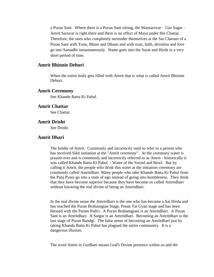a Puran Sant. Where there is a Puran Sant sitting, the Mansarovar – Gur Sagar – Amrit Sarovar is right there and there is no effect of Maya under His Chattar. Therefore, the ones who completely surrender themselves at the Sat Charans of a Puran Sant with Tunn, Munn and Dhann and with trust, faith, devotion and love go into Samadhi instantaneously. Naam goes into the Surat and Hirda in a very short period of time.

## <span id="page-30-0"></span>**Amrit Bhinnie Dehuri**

When the entire body gets filled with Amrit that is what is called Amrit Bhinnie Dehuri.

## <span id="page-30-1"></span>**Amrit Ceremony**

See Khande Batta Ki Pahul.

## <span id="page-30-2"></span>**Amrit Chattar**

See Chattar.

## <span id="page-30-3"></span>**Amrit Drisht**

See Drisht.

# <span id="page-30-4"></span>**Amrit Dhari**

The holder of Amrit. Commonly and incorrectly used to refer to a person who has received Sikh initiation at the "Amrit ceremony". At the ceremony water is prayed over and is commonly and incorrectly referred to as Amrit - historically it was called Khande Batta Ki Pahul - Water of the Sword and Bowl. But by calling it Amrit, the people who drink this water at the initiation ceremony are commonly called Amritdhari. Many people who take Khande Batta Ki Pahul from the Panj Pyare go into a state of ego instead of going into humbleness. They think that they have become superior because they have become so called Amritdhari without knowing the real divine of being an Amritdhari.

In the real divine sense the Amritdhari is the one who has become a Sat Hirda and has reached the Puran Brahamgian Stage, Puran Tat Gyan stage and has been blessed with the Param Padvi. A Puran Brahamgiani is an Amritdhari. A Puran Sant is an Amritdhari. A Satgur is an Amritdhari. Becoming an Amritdhari is the last stage of Puran Bandgi. The false sense of becoming an Amritdhari just by taking Khanda Batta Ki Pahul has plagued the entire community. It is a dangerous illusion.

The word Amrit in GurBani means God's Divine presence within us and the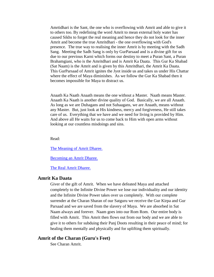Amrtidhari is the Sant, the one who is overflowing with Amrit and able to give it to others too. By redefining the word Amrit to mean external holy water has caused Sikhs to forget the real meaning and hence they do not look for the inner Amrit and become the true Amritdhari - the one overflowing with God's presence. The true way to realising the inner Amrit is by meeting with the Sadh Sang. Meeting the Sadh Sang is only by GurParsaad and is a divine gift for us due to our previous Karni which forms our destiny to meet a Puran Sant, a Puran Brahamgiani, who is the Amritdhari and is Amrit Ka Daata. This Gur Ka Shabad (Sat Naam) is the Amrit and is given by this Amritdhari, the Amrit Ka Daata. This GurParsaad of Amrit ignites the Jyot inside us and takes us under His Chattar where the effect of Maya diminishes. As we follow the Gur Ka Shabad then it becomes impossible for Maya to distract us.

Anaath Ka Naath Anaath means the one without a Master. Naath means Master. Anaath Ka Naath is another divine quality of God. Basically, we are all Anaath. As long as we are Duhagans and not Suhaagans, we are Anaath, means without any Master. But, just look at His kindness, mercy and forgiveness, He still takes care of us. Everything that we have and we need for living is provided by Him. And above all He waits for us to come back to Him with open arms without looking at our countless misdoings and sins.

Read:

[The Meaning of Amrit Dharee.](http://www.satnaam.info/index.php?option=com_content&task=view&id=200&Itemid=26)

[Becoming an Amrit Dharee.](http://www.satnaam.info/index.php?option=com_content&task=view&id=201&Itemid=26)

[The Real Amrit Dharee.](http://www.satnaam.info/index.php?option=com_content&task=view&id=202&Itemid=26)

# <span id="page-31-0"></span>**Amrit Ka Daata**

Giver of the gift of Amrit. When we have defeated Maya and attached completely to the Infinite Divine Power we lose our individuality and our identity and the Infinite Divine Power takes over us completely. With our complete surrender at the Charan Sharan of our Satguru we receive the Gur Kirpa and Gur Parsaad and we are saved from the slavery of Maya. We are absorbed in Sat Naam always and forever. Naam goes into our Rom Rom. Our entire body is filled with Amrit. This Amrit then flows out from our body and we are able to give it to others for subduing their Panj Doots resulting in their peace of mind; for healing them mentally and physically and for uplifting them spiritually.

## <span id="page-31-1"></span>**Amrit of the Charan (Guru's Feet)**

See Charan Amrit.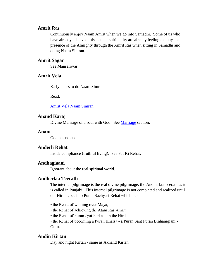# <span id="page-32-0"></span>**Amrit Ras**

Continuously enjoy Naam Amrit when we go into Samadhi. Some of us who have already achieved this state of spirituality are already feeling the physical presence of the Almighty through the Amrit Ras when sitting in Samadhi and doing Naam Simran.

## <span id="page-32-1"></span>**Amrit Sagar**

See Mansarovar.

# <span id="page-32-2"></span>**Amrit Vela**

Early hours to do Naam Simran.

Read:

[Amrit Vela Naam Simran](http://www.satnaam.info/index.php?option=com_content&task=view&id=1152&Itemid=14)

## <span id="page-32-3"></span>**Anand Karaj**

Divine [Marriage](http://www.satnaam.info/index.php?option=com_content&task=category§ionid=2&id=10&Itemid=17) of a soul with God. See Marriage section.

#### <span id="page-32-4"></span>**Anant**

God has no end.

## <span id="page-32-5"></span>**Anderli Rehat**

Inside compliance (truthful living). See Sat Ki Rehat.

## <span id="page-32-6"></span>**Andhagiaani**

Ignorant about the real spiritual world.

## <span id="page-32-7"></span>**Andherlaa Teerath**

The internal pilgrimage is the real divine pilgrimage, the Andherlaa Teerath as it is called in Punjabi. This internal pilgrimage is not completed and realized until our Hirda goes into Puran Sachyari Rehat which is:-

- the Rehat of winning over Maya,
- the Rehat of achieving the Atam Ras Amrit,
- the Rehat of Puran Jyot Parkash in the Hirda,

• the Rehat of becoming a Puran Khalsa - a Puran Sant Puran Brahamgiani - Guru.

## <span id="page-32-8"></span>**Andin Kirtan**

Day and night Kirtan - same as Akhand Kirtan.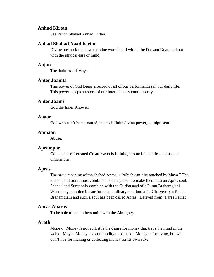# <span id="page-33-0"></span>**Anhad Kirtan**

See Panch Shabad Anhad Kirtan.

## <span id="page-33-1"></span>**Anhad Shabad Naad Kirtan**

Divine unstruck music and divine word heard within the Dassam Duar, and not with the phyical ears or mind.

#### <span id="page-33-2"></span>**Anjan**

The darkness of Maya.

## <span id="page-33-3"></span>**Anter Jaamta**

This power of God keeps a record of all of our performances in our daily life. This power keeps a record of our internal story continuously.

# <span id="page-33-4"></span>**Anter Jaami**

God the Inner Knower.

#### <span id="page-33-5"></span>**Apaar**

God who can't be measured, means infinite divine power, omnipresent.

## <span id="page-33-6"></span>**Apmaan**

Abuse.

#### <span id="page-33-7"></span>**Aprampar**

God is the self-created Creator who is Infinite, has no boundaries and has no dimensions.

#### <span id="page-33-8"></span>**Apras**

The basic meaning of the shabad Apras is "which can't be touched by Maya." The Shabad and Surat must combine inside a person to make them into an Apras soul. Shabad and Surat only combine with the GurParsaad of a Puran Brahamgiani. When they combine it transforms an ordinary soul into a ParGhatyeo Jyot Puran Brahamgiani and such a soul has been called Apras. Derived from "Paras Pathat".

#### <span id="page-33-9"></span>**Apras Aparas**

To be able to help others unite with the Almighty.

## <span id="page-33-10"></span>**Arath**

Money. Money is not evil, it is the desire for money that traps the mind in the web of Maya. Money is a commodity to be used. Money is for living, but we don't live for making or collecting money for its own sake.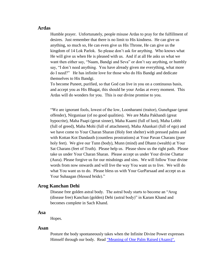#### <span id="page-34-0"></span>**Ardas**

Humble prayer. Unfortunately, people misuse Ardas to pray for the fulfillment of desires. Just remember that there is no limit to His kindness. He can give us anything, so much so, He can even give us His Throne, He can give us the kingdom of 14 Lok Parlok. So please don't ask for anything. Who knows what He will give us when He is pleased with us. And if at all He asks us what we want then either say, "Naam, Bandgi and Seva" or don't say anything, or humbly say, "I don't need anything. You have already given me everything, what more do I need?" He has infinite love for those who do His Bandgi and dedicate themselves to His Bandgi.

To become Puneet, purified, so that God can live in you on a continuous basis, and accept you as His Bhagat, this should be your Ardas at every moment. This Ardas will do wonders for you. This is our divine promise to you.

"We are ignorant fools, lowest of the low, Loonharami (traitor), Gunehgaar (great offender), Nirguniaar (of no good qualities). We are Maha Pakhandi (great hypocrite), Maha Paapi (great sinner), Maha Kaami (full of lust), Maha Lobhi (full of greed), Maha Mohi (full of attachment), Maha Ahankari (full of ego) and we have come to Your Charan Sharan (Holy feet shelter) with pressed palms and with Kottan Kot Dandauth (countless prostrations) at Your Pavan Charans (pure holy feet). We give our Tunn (body), Munn (mind) and Dhann (wealth) at Your Sat Charans (feet of Truth). Please help us. Please show us the right path. Please take us under Your Charan Sharan. Please accept us under Your divine Chattar (Aura). Please forgive us for our misdoings and sins. We will follow Your divine words from now onwards and will live the way You want us to live. We will do what You want us to do. Please bless us with Your GurParsaad and accept us as Your Suhaagan (blessed bride)."

#### <span id="page-34-1"></span>**Arog Kanchan Dehi**

Disease free golden astral body. The astral body starts to become an "Arog (disease free) Kanchan (golden) Dehi (astral body)" in Karam Khand and becomes complete in Sach Khand.

#### <span id="page-34-2"></span>**Asa**

Hopes.

#### <span id="page-34-3"></span>**Asan**

Posture the body spontaneously takes when the Infinite Divine Power expresses Himself through our body. Read ["Meaning of One Palm Raised \(Asans\)".](http://www.satnaam.info/index.php?option=com_content&task=view&id=1092&Itemid=0)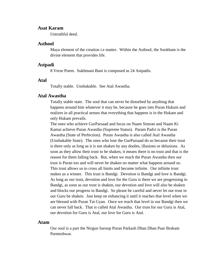## <span id="page-35-0"></span>**Asat Karam**

Untruthful deed.

## <span id="page-35-1"></span>**Asthool**

Maya element of the creation i.e matter. Within the Asthool, the Sookham is the divine element that provides life.

#### <span id="page-35-2"></span>**Astpadi**

8 Verse Poem. Sukhmani Bani is composed as 24 Astpadis.

## <span id="page-35-3"></span>**Atal**

Totally stable. Unshakable. See Atal Awastha.

#### <span id="page-35-4"></span>**Atal Awastha**

Totally stable state. The soul that can never be disturbed by anything that happens around him whatever it may be, because he goes into Puran Hukam and realizes in all practical senses that everything that happens is in the Hukam and only Hukam prevails.

The ones who achieve GurParsaad and focus on Naam Simran and Naam Ki Kamai achieve Puran Awastha (Supreme Status). Param Padvi is the Puran Awastha (State of Perfection). Puran Awastha is also called Atal Awastha (Unshakable State). The ones who lose the GurParsaad do so because their trust is there only as long as it is not shaken by any doubts, illusions or delusions. As soon as they allow their trust to be shaken, it means there is no trust and that is the reason for them falling back. But, when we reach the Puran Awastha then our trust is Puran too and will never be shaken no matter what happens around us. This trust allows us to cross all limits and become infinite. Our infinite trust makes us a winner. This trust is Bandgi. Devotion is Bandgi and love is Bandgi. As long as our trust, devotion and love for the Guru is there we are progressing in Bandgi, as soon as our trust is shaken, our devotion and love will also be shaken and blocks our progress in Bandgi. So please be careful and never let our trust in our Guru be shaken. Just keep on enhancing it until it reaches that level when we are blessed with Puran Tat Gyan. Once we reach that level in our Bandgi then we can never fall back. That is called Atal Awastha. Our trust for our Guru is Atal, our devotion for Guru is Atal, our love for Guru is Atal.

## <span id="page-35-5"></span>**Atam**

Our soul is a part the Nirgun Saroop Puran Parkash Dhan Dhan Paar Braham Parmeshwar.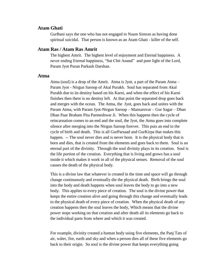#### **Atam Ghati**

GurBani says the one who has not engaged in Naam Simran as having done spiritual suicidal. That person is known as an Atam Ghati - killer of the self.

#### **Atam Ras / Atam Ras Amrit**

The highest Amrit. The highest level of enjoyment and Eternal happiness. A never ending Eternal happiness, "Sat Chit Anand" and pure light of the Lord, Param Jyot Puran Parkash Darshan.

#### **Atma**

Atma (soul) is a drop of the Amrit. Atma is Jyot, a part of the Param Atma – Param Jyot - Nirgun Saroop of Akal Purakh. Soul has separated from Akal Purakh due to its destiny based on his Karni, and when the effect of his Karni finishes then there is no destiny left. At that point the separated drop goes back and merges with the ocean. The Atma, the Jyot, goes back and unites with the Param Atma, with Param Jyot-Nirgun Saroop – Mansarovar – Gur Sagar – Dhan Dhan Paar Braham Pita Parmeshwar Ji. When this happens then the cycle of reincarnation comes to an end and the soul, the Jyot, the Atma goes into complete silence after merging into the Nirgun Saroop forever. This puts an end to the cycle of birth and death. This is all GurParsaad and GurKirpa that makes this happen. -- The soul never dies and is never born. It is the physical body that is born and dies, that is created from the elements and goes back to them. Soul is an eternal part of the divinity. Through the soul divinity plays in its creation. Soul is the life portion of the creation. Everything that is living and grows has a soul inside it which makes it work in all of the physical senses. Removal of the soul causes the death of the physical body.

This is a divine law that whatever is created in the time and space will go through change continuously and eventually die the physical death. Birth brings the soul into the body and death happens when soul leaves the body to go into a new body. This applies to every piece of creation. The soul is the divine power that keeps the entire creation alive and going through this change and eventually leads to the physical death of every piece of creation. When the physical death of any creation happens then the soul leaves the body, Which means that the divine power stops working on that creation and after death all its elements go back to the individual parts from where and which it was created.

For example, divinity created a human body using five elements, the Panj Tats of air, wáter, fire, earth and sky and when a person dies all of these five elements go back to their origin. So soul is the divine power that keeps everything going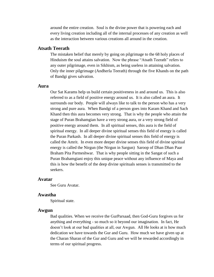around the entire creation. Soul is the divine power that is powering each and every living creation including all of the internal processes of any creation as well as the interaction between various creations all around in the creation.

# **Atsath Teerath**

The mistaken belief that merely by going on pilgrimage to the 68 holy places of Hinduism the soul attains salvation. Now the phrase "Atsath Teerath" refers to any outer pilgrimage, even in Sikhism, as being useless in attaining salvation. Only the inner pilgrimage (Andherla Teerath) through the five Khands on the path of Bandgi gives salvation.

#### **Aura**

Our Sat Karams help us build certain positiveness in and around us. This is also referred to as a field of positive energy around us. It is also called an aura. It surrounds our body. People will always like to talk to the person who has a very strong and pure aura. When Bandgi of a person goes into Karam Khand and Sach Khand then this aura becomes very strong. That is why the people who attain the stage of Puran Brahamgian have a very strong aura, or a very strong field of positive energy around them. In all spiritual senses, this aura is the field of spiritual energy. In all deeper divine spiritual senses this field of energy is called the Puran Parkash. In all deeper divine spiritual senses this field of energy is called the Amrit. In even more deeper divine senses this field of divine spiritual energy is called the Nirgun (the Nirgun in Sargun) Saroop of Dhan Dhan Paar Braham Pita Parmeshwar. That is why people sitting in the Sangat of such a Puran Brahamgiani enjoy this unique peace without any influence of Maya and this is how the benefit of the deep divine spirituals senses is transmitted to the seekers.

### **Avatar**

See Guru Avatar.

#### **Awastha**

Spiritual state.

#### **Awgun**

Bad qualities. When we receive the GurParsaad, then God-Guru forgives us for anything and everything - so much so it beyond our imagination. In fact, He doesn't look at our bad qualities at all, our Awgun. All He looks at is how much dedication we have towards the Gur and Guru. How much we have given up at the Charan Sharan of the Gur and Guru and we will be rewarded accordingly in terms of our spiritual progress.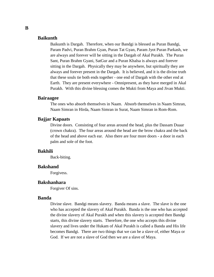# **Baikunth**

Baikunth is Dargah. Therefore, when our Bandgi is blessed as Puran Bandgi, Param Padvi, Puran Brahm Gyan, Puran Tat Gyan, Param Jyot Puran Parkash, we are always and forever will be sitting in the Dargah of Akal Purakh. The Puran Sant, Puran Brahm Gyani, SatGur and a Puran Khalsa is always and forever sitting in the Dargah. Physically they may be anywhere, but spiritually they are always and forever present in the Dargah. It is believed, and it is the divine truth that these souls tie both ends together - one end of Dargah with the other end at Earth. They are present everywhere - Omnipresent, as they have merged in Akal Purakh. With this divine blessing comes the Mukti from Maya and Jivan Mukti.

### **Bairaagee**

The ones who absorb themselves in Naam. Absorb themselves in Naam Simran, Naam Simran in Hirda, Naam Simran in Surat, Naam Simran in Rom-Rom.

#### **Bajjar Kapaats**

Divine doors. Consisting of four areas around the head, plus the Dassam Duaar (crown chakra). The four areas around the head are the brow chakra and the back of the head and above each ear. Also there are four more doors - a door in each palm and sole of the foot.

# **Bakhili**

Back-biting.

#### **Bakshand**

Forgivess.

#### **Bakshanhara**

Forgiver Of sins.

#### **Banda**

Divine slave. Bandgi means slavery. Banda means a slave. The slave is the one who has accepted the slavery of Akal Purakh. Banda is the one who has accepted the divine slavery of Akal Purakh and when this slavery is accepted then Bandgi starts, this divine slavery starts. Therefore, the one who accepts this divine slavery and lives under the Hukam of Akal Purakh is called a Banda and His life becomes Bandgi. There are two things that we can be a slave of, either Maya or God. If we are not a slave of God then we are a slave of Maya.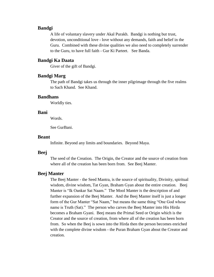### **Bandgi**

A life of voluntary slavery under Akal Purakh. Bandgi is nothing but trust, devotion, unconditional love - love without any demands, faith and belief in the Guru. Combined with these divine qualities we also need to completely surrender to the Guru, to have full faith - Gur Ki Parteet. See Banda.

# **Bandgi Ka Daata**

Giver of the gift of Bandgi.

# **Bandgi Marg**

The path of Bandgi takes us through the inner pilgrimage through the five realms to Sach Khand. See Khand.

#### **Bandhans**

Worldly ties.

### **Bani**

Words.

See GurBani.

# **Beant**

Infinite. Beyond any limits and boundaries. Beyond Maya.

#### **Beej**

The seed of the Creation. The Origin, the Creator and the source of creation from where all of the creation has been born from. See Beej Manter.

### **Beej Manter**

The Beej Manter - the Seed Mantra, is the source of spirituality, Divinity, spiritual wisdom, divine wisdom, Tat Gyan, Braham Gyan about the entire creation. Beej Manter is "Ik Oankar Sat Naam." The Mool Manter is the description of and further expansion of the Beej Manter. And the Beej Manter itself is just a longer form of the Gur Manter "Sat Naam," but means the same thing "One God whose name is Truth (Sat)." The person who carves the Beej Manter into His Hirda becomes a Braham Gyani. Beej means the Primal Seed or Origin which is the Creator and the source of creation, from where all of the creation has been born from. So when the Beej is sown into the Hirda then the person becomes enriched with the complete divine wisdom - the Puran Braham Gyan about the Creator and creation.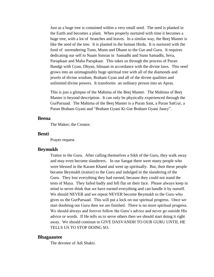Just as a huge tree is contained within a very small seed. The seed is planted in the Earth and becomes a plant. When properly nurtured with time it becomes a huge tree, with a lot of branches and leaves. In a similar way, the Beej Manter is like the seed of the tree. It is planted in the human Hirda. It is nurtured with the food of surrendering Tunn, Munn and Dhann to the Gur and Guru. It requires dedicating our self to Naam Simran in Samadhi and Sunn Samadhi, Seva, Parupkaar and Maha Parupkaar. This takes us through the process of Puran Bandgi with Gyan, Dhyan, Ishnaan in accordance with the divine laws. This seed grows into an unimaginably huge spiritual tree with all of the diamonds and jewels of divine wisdom, Braham Gyan and all of the divine qualities and unlimited divine powers. It transforms an ordinary person into an Apras.

This is just a glimpse of the Mahima of the Beej Manter. The Mahima of Beej Manter is beyond description. It can only be physically experienced through the GurParsaad. The Mahima of the Beej Manter is a Puran Sant, a Puran SatGur, a Puran Braham Gyani and "Braham Gyani Ki Gat Braham Gyani Janey".

# **Beena**

The Maker; the Creator.

#### **Benti**

Prayer request.

#### **Beymukh**

Traitor to the Guru. After calling themselves a Sikh of the Guru, they walk away and may even become slanderers. In our Sangat there were many people who were blessed in the Karam Khand and went up spiritually. But, then these people became Beymukh (traitor) to the Guru and indulged in the slandering of the Guru. They lost everything they had earned, because they could not stand the tests of Maya. They failed badly and fell flat on their face. Please always keep in mind to never think that we have earned everything and can handle it by ourself. We should NEVER and we repeat NEVER become Beymukh to the Guru who gives us the GurParsaad. This will put a lock on our spiritual progress. Once we start doubting our Guru then we are finished. There is no more spiritual progress. We should always and forever follow the Guru's advice and never go outside His advice or words. If He tells us to serve others then we should start doing it right away. We should continue to GIVE DASVANDH TO OUR GURU UNTIL HE TELLS US TO STOP DOING SO.

#### **Bhagaautee**

The devotee of Adi Shakti.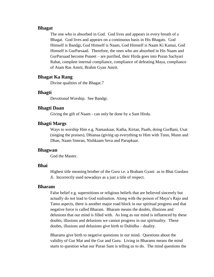### **Bhagat**

The one who is absorbed in God. God lives and appears in every breath of a Bhagat. God lives and appears on a continuous basis in His Bhagats. God Himself is Bandgi, God Himself is Naam, God Himself is Naam Ki Kamai, God Himself is GurParsaad. Therefore, the ones who are absorbed in His Naam and GurParsaad become Puneet – are purified, their Hirda goes into Puran Sachyari Rahat, complete internal compliance, compliance of defeating Maya, compliance of Atam Ras Amrit, Brahm Gyan Amrit.

# **Bhagat Ka Rang**

Divine qualities of the Bhagat.7

# **Bhagti**

Devotional Worship. See Bandgi.

### **Bhagti Daan**

Giving the gift of Naam - can only be done by a Sant Hirda.

# **Bhagti Margs**

Ways to worship Him e.g. Namaskaar, Katha, Kirtan, Paath, doing GurBani, Usat (singing the praises), Dhianaa (giving up everything to Him with Tunn, Munn and Dhan, Naam Simran, Nishkaam Seva and Parupkaar.

### **Bhagwan**

God the Master.

### **Bhai**

Highest title meaning brother of the Guru i.e. a Braham Gyani as in Bhai Gurdass Ji. Incorrectly used nowadays as a just a title of respect.

#### **Bharam**

False belief e.g. superstitions or religious beliefs that are believed sincerely but actually do not lead to God realisation. Along with the poison of Maya's Rajo and Tamo aspects, there is another major road block in our spiritual progress and that negative force is called Bharam. Bharam means the doubts, illusions and delusions that our mind is filled with. As long as our mind is influenced by these doubts, illusions and delusions we cannot progress in our spirituality. These doubts, illusions and delusions give birth to Dubidha – duality.

Bharams give birth to negative questions in our mind. Questions about the validity of Gur Mat and the Gur and Guru. Living in Bharams means the mind starts to question what our Puran Sant is telling us to do. The mind questions the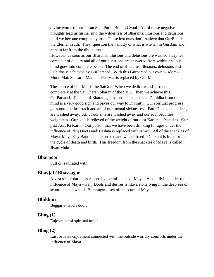divine words of our Puran Sant Puran Brahm Gyani. All of these negative thoughts lead us further into the wilderness of Bharams, illusions and delusions until we become completely lost. These lost ones don't believe that GurBani is the Eternal Truth. They question the validity of what is written in GurBani and remain far from the divine truth.

However, as soon as our Bharams, illusions and delusions are washed away we come out of duality and all of our questions are answered from within and our mind goes into complete peace. The end of Bharams, illusions, delusions and Dubidha is achieved by GurParsaad. With this Gurparsad our own wisdom - Munn Mat, Sansarik Mat and Dur Mat is replaced by Gur Mat.

The source of Gur Mat is the SatGur. When we dedicate and surrender completely at the Sat Charan Sharan of the SatGur then we achieve this GurParsaad. The end of Bharams, illusions, delusions and Dubidha from our mind is a very good sign and paves our way to Divinity. Our spiritual progress goes onto the fast track and all of our mental sicknesses – Panj Doots and desires, are washed away. All of our sins are washed away and our soul becomes weightless. Our soul is relieved of the weight of our past Karams. Past sins. Our past Asat Ki Karni. Our poison that we have been drinking for ages under the influence of Panj Doots and Trishna is replaced with Amrit. All of the shackles of Maya, Maya Key Bandhan, are broken and we are freed. Our soul is freed from the cycle of death and birth. This freedom from the shackles of Maya is called Jivan Mukti.

#### **Bharpoor**

Full of; saturated with.

### **Bhavjal / Bhavsagar**

A vast sea of darkness caused by the influence of Maya. A soul living under the influence of Maya – Panj Doots and desires is like a stone lying in the deep sea of scum – that is what is Bhavsagar – sea of the scum of Maya.

### **Bhikhari**

Beggar at God's door.

#### **Bhog (1)**

Enjoyment of spiritual union.

### **Bhog (2)**

Lust or false enjoyment connected with the outside worldly comforts under the influence of Maya.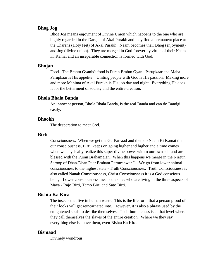# **Bhog Jog**

Bhog Jog means enjoyment of Divine Union which happens to the one who are highly regarded in the Dargah of Akal Purakh and they find a permanent place at the Charans (Holy feet) of Akal Purakh. Naam becomes their Bhog (enjoyment) and Jog (divine union). They are merged in God forever by virtue of their Naam Ki Kamai and an inseparable connection is formed with God.

### **Bhojan**

Food. The Brahm Gyanis's food is Puran Brahm Gyan. Parupkaar and Maha Parupkaar is His appetite. Uniting people with God is His passion. Making more and more Mahima of Akal Purakh is His job day and night. Everything He does is for the betterment of society and the entire creation.

#### **Bhola Bhala Banda**

An innocent person, Bhola Bhala Banda, is the real Banda and can do Bandgi easily.

#### **Bhookh**

The desperation to meet God.

#### **Birti**

Consciousness. When we get the GurParsaad and then do Naam Ki Kamai then our consciousness, Birti, keeps on going higher and higher and a time comes when we physically realize this super divine power within our own self and are blessed with the Puran Brahamgian. When this happens we merge in the Nirgun Saroop of Dhan-Dhan Paar Braham Parmeshwar Ji. We go from lower animal consciousness to the highest state - Truth Consciousness. Truth Consciousness is also called Nanak Consciousness, Christ Consciousness it is a God conscious being. Lower consciousness means the ones who are living in the three aspects of Maya - Rajo Birti, Tamo Birti and Sato Birti.

# **Bishta Ka Kira**

The insects that live in human waste. This is the life form that a person proud of their looks will get reincarnated into. However, it is also a phrase used by the enlightened souls to desribe themselves. Their humbleness is at that level where they call themselves the slaves of the entire creation. Where we they say everything else is above them, even Bishta Ka Kira.

#### **Bismaad**

Divinely wondrous.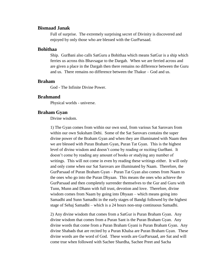# **Bismaad Janak**

Full of surprise. The extremely surprising secret of Divinity is discovered and enjoyed by only those who are blessed with the GurParsaad.

#### **Bohithaa**

Ship. GurBani also calls SatGuru a Bohithaa which means SatGur is a ship which ferries us across this Bhavsagar to the Dargah. When we are ferried across and are given a place in the Dargah then there remains no difference between the Guru and us. There remains no difference between the Thakur – God and us.

# **Braham**

God - The Infinite Divine Power.

### **Brahmand**

Physical worlds - universe.

# **Braham Gyan**

Divine wisdom.

1) The Gyan comes from within our own soul, from various Sat Sarovars from within our own Suksham Dehi. Some of the Sat Sarovars contains the super divine power of the Braham Gyan and when they are illuminated with Naam then we are blessed with Puran Braham Gyan, Puran Tat Gyan. This is the highest level of divine wisdom and doesn't come by reading or reciting GurBani. It doesn't come by reading any amount of books or studying any number of writings. This will not come in even by reading these writings either. It will only and only come when our Sat Sarovars are illuminated by Naam. Therefore, the GurParsaad of Puran Braham Gyan – Puran Tat Gyan also comes from Naam to the ones who go into the Puran Dhyaan. This means the ones who achieve the GurParsaad and then completely surrender themselves to the Gur and Guru with Tunn, Munn and Dhann with full trust, devotion and love. Therefore, divine wisdom comes from Naam by going into Dhyaan – which means going into Samadhi and Sunn Samadhi in the early stages of Bandgi followed by the highest stage of Sehaj Samadhi – which is a 24 hours non-stop continuous Samadhi.

2) Any divine wisdom that comes from a SatGur is Puran Braham Gyan. Any divine wisdom that comes from a Puran Sant is the Puran Braham Gyan. Any divine words that come from a Puran Braham Gyani is Puran Braham Gyan. Any divine Shabads that are recited by a Puran Khalsa are Puran Braham Gyan. These divine words are the word of God. These words are GurParsaad, are Sat and will come true when followed with Sachee Shardha, Sachee Preet and Sacha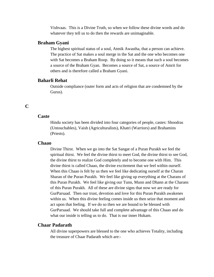Vishvaas. This is a Divine Truth, so when we follow these divine words and do whatever they tell us to do then the rewards are unimaginable.

# **Braham Gyani**

The highest spiritual status of a soul, Atmik Awastha, that a person can achieve. The practice of Sat makes a soul merge in the Sat and the one who becomes one with Sat becomes a Braham Roop. By doing so it means that such a soul becomes a source of the Braham Gyan. Becomes a source of Sat, a source of Amrit for others and is therefore called a Braham Gyani.

### **Baharli Rehat**

Outside compliance (outer form and acts of religion that are condemned by the Gurus).

# **C**

#### **Caste**

Hindu society has been divided into four categories of people, castes: Shoodras (Untouchables), Vaish (Agriculturalists), Khatri (Warriors) and Brahamins (Priests).

### **Chaao**

Divine Thirst. When we go into the Sat Sangat of a Puran Purakh we feel the spiritual thirst. We feel the divine thirst to meet God, the divine thirst to see God, the divine thirst to realize God completely and to become one with Him. This divine thirst is called Chaao, the divine excitement that we feel within ourself. When this Chaao is felt by us then we feel like dedicating ourself at the Charan Sharan of the Puran Purakh. We feel like giving up everything at the Charans of this Puran Purakh. We feel like giving our Tunn, Munn and Dhann at the Charans of this Puran Purakh. All of these are divine signs that now we are ready for GurParsaad. Then our trust, devotion and love for this Puran Purakh awakenes within us. When this divine feeling comes inside us then seize that moment and act upon that feeling. If we do so then we are bound to be blessed with GurParsaad. We should take full and complete advantage of this Chaao and do what our inside is telling us to do. That is our inner Hukam.

# **Chaar Padarath**

All divine superpowers are blessed to the one who achieves Totality, including the treasure of Chaar Padarath which are:-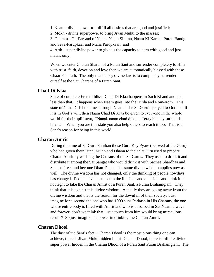1. Kaam - divine power to fullfill all desires that are good and justified;

2. Mokh - divine superpower to bring Jivan Mukti to the masses;

3. Dharam - GurParsaad of Naam, Naam Simran, Naam Ki Kamai, Puran Bandgi and Seva-Parupkaar and Maha Parupkaar; and

4. Arth - super divine power to give us the capacity to earn with good and just means only.

When we enter Charan Sharan of a Puran Sant and surrender completely to Him with trust, faith, devotion and love then we are automatically blessed with these Chaar Padarath. The only mandatory divine law is to completely surrender ourself at the Sat Charans of a Puran Sant.

# **Chad Di Klaa**

State of complete Eternal bliss. Chad Di Klaa happens in Sach Khand and not less than that. It happens when Naam goes into the Hirda and Rom-Rom. This state of Chad Di Klaa comes through Naam. The SatGuru's prayed to God that if it is in God's will, then Naam Chad Di Klaa be given to everyone in the whole world for their uplifment, "Nanak naam chad di klaa. Teray bhanay sarbatt da bhalla." When you are this state you also help others to reach it too. That is a Sant's reason for being in this world.

### **Charan Amrit**

During the time of SatGuru Sahiban those Guru Key Pyare (beloved of the Guru) who had given their Tunn, Munn and Dhann to their SatGuru used to prepare Charan Amrit by washing the Charans of the SatGurus. They used to drink it and distribute it among the Sat Sangat who would drink it with Sachee Shardhaa and Sachee Preet and become Dhan-Dhan. The same divine wisdom applies now as well. The divine wisdom has not changed, only the thinking of people nowdays has changed. People have been lost in the illusions and delusions and think it is not right to take the Charan Amrit of a Puran Sant, a Puran Brahamgiani. They think that it is against this divine wisdom. Actually they are going away from the divine wisdom and that is the reason for the downfall of their society. Just imagine for a second the one who has 1000 suns Parkash in His Charans, the one whose entire body is filled with Amrit and who is absorbed in Sat Naam always and forever, don't we think that just a touch from him would bring miraculous results? So just imagine the power in drinking the Charan Amrit.

### **Charan Dhool**

The dust of the Sant's feet – Charan Dhool is the most pious thing one can achieve, there is Jivan Mukti hidden in this Charan Dhool, there is infinite divine super power hidden in the Charan Dhool of a Puran Sant Puran Brahamgiani. The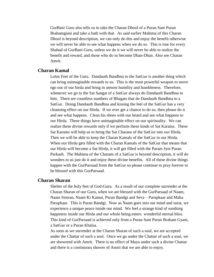GurBani Guru also tells us to take the Charan Dhool of a Puran Sant Puran Brahamgiani and take a bath with that. As said earlier Mahima of this Charan Dhool is beyond description, we can only do this and enjoy the benefit otherwise we will never be able to see what happens when we do so. This is true for every Shabad of GurBani Guru, unless we do it we will never be able to realize the benefit and reward, and those who do so become Dhan-Dhan. Also see Charan Amrit.

# **Charan Kamal**

Lotus Feet of the Guru. Dandauth Bandhna to the SatGur is another thing which can bring unimaginable rewards to us. This is the most powerful weapon to move ego out of our hirda and bring in utmost humility and humbleness. Therefore, whenever we go to the Sat Sangat of a SatGur always do Dandauth Bandhna to him. There are countless numbers of Bhagats that do Dandauth Bandhna to a SatGur. Doing Dandauth Bandhna and kissing the feet of the SatGur has a very cleansing effect on our Hirda. If we ever get a chance to do so, then please do it and see what happens. Clean his shoes with our beard and see what happens to our Hirda. These things have unimaginable effect on our spirituality. We can realize these divine rewards only if we perform these kinds of Sat Karams. These Sat Karams will help us to bring the Sat Charans of the SatGur into our Hirda. Then we will be able to keep the Charan Kamals of the SatGur in our Hirda. When our Hirda gets filled with the Charan Kamals of the SatGur that means that our Hirda will become a Sat Hirda, it will get filled with the Param Jyot Puran Parkash. The Mahima of the Charans of a SatGur is beyond description, it will do wonders to us just do it and enjoy these divine benefits. All of these divine things happen with the GurParsaad from the SatGur so please continue to pray forever to be blessed with this GurParsaad.

### **Charan Sharan**

Shelter of the holy feet of God-Guru. As a result of our complete surrender at the Charan Sharan of our Guru, when we are blessed with the GurParsaad of Naam, Naam Simran, Naam Ki Kamai, Puran Bandgi and Seva – Parupkaar and Maha Parupkaar. This is Puran Bandgi. Now as Naam goes into our mind and surat, we experience a unique peace inside our mind. We feel a strange kind of soothing happiness inside our Hirda and our whole being enters wonderful eternal bliss. This kind of GurParsaad is achieved only from a Puran Sant Puran Braham Gyani, a SatGur or a Puran Khalsa.

As soon as we surrender at the Charan Sharan of such a soul, we are accepted under the Chattar of such a soul. Once we go under the Chattar of such a soul, we are showered with Amrit. There is no effect of Maya under such a divine Chattar and there is a continuous shower of Amrit that we are able to enjoy.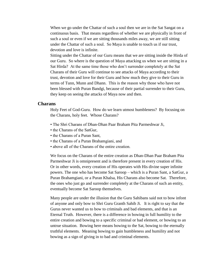When we go under the Chattar of such a soul then we are in the Sat Sangat on a continuous basis. That means regardless of whether we are physically in front of such a soul or even if we are sitting thousands miles away, we are still sitting under the Chattar of such a soul. So Maya is unable to touch us if our trust, devotion and love is infinite.

Sitting under the Chattar of our Guru means that we are sitting inside the Hirda of our Guru. So where is the question of Maya attacking us when we are sitting in a Sat Hirda? At the same time those who don't surrender completely at the Sat Charans of their Guru will continue to see attacks of Maya according to their trust, devotion and love for their Guru and how much they give to their Guru in terms of Tunn, Munn and Dhann. This is the reason why those who have not been blessed with Puran Bandgi, because of their partial surrender to their Guru, they keep on seeing the attacks of Maya now and then.

### **Charans**

Holy Feet of God-Guru. How do we learn utmost humbleness? By focusing on the Charans, holy feet. Whose Charans?

- The Shri Charans of Dhan-Dhan Paar Braham Pita Parmeshwar Ji,
- the Charans of the SatGur,
- the Charans of a Puran Sant,
- the Charans of a Puran Brahamgiani, and
- above all of the Charans of the entire creation.

We focus on the Charans of the entire creation as Dhan-Dhan Paar Braham Pita Parmeshwar Ji is omnipresent and is therefore present in every creation of His. Or in other words, every creation of His operates with His divine super infinite powers. The one who has become Sat Saroop – which is a Puran Sant, a SatGur, a Puran Brahamgiani, or a Puran Khalsa, His Charans also become Sat. Therefore, the ones who just go and surrender completely at the Charans of such an entity, eventually become Sat Saroop themselves.

Many people are under the illusion that the Guru Sahibans said not to bow infont of anyone and only bow to Shri Guru Granth Sahib Ji. It is right to say that the Gurus never wanted us to bow to criminals and bad elements, and that is an Eternal Truth. However, there is a difference in bowing in full humility to the entire creation and bowing to a specific criminal or bad element, or bowing to an untrue situation. Bowing here means bowing to the Sat, bowing to the eternally truthful elements. Meaning bowing to gain humbleness and humility and not bowing as a sign of giving in to bad and criminal elements.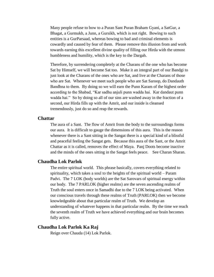Many people refuse to bow to a Puran Sant Puran Braham Gyani, a SatGur, a Bhagat, a Gurmukh, a Junn, a Gursikh, which is not right. Bowing to such entities is a GurParsaad, whereas bowing to bad and criminal elements is cowardly and caused by fear of them. Please remove this illusion from and work towards earning this excellent divine quality of filling our Hirda with the utmost humbleness and humility, which is the key to the Dargah.

Therefore, by surrendering completely at the Charans of the one who has become Sat by Himself, we will become Sat too. Make it an integral part of our Bandgi to just look at the Charans of the ones who are Sat, and live at the Charans of those who are Sat. Whenever we meet such people who are Sat Saroop, do Dandauth Bandhna to them. By doing so we will earn the Punn Karam of the highest order according to the Shabad, "Kar sadhu anjuli punn wadda hai. Kar dandaut punn wadda hai." So by doing so all of our sins are washed away in the fraction of a second, our Hirda fills up with the Amrit, and our inside is cleansed tremendously, just do so and reap the rewards.

# **Chattar**

The aura of a Sant. The flow of Amrit from the body to the surroundings forms our aura. It is difficult to gauge the dimensions of this aura. This is the reason whenever there is a Sant sitting in the Sangat there is a special kind of a blissful and peaceful feeling the Sangat gets. Because this aura of the Sant, or the Amrit Chattar as it is called, removes the effect of Maya. Panj Doots become inactive and the minds of the ones sitting in the Sangat feels peace. See Charan Sharan.

### **Chaudha Lok Parlok**

The entire spiritual world. This phrase basically, covers everything related to spirituality, which takes a soul to the heights of the spiritual world – Param Padvi. The 7 LOK (body worlds) are the Sat Sarovars of spiritual energy within our body. The 7 PARLOK (higher realms) are the seven ascending realms of Truth the soul enters once in Samadhi due to the 7 LOK being activated. When our conscious travels through these realms of Truth (PARLOK) then we become knowledgeable about that particular realm of Truth. We develop an understanding of whatever happens in that particular realm. By the time we reach the seventh realm of Truth we have achieved everything and our brain becomes fully active.

# **Chaudha Lok Parlok Ka Raj**

Reign over Chauda (14) Lok Parlok.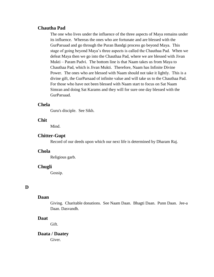# **Chautha Pad**

The one who lives under the influence of the three aspects of Maya remains under its influence. Whereas the ones who are fortunate and are blessed with the GurParsaad and go through the Puran Bandgi process go beyond Maya. This stage of going beyond Maya's three aspects is called the Chauthaa Pad. When we defeat Maya then we go into the Chauthaa Pad, where we are blessed with Jivan Mukti – Param Padvi. The bottom line is that Naam takes us from Maya to Chauthaa Pad, which is Jivan Mukti. Therefore, Naam has Infinite Divine Power. The ones who are blessed with Naam should not take it lightly. This is a divine gift, the GurParsaad of infinite value and will take us to the Chauthaa Pad. For those who have not been blessed with Naam start to focus on Sat Naam Simran and doing Sat Karams and they will for sure one day blessed with the GurParsaad.

# **Chela**

Guru's disciple. See Sikh.

# **Chit**

Mind.

#### **Chitter-Gupt**

Record of our deeds upon which our next life is determined by Dharam Raj.

### **Chola**

Religious garb.

#### **Chugli**

Gossip.

# **D**

#### **Daan**

Giving. Charitable donations. See Naam Daan. Bhagti Daan. Punn Daan. Jee-a Daan. Dasvandh.

#### **Daat**

Gift.

# **Daata / Daatey**

Giver.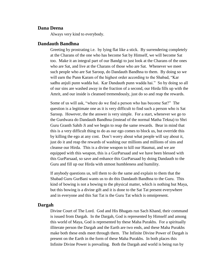### **Dana Deena**

Always very kind to everybody.

#### **Dandauth Bandhna**

Greeting by prostrating i.e. by lying flat like a stick. By surrendering completely at the Charans of the one who has become Sat by Himself, we will become Sat too. Make it an integral part of our Bandgi to just look at the Charans of the ones who are Sat, and live at the Charans of those who are Sat. Whenever we meet such people who are Sat Saroop, do Dandauth Bandhna to them. By doing so we will earn the Punn Karam of the highest order according to the Shabad, "Kar sadhu anjuli punn wadda hai. Kar Dandauth punn wadda hai." So by doing so all of our sins are washed away in the fraction of a second, our Hirda fills up with the Amrit, and our inside is cleansed tremendously, just do so and reap the rewards.

Some of us will ask, "where do we find a person who has become Sat?" The question is a legitimate one as it is very difficult to find such a person who is Sat Saroop. However, the the answer is very simple. For a start, whenever we go to the Gurdwara do Dandauth Bandhna (instead of the normal Matha Tekna) to Shri Guru Granth Sahib Ji and we begin to reap the same rewards. Bear in mind that this is a very difficult thing to do as our ego comes to block us, but override this by killing the ego at any cost. Don't worry about what people will say about it, just do it and reap the rewards of washing our millions and millions of sins and cleanse our Hirda. This is a divine weapon to kill our Haumai, and we are equipped with this weapon, this is a GurParsaad and we have been blessed with this GurParsaad, so save and enhance this GurParsaad by doing Dandauth to the Guru and fill up our Hirda with utmost humbleness and humility.

If anybody questions us, tell them to do the same and explain to them that the Shabad Guru GurBani wants us to do this Dandauth Bandhna to the Guru. This kind of bowing is not a bowing to the physical matter, which is nothing but Maya, but this bowing is a divine gift and it is done to the Sat Tat present everywhere and in everyone and this Sat Tat is the Guru Tat which is omnipresent.

#### **Dargah**

Divine Court of The Lord. God and His Bhagats run Sach Khand, their command is issued from Dargah. In the Dargah, God is represented by Himself and among this world of Maya, God is represented by these Maha Purakhs. For a spiritually illiterate person the Dargah and the Earth are two ends, and these Maha Purakhs make both these ends meet through them. The Infinite Divine Power of Dargah is present on the Earth in the form of these Maha Purakhs. In both places this Infinite Divine Power is prevailing. Both the Dargah and world is being run by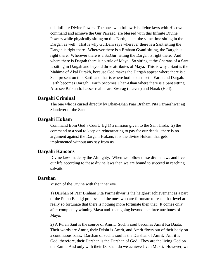this Infinite Divine Power. The ones who follow His divine laws with His own command and achieve the Gur Parsaad, are blessed with this Infinite Divine Powers while physically sitting on this Earth, but at the same time sitting in the Dargah as well. That is why GurBani says wherever there is a Sant sitting the Dargah is right there. Wherever there is a Braham Gyani sitting, the Dargah is right there. Wherever there is a SatGur, sitting the Dargah is right there. And where there is Dargah there is no rule of Maya. So sitting at the Charans of a Sant is sitting in Dargah and beyond three attributes of Maya. This is why a Sant is the Mahima of Akal Purakh, because God makes the Dargah appear where there is a Sant present on this Earth and that is where both ends meet – Earth and Dargah. Earth becomes Dargah. Earth becomes Dhan-Dhan where there is a Sant sitting. Also see Baikunth. Lesser realms are Swarag (heaven) and Narak (Hell).

### **Dargahi Criminal**

The one who is cursed directly by Dhan-Dhan Paar Braham Pita Parmeshwar eg Slanderer of the Sant.

### **Dargahi Hukam**

Command from God's Court. Eg 1) a mission given to the Sant Hirda. 2) the command to a soul to keep on reincarnating to pay for our deeds. there is no argument against the Dargahi Hukam, it is the divine Hukam that gets implemented without any say from us.

#### **Dargahi Kanoons**

Divine laws made by the Almighty. When we follow these divine laws and live our life according to these divine laws then we are bound to succeed in reaching salvation.

### **Darshan**

Vision of the Divine with the inner eye.

1) Darshan of Paar Braham Pita Parmeshwar is the heighest achievement as a part of the Puran Bandgi process and the ones who are fortunate to reach that level are really so fortunate that there is nothing more fortunate then that. It comes only after completely winning Maya and then going beyond the three attributes of Maya.

2) A Puran Sant is the source of Amrit. Such a soul becomes Amrit Ka Daata. Their words are Amrit, their Drisht is Amrit, and Amrit flows out of their body on a continuous basis. Darshan of such a soul is the Darshan of Amrit. Amrit is God, therefore, their Darshan is the Darshan of God. They are the living God on the Earth. And only with their Darshan do we achieve Jivan Mukti. However, we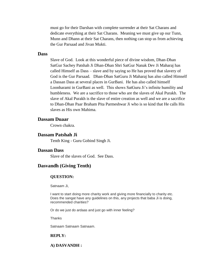must go for their Darshan with complete surrender at their Sat Charans and dedicate everything at their Sat Charans. Meaning we must give up our Tunn, Munn and Dhann at their Sat Charans, then nothing can stop us from achieving the Gur Parsaad and Jivan Mukti.

#### **Dass**

Slave of God. Look at this wonderful piece of divine wisdom, Dhan-Dhan SatGur Sachey Patshah Ji Dhan-Dhan Shri SatGur Nanak Dev Ji Maharaj has called Himself as Dass – slave and by saying so He has proved that slavery of God is the Gur Parsaad. Dhan-Dhan SatGuru Ji Maharaj has also called Himself a Dassan Dass at several places in GurBani. He has also called himself Loonharami in GurBani as well. This shows SatGuru Ji's infinite humility and humbleness. We are a sacrifice to those who are the slaves of Akal Purakh. The slave of Akal Purakh is the slave of entire creation as well and we are a sacrifice to Dhan-Dhan Paar Braham Pita Parmeshwar Ji who is so kind that He calls His slaves as His own Mahima.

# **Dassam Duaar**

Crown chakra.

# **Dassam Patshah Ji**

Tenth King - Guru Gobind Singh Ji.

# **Dassan Dass**

Slave of the slaves of God. See Dass.

### **Dasvandh (Giving Tenth)**

#### **QUESTION:**

Satnaam Ji,

I want to start doing more charity work and giving more financially to charity etc. Does the sangat have any guidelines on this, any projects that baba Ji is doing, recommended charities?

Or do we just do ardaas and just go with inner feeling?

**Thanks** 

Satnaam Satnaam Satnaam.

#### **REPLY:**

**A) DASVANDH :**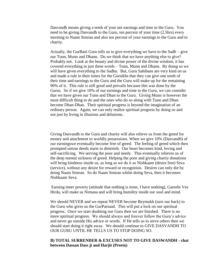Dasvandh means giving a tenth of your net earnings and time to the Guru. You need to be giving Dasvandh to the Guru, ten percent of your time (2.5hrs) every morning to Naam Simran and also ten percent of your earnings to the Guru and to charity.

Actually, the GurBani Guru tells us to give everything we have to the Sadh – give our Tunn, Munn and Dhann. Do we think that we have anything else to give? Probably not. Look at the beauty and divine power of the divine wisdom, it has covered everything in just three words – Tunn, Munn and Dhann. By doing so we will have given everything to the Sadhu. But, Guru Sahibans are very kind on us and made a rule in their times for the Gursikhs that they can give one tenth of their time and earnings to the Guru and the Guru will make up for the remaining 90% of it. This rule is still good and prevails because this was done by the Gurus. So if we give 10% of our earnings and time to the Guru, we can consider that we have given our Tunn and Dhan to the Guru. Giving Munn is however the most difficult thing to do and the ones who do so along with Tunn and Dhan become Dhan-Dhan. Their spiritual progress is beyond the imagination of an ordinary person. Again, we can only realize spiritual progress by doing so and not just by living in illusions and delusions.

Giving Dasvandh to the Guru and charity will also relieve us from the greed for money and attachment to worldly possessions. When we give 10% (Dasvandh) of our earningswe eventually become free of greed. The feeling of greed which then prompted untrue deeds starts to diminish. Our heart becomes kind, loving and self-sacrificing. We serving the poor and needy. This eventually relieves us of the deep mental sickness of greed. Helping the poor and giving charity donations will bring kindness inside us, as long as we do it as Nishkaam (desire free) Seva (service), without any desire for reward or recognition. Desires can only die by doing Naam Simran. So do Naam Simran whilst doing Seva, then it becomes Nishkaam Seva.

Earning inner poverty (attitude that nothing is mine, I have nothing), Gareebi Ves Hirda, will make us Nimana and will bring humility inside our soul and mind.

We should NEVER and we repeat NEVER become Beymukh (turn our back) to the Guru who gives us the GurParsaad. This will put a lock on our spiritual progress. Once we start doubting our Guru then we are finished. There is no more spiritual progress. We should always and forever follow the Guru's advice and never go outside His advice or words. If He tells us to serve others then we should start doing it right away. We should continue to GIVE DASVANDH TO OUR GURU UNTIL HE TELLS US TO STOP DOING SO.

# **B) TOTAL SURRENDER & EXCUSES NOT TO GIVE DASWANDH - chat between Dassan Dass ji and Harjit (Preeto)**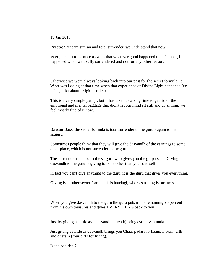19 Jan 2010

**Preeto**: Satnaam simran and total surrender, we understand that now.

Veer ji said it to us once as well, that whatever good happened to us in bhagti happened when we totally surrendered and not for any other reason.

Otherwise we were always looking back into our past for the secret formula i.e What was i doing at that time when that experience of Divine Light happened (eg being strict about religious rules).

This is a very simple path ji, but it has taken us a long time to get rid of the emotional and mental baggage that didn't let our mind sit still and do simran, we feel mostly free of it now.

**Dassan Dass**: the secret formula is total surrender to the guru - again to the satguru.

Sometimes people think that they will give the dasvandh of the earnings to some other place, which is not surrender to the guru.

The surrender has to be to the satguru who gives you the gurparsaad. Giving dasvandh to the guru is giving to none other than your ownself.

In fact you can't give anything to the guru, it is the guru that gives you everything.

Giving is another secret formula, it is bandagi, whereas asking is business.

When you give dasvandh to the guru the guru puts in the remaining 90 percent from his own treasures and gives EVERYTHING back to you.

Just by giving as little as a dasvandh (a tenth) brings you jivan mukti.

Just giving as little as dasvandh brings you Chaar padarath- kaam, moksh, arth and dharam (four gifts for living).

Is it a bad deal?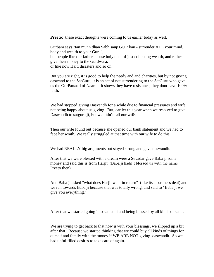**Preeto:** these exact thoughts were coming to us earlier today as well,

Gurbani says "tan munn dhan Sabh saup GUR kau - surrender ALL your mind, body and wealth to your Guru", but people like our father accuse holy men of just collecting wealth, and rather give their money to the Gurdwara, or like now Haiti disasters and so on.

But you are right, it is good to help the needy and and charities, but by not giving daswand to the SatGuru, it is an act of not surrendering to the SatGuru who gave us the GurParsaad of Naam. It shows they have resistance, they dont have 100% faith.

We had stopped giving Dasvandh for a while due to financial pressures and wife not being happy about us giving. But, earlier this year when we resolved to give Daswandh to satguru ji, but we didn't tell our wife.

Then our wife found out because she opened our bank statement and we had to face her wrath. We really struggled at that time with our wife to do this.

We had REALLY big arguments but stayed strong and gave daswandh.

After that we were blessed with a dream were a Sevadar gave Baba ji some money and said this is from Harjit (Baba ji hadn't blessed us with the name Preeto then).

And Baba ji asked "what does Harjit want in return" (like its a business deal) and we ran towards Baba ji because that was totally wrong, and said to "Baba ji we give you everything."

After that we started going into samadhi and being blessed by all kinds of sants.

We are trying to get back to that now ji with your blessings, we slipped up a bit after that. Because we started thinking that we could buy all kinds of things for ourself and family with the money if WE ARE NOT giving daswandh. So we had unfullfilled desires to take care of again.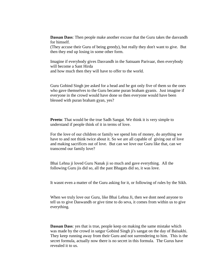**Dassan Dass**: Then people make another excuse that the Guru takes the dasvandh for himself.

(They accuse their Guru of being greedy), but really they don't want to give. But then they end up losing in some other form.

Imagine if everybody gives Dasvandh in the Satnaam Parivaar, then everybody will become a Sant Hirda and how much then they will have to offer to the world.

Guru Gobind Singh jee asked for a head and he got only five of them so the ones who gave themselves to the Guru became puran braham gyanis. Just imagine if everyone in the crowd would have done so then everyone would have been blessed with puran braham gyan, yes?

**Preeto**: That would be the true Sadh Sangat. We think it is very simple to understand if people think of it in terms of love.

For the love of our children or family we spend lots of money, do anything we have to and not think twice about it. So we are all capable of giving out of love and making sacrifices out of love. But can we love our Guru like that, can we transcend our family love?

Bhai Lehna ji loved Guru Nanak ji so much and gave everything. All the following Guru jis did so, all the past Bhagats did so, it was love.

It wasnt even a matter of the Guru asking for it, or following of rules by the Sikh.

When we truly love our Guru, like Bhai Lehna Ji, then we dont need anyone to tell us to give Daswandh or give time to do seva, it comes from within us to give everything.

**Dassan Dass**: yes that is true, people keep on making the same mistake which was made by the crowd in satgur Gobind Singh ji's sangat on the day of Baisakhi. They keep running away from their Guru and not surrendering to him. This is the secret formula, actually now there is no secret in this formula. The Gurus have revealed it to us.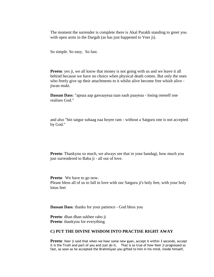The moment the surrender is complete there is Akal Purakh standing to greet you with open arms in the Dargah (as has just happened to Veer ji).

So simple. So easy. So fast.

**Preeto**: yes ji, we all know that money is not going with us and we leave it all behind because we have no choice when physical death comes. But only the ones who freely give up their attachments to it whilst alive become free whislt alive jiwan mukt.

**Dassan Dass**: "apnaa aap gawaayeaa taan sauh paayeaa - losing oneself one realises God."

and also "bin satgur suhaag naa hoyee ram - without a Satguru one is not accepted by God."

**Preeto**: Thankyou so much, we always see that in your bandagi, how much you just surrendered to Baba ji - all out of love.

**Preeto**: We have to go now. Please bless all of us to fall in love with our Satguru ji's holy feet, with your holy lotus feet

**Dassan Dass**: thanks for your patience - God bless you

**Preeto**: dhan dhan sukhee raho ji **Preeto**: thankyou for everything.

#### **C) PUT THE DIVINE WISDOM INTO PRACTISE RIGHT AWAY**

**Preeto**: Veer ji said that when we hear some new gyan, accept it within 3 seconds, accept it is the Truth and part of you and just do it. That is so true of how Veer ji progressed so fast, as soon as he accepted the BrahmGyan you gifted to him in his mind, inside himself,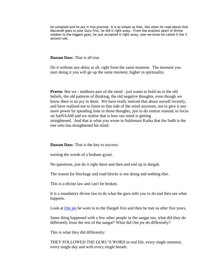he complied and he put it into practise. It is as simple as that, like when he read above that Dasvandh goes to your Guru first, he did it right away. From the smallest pearl of divine wisdom to the biggest gyan, he just accepted it right away, now we know he called it the 3 second rule.

**Dassan Dass**: That is all true.

Do it without any delay at all, right from the same moment. The moment you start doing it you will go up the same moment, higher in spirituality.

**Preeto:** But we - stubborn part of the mind - just wants to hold on to the old beliefs, the old patterns of thinking, the old negative thoughts, even though we know there is no joy in them. We have really noticed that about ourself recently, and have realised not to listen to that side of the mind anymore, not to give it any more power by spending time in those thoughts, just to do simran instead, to focus on SatNAAM and we realise that is how our mind is getting straightened. And that is what you wrote in Sukhmani Katha that the Sadh is the one who has straightened his mind.

**Dassan Dass**: That is the key to success:

earning the words of a braham gyani.

No questions, just do it right there and then and end up in dargah.

The reason for blockage and road blocks is not doing and nothing else.

This is a divine law and can't be broken.

It is a mandatory divine law to do what the guru tells you to do and then see what happens.

Look at [Om](http://satnaam.info/oms-journey-to-god.html) jee he went in to the Dargah first and then he met us after five years.

Same thing happened with a few other people in the sangat too, what did they do differently from the rest of the sangat? What did Om jee do differently?

This is what they did differently:

THEY FOLLOWED THE GURU'S WORD in real life, every single moment, every single day and with every single breath.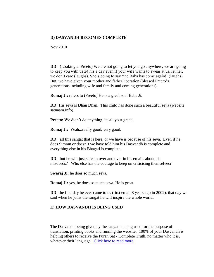# **D) DASVANDH BECOMES COMPLETE**

Nov 2010

**DD:** (Looking at Preeto) We are not going to let you go anywhere, we are going to keep you with us 24 hrs a day even if your wife wants to swear at us, let her, we don't care (laughs). She's going to say 'the Baba has come again!' (laughs) But, we have given your mother and father liberation (blessed Preeto's generations including wife and family and coming generations).

**Romaj Ji:** refers to (Preeto) He is a great soul Baba Ji.

**DD:** His seva is Dhan Dhan. This child has done such a beautiful seva (website satnaam.info).

**Preeto:** We didn't do anything, its all your grace.

**Romaj Ji:** Yeah...really good, very good.

**DD:** all this sangat that is here, or we have is because of his seva. Even if he does Simran or doesn't we have told him his Dasvandh is complete and everything else in his Bhagati is complete.

**DD:** but he will just scream over and over in his emails about his misdeeds? Who else has the courage to keep on criticising themselves?

**Swaraj Ji:** he does so much seva.

**Romaj Ji:** yes, he does so much seva. He is great.

**DD:** the first day he ever came to us (first email 8 years ago in 2002), that day we said when he joins the sangat he will inspire the whole world.

#### **E) HOW DASVANDH IS BEING USED**

The Dasvandh being given by the sangat is being used for the purpose of translation, printing books and running the website. 100% of your Dasvandh is helping others to receive the Puran Sat - Complete Truth, no matter who it is, whatever their language. [Click here to read more.](http://satnaam.info/more-articles/1950-how-daswandh-is-being-used.html)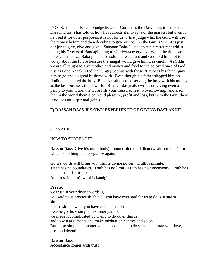(NOTE: it is not for us to judge how our Guru uses the Dasvandh, it is nice that Dassan Dass ji has told us how he redirects it into seva of the masses, but even if he used it for other purposes, it is not for us to first judge what the Guru will use the money before and then deciding to give or not. As the Guru's Sikh it is just our job to give, give and give. Satnaam Baba Ji used to run a restaurant whilst doing his 7 years of Bandagi going to Gurdwara everyday. When the time came to leave that seva, Baba ji had also sold the restaurant and God told him not to worry about the future because the sangat would give him Dasvandh. As Sikhs we are all taught to give clothes and money and food to the beloved ones of God, just as Baba Nanak ji fed the hungry Sadhus with those 20 rupees his father gave him to go and do good business with. Even though his father slapped him on finding he had fed the holy, Baba Nanak deemed serving the holy with his money as the best business in the world. Bhai gurdas ji also writes on giving even a penny to your Guru, the Guru fills your treasurechest to overflowing. and also, that in the world their is pain and pleasure, profit and loss, but with the Guru there is no loss only spiritual gain.)

#### **F) DASSAN DASS JI'S OWN EXPERIENCE OF GIVING DASVANDH**

#### 8 Feb 2010

#### HOW TO SURRENDER

**Dassan Dass**: Give his tunn (body), munn (mind) and dhan (wealth) to the Guru which is nothing but acceptance again.

Guru's words will bring you infinite divine power. Truth is infinite. Truth has no boundaries. Truth has no limit. Truth has no dimensions. Truth has no depth - it is infinite.

And trust in guru's word is bandgi.

#### **Preeto**:

we trust in your divine words ji, you said to us previously that all you have ever said for us to do is satnaam simran, it is so simple what you have asked us to do - we forgot how simple this inner path is, we made it complicated by trying to do other things and to win arguments and make meditation centres and so on. But its so simple, no matter what happens just to do satnaam simran with love, trust and devotion.

#### **Dassan Dass**:

Acceptance comes with trust,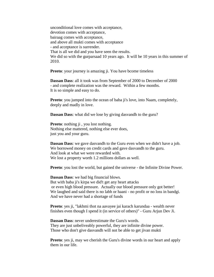unconditional love comes with acceptance, devotion comes with acceptance, bairaag comes with acceptance, and above all mukti comes with acceptance - and acceptance is surrender. That is all we did and you have seen the results. We did so with the gurparsaad 10 years ago. It will be 10 years in this summer of 2010.

**Preeto**: your journey is amazing ji. You have bcome timeless

**Dassan Dass**: all it took was from September of 2000 to December of 2000 - and complete realization was the reward. Within a few months. It is so simple and easy to do.

**Preeto**: you jumped into the ocean of baba ji's love, into Naam, completely, deeply and madly in love.

**Dassan Dass:** what did we lose by giving dasvandh to the guru?

**Preeto**: nothing ji, you lost nothing. Nothing else mattered, nothing else ever does, just you and your guru.

**Dassan Dass**: we gave dasvandh to the Guru even when we didn't have a job. We borrowed money on credit cards and gave dasvandh to the guru. And look at what we were rewarded with. We lost a property worth 1.2 millions dollars as well.

**Preeto**: you lost the world, but gained the universe - the Infinite Divine Power.

**Dassan Dass**: we had big financial blows. But with baba ji's kirpa we did't get any heart attacks or even high blood pressure. Actually our blood pressure only got better! We laughed and said there is no labh or haani - no profit or no loss in bandgi. And we have never had a shortage of funds

**Preeto**: yes ji, "lakhmi thot na aavayee jai karach karundaa - wealth never finishes even though I spend it (in service of others)" - Guru Arjun Dev Ji.

**Dassan Dass**: never underestimate the Guru's words. They are just unbeliveably powerful, they are infinite divine power. Those who don't give dasvandh will not be able to get jivan mukti

**Preeto**: yes ji, may we cherish the Guru's divine words in our heart and apply them in our life.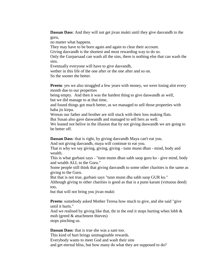**Dassan Dass**: And they will not get jivan mukti until they give dasvandh to the guru,

no matter what happens.

They may have to be born again and again to clear their account.

Giving dasvandh is the shortest and most rewarding way to do so.

Only the Gurparsaad can wash all the sins, there is nothing else that can wash the sins.

Eventually everyone will have to give dasvandh,

wether in this life of the one after or the one after and so on. So the sooner the better.

**Preeto**: yes we also struggled a few years with money, we were losing alot every month due to our properties

being empty. And then it was the hardest thing to give daswandh as well, but we did manage to at that time,

and found things got much better, as we managed to sell those properties with baba jis kirpa.

Wereas our father and brother are still stuck with their loss making flats. But Susan also gave daswandh and managed to sell hers as well.

We leaned not belive in the illusion that by not giving daswandh we are going to be better off.

**Dassan Dass**: that is right, by giving dasvandh Maya can't eat you.

And not giving dasvandh, maya will continue to eat you.

That is why we say giving, giving, giving - tunn munn dhan - mind, body and wealth.

This is what gurbani says - "tunn munn dhan sabh saop guru ko - give mind, body and wealth ALL to the Guru."

Some people still think that giving dasvandh to some other charities is the same as giving to the Guru.

But that is not true, gurbani says "tunn munn dha sabh saop GUR ko."

Although giving to other charities is good as that is a punn karam (virtuous deed) too,

but that will not bring you jivan mukti

**Preeto**: somebody asked Mother Teresa how much to give, and she said "give until it hurts."

And we realised by giving like that, tht in the end it stops hurting when lobh  $\&$ moh (greed & attachment thieves)

stops pinching us.

**Dassan Dass**: that is true she was a sant too. This kind of hurt brings unimaginable rewards. Everybody wants to meet God and wash their sins and get eternal bliss, but how many do what they are supposed to do?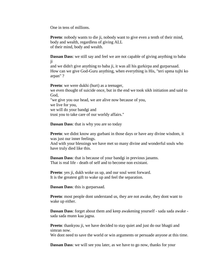One in tens of millions.

**Preeto**: nobody wants to die ji, nobody want to give even a tenth of their mind, body and wealth, regardless of giving ALL of their mind, body and wealth.

**Dassan Dass**: we still say and feel we are not capable of giving anything to baba ji

and we didn't give anything to baba ji, it was all his gurkirpa and gurparsaad. How can we give God-Guru anything, when everything is His, "teri upma tujhi ko arpan" ?

**Preeto**: we were dukhi (hurt) as a teenager, we even thought of suicide once, but in the end we took sikh initiation and said to God, "we give you our head, we are alive now because of you, we live for you, we will do your bandgi and trust you to take care of our worldy affairs."

**Dassan Dass**: that is why you are so today

**Preeto**: we didnt know any gurbani in those days or have any divine wisdom, it was just our inner feelings.

And with your blessings we have met so many divine and wonderful souls who have truly died like this.

**Dassan Dass**: that is because of your bandgi in previous janams. That is real life - death of self and to become non existant.

**Preeto**: yes ji, dukh woke us up, and our soul went forward. It is the greatest gift to wake up and feel the separation.

**Dassan Dass**: this is gurparsaad.

**Preeto**: most people dont understand us, they are not awake, they dont want to wake up either.

**Dassan Dass**: forget about them and keep awakening yourself - sada sada awake sada sada munn kaa jagna.

**Preeto**: thankyou ji, we have decided to stay quiet and just do our bhagti and simran now.

We dont need to save the world or win arguments or persuade anyone at this time.

**Dassan Dass:** we will see you later, as we have to go now, thanks for your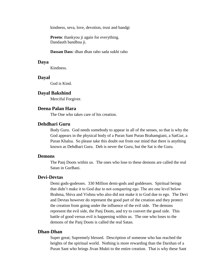kindness, seva, love, devotion, trust and bandgi

**Preeto**: thankyou ji again for everything. Dandauth bandhna ji.

**Dassan Dass**: dhan dhan raho sada sukhi raho

#### **Daya**

Kindness.

#### **Dayal**

God is Kind.

# **Dayal Bakshind**

Merciful Forgiver.

# **Deena Palan Hara**

The One who takes care of his creation.

# **Dehdhari Guru**

Body Guru. God needs somebody to appear in all of the senses, so that is why the God appears in the physical body of a Puran Sant Puran Brahamgiani, a SatGur, a Puran Khalsa. So please take this doubt out from our mind that there is anything known as Dehdhari Guru. Deh is never the Guru, but the Sat is the Guru.

### **Demons**

The Panj Doots within us. The ones who lose to these demons are called the real Satan in GurBani.

# **Devi-Devtas**

Demi gods-godesses. 330 Million demi-gods and goddesses. Spiritual beings that didn't make it to God due to not conquering ego. The are one level below Brahma, Shiva and Vishnu who also did not make it to God due to ego. The Devi and Devtas however do represent the good part of the creation and they protect the creation from going under the influence of the evil side. The demons represent the evil side, the Panj Doots, and try to convert the good side. This battle of good versus evil is happening within us. The one who loses to the demons of the Panj Doots is called the real Satan.

# **Dhan-Dhan**

Super great; Supremely blessed. Description of someone who has reached the heights of the spiritual world. Nothing is more rewarding than the Darshan of a Puran Sant who brings Jivan Mukti to the entire creation. That is why these Sant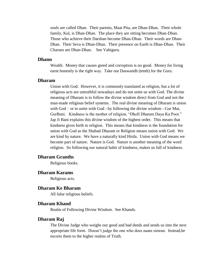souls are called Dhan. Their parents, Maat Pita, are Dhan-Dhan. Their whole family, Kul, is Dhan-Dhan. The place they are sitting becomes Dhan-Dhan. Those who achieve their Darshan become Dhan-Dhan. Their words are Dhan-Dhan. Their Seva is Dhan-Dhan. Their presence on Earth is Dhan-Dhan. Their Charans are Dhan-Dhan. See Vahiguru.

#### **Dhann**

Wealth. Money that causes greed and corruption is no good. Money for living earnt honestly is the right way. Take out Daswandh (tenth) for the Guru.

# **Dharam**

Union with God. However, it is commonly translated as religion, but a lot of religious acts are untruthful nowadays and do not unite us with God. The divine meaning of Dharam is to follow the divine wisdom direct from God and not the man-made religious belief systems. The real divine meaning of Dharam is union with God – or to unite with God - by following the divine wisdom - Gur Mat, GurBani. Kindness is the mother of religion, "Dholl Dharam Daya Ka Poot." Jap Ji Bani explains this divine wisdom of the highest order. This means that kindness gives birth to religion. This means that kindness is the foundation for union with God as the Shabad Dharam or Religion means union with God. We are kind by nature. We have a naturally kind Hirda. Union with God means we become part of nature. Nature is God. Nature is another meaning of the word religion. So following our natural habit of kindness, makes us full of kindness.

### **Dharam Granths**

Religious books.

# **Dharam Karams**

Religious acts.

#### **Dharam Ke Bharam**

All false religious beliefs.

# **Dharam Khand**

Realm of Following Divine Wisdom. See Khands.

# **Dharam Raj**

The Divine Judge who weighs our good and bad deeds and sends us into the next appropriate life form. Doesn't judge the one who does naam simran. Instead,he escorts them to the higher realms of Truth.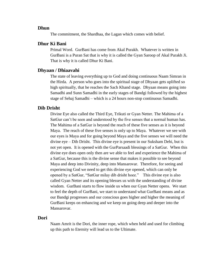#### **Dhun**

The commitment, the Shardhaa, the Lagan which comes with belief.

### **Dhur Ki Bani**

Primal Word. GurBani has come from Akal Purakh. Whatever is written in GurBani is a Puran Sat that is why it is called the Gyan Saroop of Akal Purakh Ji. That is why it is called Dhur Ki Bani.

### **Dhyaan / Dhiaavahi**

The state of leaving everything up to God and doing continuous Naam Simran in the Hirda. A person who goes into the spiritual stage of Dhyaan gets uplifted so high spiritually, that he reaches the Sach Khand stage. Dhyaan means going into Samadhi and Sunn Samadhi in the early stages of Bandgi followed by the highest stage of Sehaj Samadhi – which is a 24 hours non-stop continuous Samadhi.

#### **Dib Drisht**

Divine Eye also called the Third Eye, Trikuti or Gyan Netter. The Mahima of a SatGur can't be seen and understood by the five senses that a normal human has. The Mahima of a SatGur is beyond the reach of these five senses as it is beyond Maya. The reach of these five senses is only up to Maya. Whatever we see with our eyes is Maya and for going beyond Maya and the five senses we will need the divine eye – Dib Drisht. This divine eye is present in our Suksham Dehi, but is not yet open. It is opened with the GurParsaadi blessings of a SatGur. When this divine eye does open only then are we able to feel and experience the Mahima of a SatGur, because this is the divine sense that makes it possible to see beyond Maya and deep into Divinity, deep into Mansarovar. Therefore, for seeing and experiencing God we need to get this divine eye opened, which can only be opened by a SatGur, "SatGur milay dib drisht hoee." This divine eye is also called Gyan Netter and its opening blesses us with the understanding of divine wisdom. GurBani starts to flow inside us when our Gyan Netter opens. We start to feel the depth of GurBani, we start to understand what GurBani means and as our Bandgi progresses and our conscious goes higher and higher the meaning of GurBani keeps on enhancing and we keep on going deep and deeper into the Mansarovar.

#### **Dori**

Naam Amrit is the Dori, the inner rope, which when held and used for climbing up this path to Eternity will lead us to the Ultimate.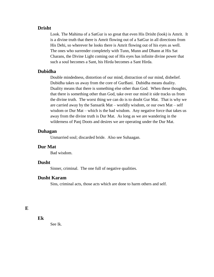#### **Drisht**

Look. The Mahima of a SatGur is so great that even His Drisht (look) is Amrit. It is a divine truth that there is Amrit flowing out of a SatGur in all directions from His Dehi, so wherever he looks there is Amrit flowing out of his eyes as well. The ones who surrender completely with Tunn, Munn and Dhann at His Sat Charans, the Divine Light coming out of His eyes has infinite divine power that such a soul becomes a Sant, his Hirda becomes a Sant Hirda.

# **Dubidha**

Double mindedness, distortion of our mind, distraction of our mind, disbelief. Dubidha takes us away from the core of GurBani. Dubidha means duality. Duality means that there is something else other than God. When these thoughts, that there is something other than God, take over our mind it side tracks us from the divine truth. The worst thing we can do is to doubt Gur Mat. That is why we are carried away by the Sansarik Mat – worldly wisdom, or our own Mat – self wisdom or Dur Mat – which is the bad wisdom. Any negative force that takes us away from the divine truth is Dur Mat. As long as we are wandering in the wilderness of Panj Doots and desires we are operating under the Dur Mat.

#### **Duhagan**

Unmarried soul; discarded bride. Also see Suhaagan.

#### **Dur Mat**

Bad wisdom.

# **Dusht**

Sinner, criminal. The one full of negative qualities.

# **Dusht Karam**

Sins, criminal acts, those acts which are done to harm others and self.

**Ek**

See Ik.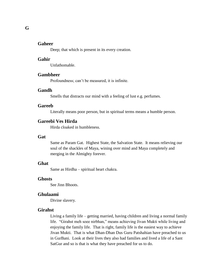#### **Gaheer**

Deep; that which is present in its every creation.

### **Gahir**

Unfathomable.

#### **Gambheer**

Profoundness; can't be measured, it is infinite.

#### **Gandh**

Smells that distracts our mind with a feeling of lust e.g. perfumes.

#### **Gareeb**

Literally means poor person, but in spiritual terms means a humble person.

# **Gareebi Ves Hirda**

Hirda cloaked in humbleness.

### **Gat**

Same as Param Gat. Highest State, the Salvation State. It means relieving our soul of the shackles of Maya, wining over mind and Maya completely and merging in the Almighty forever.

# **Ghat**

Same as Hirdha – spiritual heart chakra.

# **Ghosts**

See Jinn Bhoots.

### **Ghulaami**

Divine slavery.

# **Girahst**

Living a family life – getting married, having children and living a normal family life. "Girahst meh soee nirbhan," means achieving Jivan Mukti while living and enjoying the family life. That is right, family life is the easiest way to achieve Jivan Mukti. That is what Dhan-Dhan Dus Guru Patshahian have preached to us in GurBani. Look at their lives they also had families and lived a life of a Sant SatGur and so is that is what they have preached for us to do.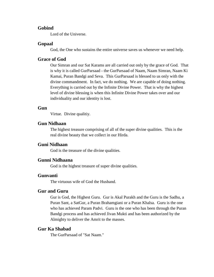### **Gobind**

Lord of the Universe.

### **Gopaal**

God, the One who sustains the entire universe saves us whenever we need help.

# **Grace of God**

Our Simran and our Sat Karams are all carried out only by the grace of God. That is why it is called GurParsaad - the GurParsaad of Naam, Naam Simran, Naam Ki Kamai, Puran Bandgi and Seva. This GurParsaad is blessed to us only with the divine commandment. In fact, we do nothing. We are capable of doing nothing. Everything is carried out by the Infinite Divine Power. That is why the highest level of divine blessing is when this Infinite Divine Power takes over and our individuality and our identity is lost.

# **Gun**

Virtue. Divine qualitiy.

# **Gun Nidhaan**

The highest treasure comprising of all of the super divine qualities. This is the real divine beauty that we collect in our Hirda.

# **Guni Nidhaan**

God is the treasure of the divine qualities.

### **Gunni Nidhaana**

God is the highest treasure of super divine qualities.

### **Gunvanti**

The virtuous wife of God the Husband.

# **Gur and Guru**

Gur is God, the Highest Guru. Gur is Akal Purakh and the Guru is the Sadhu, a Puran Sant, a SatGur, a Puran Brahamgiani or a Puran Khalsa. Guru is the one who has achieved Param Padvi. Guru is the one who has been through the Puran Bandgi process and has achieved Jivan Mukti and has been authorized by the Almighty to deliver the Amrit to the masses.

# **Gur Ka Shabad**

The GurParsaad of "Sat Naam."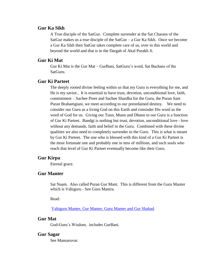# **Gur Ka Sikh**

A True disciple of the SatGur. Complete surrender at the Sat Charans of the SatGur makes us a true disciple of the SatGur – a Gur Ka Sikh. Once we become a Gur Ka Sikh then SatGur takes complete care of us, over in this world and beyond the world and that is in the Dargah of Akal Purakh Ji.

# **Gur Ki Mat**

Gur Ki Mat is the Gur Mat – GurBani, SatGuru's word, Sat Bachans of the SatGuru.

# **Gur Ki Parteet**

The deeply rooted divine feeling within us that my Guru is everything for me, and He is my savior.. It is essential to have trust, devotion, unconditional love, faith, commitment – Sachee Preet and Sachee Shardha for the Guru, the Puran Sant Puran Brahamgiani, we meet according to our preordained destiny. We need to consider our Guru as a living God on this Earth and consisder His word as the word of God for us. Giving our Tunn, Munn and Dhann to our Guru is a function of Gur Ki Parteet. Bandgi is nothing but trust, devotion, unconditional love - love without any demands, faith and belief in the Guru. Combined with these divine qualities we also need to completely surrender to the Guru. This is what is meant by Gur Ki Parteet. The one who is blessed with this kind of a Gur Ki Parteet is the most fortunate one and probably one in tens of millions, and such souls who reach that level of Gur Ki Parteet eventually become like their Guru.

# **Gur Kirpa**

Eternal grace.

# **Gur Manter**

Sat Naam. Also called Puran Gur Mant. This is different from the Guru Manter which is Vahiguru - See Guru Mantra.

Read:

[Vahiguru Manter, Gur Manter, Guru Manter and Gur Shabad.](http://www.satnaam.info/index.php?option=com_content&task=view&id=322&Itemid=21)

# **Gur Mat**

God-Guru's Wisdom, includes GurBani.

#### **Gur Sagar**

See Mansarovar.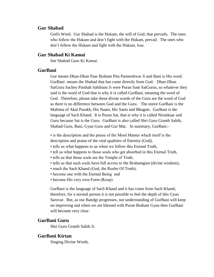## **Gur Shabad**

God's Word. Gur Shabad is the Hukam, the will of God, that prevails. The ones who follow the Hukam and don't fight with the Hukam, prevail. The ones who don't follow the Hukam and fight with the Hukam, lose.

# **Gur Shabad Ki Kamai**

See Shabad Guru Ki Kamai.

# **GurBani**

Gur means Dhan-Dhan Paar Braham Pita Parmeshwar Ji and Bani is His word. GurBani means the Shabad that has come directly from God. Dhan-Dhan SatGuru Sachey Patshah Sahibans Ji were Puran Sant SatGurus, so whatever they said is the word of God that is why it is called GurBani, meaning the word of God. Therefore, please take these divine words of the Guru are the word of God as there is no difference between God and the Guru. The entire GurBani is the Mahima of Akal Purakh, His Naam, His Sants and Bhagats. GurBani is the language of Sach Khand. It is Puran Sat, that is why it is called Nirankaar and Guru because Sat is the Guru. GurBani is also called Shri Guru Granth Sahib, Shabad Guru, Bani, Gyan Guru and Gur Mat. In summary, GurBani:-

• is the description and the praise of the Mool Manter which itself is the description and praise of the vital qualities of Eternity (God),

- tells us what happens to us when we follow this Eternal Truth,
- tell us what happens to those souls who get absorbed in this Eternal Truth,
- tells us that those souls are the Temple of Truth,
- tells us that such souls have full access to the Brahamgian (divine wisdom),
- reach the Sach Khand (God, the Realm Of Truth),
- become one with the Eternal Being and
- become His very own Form (Roop).

GurBani is the language of Sach Khand and it has come from Sach Khand, therefore, for a normal person it is not possible to feel the depth of this Gyan Sarovar. But, as our Bandgi progresses, our understanding of GurBani will keep on improving and when we are blessed with Puran Braham Gyan then GurBani will become very clear.

## **GurBani Guru**

Shri Guru Granth Sahib Ji.

# **GurBani Kirtan**

Singing Divine Words.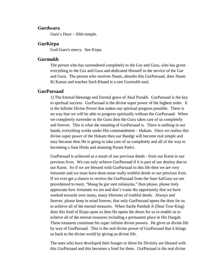## **Gurdwara**

Guru's Door – Sikh temple.

## **GurKirpa**

God-Guru's mercy. See Kirpa.

## **Gurmukh**

The person who has surrendered completely to the Gur and Guru, who has given everything to the Gur and Guru and dedicated Himself to the service of the Gur and Guru. The person who receives Naam, absorbs this GurParsaad, does Naam Ki Kamai and reaches Sach Khand is a rare Gurmukh soul.

# **GurParsaad**

1) The Eternal blessings and Eternal grace of Akal Purakh. GurParsaad is the key to spiritual success. GurParsaad is the divine super power of the highest order. It is the Infinite Divine Power that makes our spiritual progress possible. There is no way that we will be able to progress spiritually without the GurParsaad. When we completely surrender to the Guru then the Guru takes care of us completely and forever. This is what the meaning of GurParsaad is. There is nothing in our hands, everything works under His commandment – Hukam. Once we realize this divine super power of the Hukam then our Bandgi will become real simple and easy because then He is going to take care of us completely and all of the way to becoming a Sant Hirda and attaining Param Padvi.

GurParsaad is achieved as a result of our previous deeds - from our Karni in our previous lives. We can only achieve GurParsaad if it is part of our destiny due to our Karni. So if we are blessed with GurParsaad in this life then we are very fortunate and we must have done some really truthful deeds in our previous lives. If we ever get a chance to receive the GurParsaad from the Sant SatGuru we are preordained to meet, "bhaag ha gur sant milaayiaa," then please, please truly appreciate how fortunate we are and don't waste the opportunity that we have worked towards over many, many lifetimes of truthful deeds. Always and forever, please keep in mind forever, that only GurParsaad opens the door for us to achieve all of the eternal treasures. When Sache Patshah Ji (Dear True King) does this kind of Kirpa upon us then He opens the doors for us to enable us to achieve all of the eternal treasures including a permanent place in His Dargah. These treasures constitute his super infinite divine powers. He gives us divine life by way of GurParsaad. This is the real divine power of GurParsaad that it brings us back to the divine world by giving us divine life.

The ones who have developed their hunger or thirst for Divinity are blessed with this GurParsaad and this becomes a food for them. GurParsaad is the real divine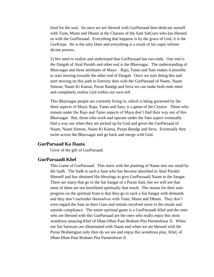food for the soul. So once we are blessed with GurParsaad then dedicate ourself with Tunn, Munn and Dhann at the Charans of the Sant SatGuru who has blessed us with the GurParsaad. Everything that happens is by the grace of God, it is the GurKirpa. He is the only Doer and everything is a result of his super infinite divine powers.

2) We need to realize and understand that GurParsaad has two ends. One end is the Dargah of Akal Purakh and other end is the Bhavsagar. The understanding of Bhavsagar and three attributes of Maya – Rajo, Tamo and Sato makes it possible to start moving towards the other end of Dargah. Once we start doing this and start moving on this path to Eternity then with the GurParsaad of Naam, Naam Simran, Naam Ki Kamai, Puran Bandgi and Seva we can make both ends meet and completely realize God within our own self.

This Bhavsagar people are currently living in, which is being governed by the three aspects of Maya: Rajo, Tamo and Sato, is a game of the Creator. Those who remain under the Rajo and Tamo aspects of Maya don't find their way out of this Bhavsagar. But, those who work and operate under the Sato aspect eventually find a way out when they are picked up by God and given the GurParsaad of Naam, Naam Simran, Naam Ki Kamai, Puran Bandgi and Seva. Eventually they swim across the Bhavsagar and go back and merge with God.

## **GurParsaad Ka Daata**

Giver of the gift of GurParsaad.

# **GurParsaadi Khel**

This Game of GurParsaad. This starts with the planting of Naam into our mind by the Sadh. The Sadh is such a Sant who has become absorbed in Akal Purakh Himself and has obtained His blessings to give GurParsaadi Naam to the Sangat. There are many that go to the Sat Sangat of a Puran Sant, but we will see that most of them are not benefitted spiritually that much. The reason for their nonprogress on the spiritual front is that they go to such a Sat Sangat with demands and they don't surrender themselves with Tunn, Munn and Dhann. They don't even regard the Sant as their Guru and remain involved more in the rituals and outside compliance. The entire spiritual game is a GurParsaadi Khel and the ones who are blessed with this GurParsaad are the ones who really enjoy this most wondrous amazing Khel of Dhan-Dhan Paar Braham Pita Parmeshwar Ji. When our Sat Sarovars are illuminated with Naam and when we are blessed with the Puran Brahamgian only then do we see and enjoy this wondrous play, Khel, of Dhan-Dhan Paar Braham Pita Parmeshwar Ji.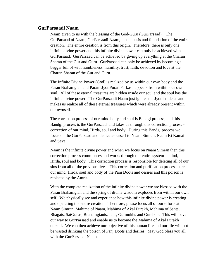## **GurParsaadi Naam**

Naam given to us with the blessing of the God-Guru (GurParsaad). The GurParsaad of Naam, GurParsaadi Naam, is the basis and foundation of the entire creation. The entire creation is from this origin. Therefore, there is only one infinite divine power and this infinite divine power can only be achieved with GurParsaad. GurParsaad can be achieved by giving up everything at the Charan Sharan of the Gur and Guru. GurParsaad can only be achieved by becoming a beggar full of with humbleness, humility, trust, faith, devotion and love at the Charan Sharan of the Gur and Guru.

The Infinite Divine Power (God) is realized by us within our own body and the Puran Brahamgian and Param Jyot Puran Parkash appears from within our own soul. All of these eternal treasures are hidden inside our soul and the soul has the infinite divine power. The GurParsaadi Naam just ignites the Jyot inside us and makes us realize all of these eternal treasures which were already present within our ownself.

The correction process of our mind body and soul is Bandgi process, and this Bandgi process is the GurParsaad, and takes us through this correction process correction of our mind, Hirda, soul and body. During this Bandgi process we focus on the GurParsaad and dedicate ourself to Naam Simran, Naam Ki Kamai and Seva.

Naam is the infinite divine power and when we focus on Naam Simran then this correction process commences and works through our entire system – mind, Hirda, soul and body. This correction process is responsible for deleting all of our sins from all of the previous lives. This correction and purification process cures our mind, Hirda, soul and body of the Panj Doots and desires and this poison is replaced by the Amrit.

With the complete realization of the infinite divine power we are blessed with the Puran Brahamgian and the spring of divine wisdom explodes from within our own self. We physically see and experience how this infinite divine power is creating and operating the entire creation. Therefore, please focus all of our efforts at Naam Simran, Mahima of Naam, Mahima of Akal Purakh, Mahima of Sants, Bhagats, SatGurus, Brahamgianis, Jans, Gurmukhs and Gursikhs. This will pave our way to GurParsaad and enable us to become the Mahima of Akal Purakh ourself. We can then achieve our objective of this human life and our life will not be wasted drinking the poison of Panj Doots and desires. May God bless you all with the GurParsaadi Naam.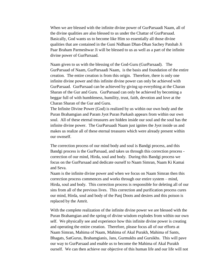When we are blessed with the infinite divine power of GurParsaadi Naam, all of the divine qualities are also blessed to us under the Chattar of GurParsaad. Basically, God wants us to become like Him so essentially all those divine qualities that are contained in the Guni Nidhaan Dhan-Dhan Sachey Patshah Ji Paar Braham Parmeshwar Ji will be blessed to us as well as a part of the infinite divine power of GurParsaad.

Naam given to us with the blessing of the God-Guru (GurParsaad). The GurParsaad of Naam, GurParsaadi Naam, is the basis and foundation of the entire creation. The entire creation is from this origin. Therefore, there is only one infinite divine power and this infinite divine power can only be achieved with GurParsaad. GurParsaad can be achieved by giving up everything at the Charan Sharan of the Gur and Guru. GurParsaad can only be achieved by becoming a beggar full of with humbleness, humility, trust, faith, devotion and love at the Charan Sharan of the Gur and Guru.

The Infinite Divine Power (God) is realized by us within our own body and the Puran Brahamgian and Param Jyot Puran Parkash appears from within our own soul. All of these eternal treasures are hidden inside our soul and the soul has the infinite divine power. The GurParsaadi Naam just ignites the Jyot inside us and makes us realize all of these eternal treasures which were already present within our ownself.

The correction process of our mind body and soul is Bandgi process, and this Bandgi process is the GurParsaad, and takes us through this correction process correction of our mind, Hirda, soul and body. During this Bandgi process we focus on the GurParsaad and dedicate ourself to Naam Simran, Naam Ki Kamai and Seva.

Naam is the infinite divine power and when we focus on Naam Simran then this correction process commences and works through our entire system – mind, Hirda, soul and body. This correction process is responsible for deleting all of our sins from all of the previous lives. This correction and purification process cures our mind, Hirda, soul and body of the Panj Doots and desires and this poison is replaced by the Amrit.

With the complete realization of the infinite divine power we are blessed with the Puran Brahamgian and the spring of divine wisdom explodes from within our own self. We physically see and experience how this infinite divine power is creating and operating the entire creation. Therefore, please focus all of our efforts at Naam Simran, Mahima of Naam, Mahima of Akal Purakh, Mahima of Sants, Bhagats, SatGurus, Brahamgianis, Jans, Gurmukhs and Gursikhs. This will pave our way to GurParsaad and enable us to become the Mahima of Akal Purakh ourself. We can then achieve our objective of this human life and our life will not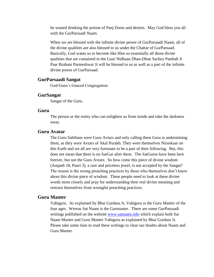be wasted drinking the poison of Panj Doots and desires. May God bless you all with the GurParsaadi Naam.

When we are blessed with the infinite divine power of GurParsaadi Naam, all of the divine qualities are also blessed to us under the Chattar of GurParsaad. Basically, God wants us to become like Him so essentially all those divine qualities that are contained in the Guni Nidhaan Dhan-Dhan Sachey Patshah Ji Paar Braham Parmeshwar Ji will be blessed to us as well as a part of the infinite divine power of GurParsaad.

## **GurParsaadi Sangat**

God-Guru's Graced Congregation.

### **GurSangat**

Sangat of the Guru.

### **Guru**

The person or the entity who can enlighten us from inside and take the darkness away.

## **Guru Avatar**

The Guru Sahibans were Guru Avtars and only calling them Guru is undermining them, as they were Avtars of Akal Purakh. They were themselves Nirankaar on this Earth and we all are very fortunate to be a part of their following. But, this does not mean that there is no SatGur after them. The SatGurus have been here forever, but not the Guru Avtars. So how come this piece of divine wisdom (Astpadi 18, Pauri 3), a rare and priceless jewel, is not accepted by the Sangat? The reason is the wrong preaching practices by those who themselves don't know about this divine piece of wisdom. These people need to look at these divine words more closely and pray for understanding their real divine meaning and restrain themselves from wrongful preaching practices.

## **Guru Manter**

Vahiguru. As explained by Bhai Gurdass Ji, Vahiguru is the Guru Manter of the four ages. Wereas Sat Naam is the Gurmanter. There are some GurParsaadi writings published on the website [www.satnaam.info](http://www.satnaam.info/) which explain both Sat Naam Manter and Guru Manter Vahiguru as explained by Bhai Gurdass Ji. Please take some time to read these writings to clear our doubts about Naam and Guru Manter.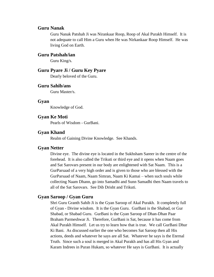## **Guru Nanak**

Guru Nanak Patshah Ji was Nirankaar Roop, Roop of Akal Purakh Himself. It is not adequate to call Him a Guru when He was Nirkankaar Roop Himself. He was living God on Earth.

## **Guru Patshah/ian**

Guru King/s.

# **Guru Pyare Ji / Guru Key Pyare**

Dearly beloved of the Guru.

# **Guru Sahib/ans**

Guru Master/s.

## **Gyan**

Knowledge of God.

## **Gyan Ke Moti**

Pearls of Wisdom - GurBani.

# **Gyan Khand**

Realm of Gaining Divine Knowledge. See Khands.

## **Gyan Netter**

Divine eye. The divine eye is located in the Sukhsham Sareer in the centre of the forehead. It is also called the Trikuti or third eye and it opens when Naam goes and Sat Sarovars present in our body are enlightened with Sat Naam. This is a GurParsaad of a very high order and is given to those who are blessed with the GurParsaad of Naam, Naam Simran, Naam Ki Kamai – when such souls while collecting Naam Dhann, go into Samadhi and Sunn Samadhi then Naam travels to all of the Sat Sarovars. See Dib Drisht and Trikuti.

## **Gyan Saroop / Gyan Guru**

Shri Guru Granth Sahib Ji is the Gyan Saroop of Akal Purakh. It completely full of Gyan - Divine wisdom. It is the Gyan Guru. GurBani is the Shabad, or Gur Shabad, or Shabad Guru. GurBani is the Gyan Saroop of Dhan-Dhan Paar Braham Parmeshwar Ji. Therefore, GurBani is Sat, because it has come from Akal Purakh Himself. Let us try to learn how that is true. We call GurBani Dhur Ki Bani. As discussed earlier the one who becomes Sat Saroop then all His actions, deeds and whatever he says are all Sat. Whatever he says is the Eternal Truth. Since such a soul is merged in Akal Purakh and has all His Gyan and Karam Indrees in Puran Hukam, so whatever He says is GurBani. It is actually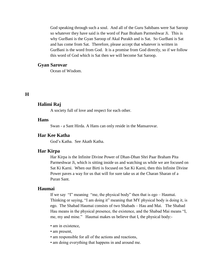God speaking through such a soul. And all of the Guru Sahibans were Sat Saroop so whatever they have said is the word of Paar Braham Parmeshwar Ji. This is why GurBani is the Gyan Saroop of Akal Purakh and is Sat. So GurBani is Sat and has come from Sat. Therefore, please accept that whatever is written in GurBani is the word from God. It is a promise from God directly, so if we follow this word of God which is Sat then we will become Sat Saroop.

### **Gyan Sarovar**

Ocean of Wisdom.

# **H**

## **Halimi Raj**

A society full of love and respect for each other.

# **Hans**

Swan - a Sant Hirda. A Hans can only reside in the Mansarovar.

# **Har Kee Katha**

God's Katha. See Akath Katha.

## **Har Kirpa**

Har Kirpa is the Infinite Divine Power of Dhan-Dhan Shri Paar Braham Pita Parmeshwar Ji, which is sitting inside us and watching us while we are focused on Sat Ki Karni. When our Birti is focused on Sat Ki Karni, then this Infinite Divine Power paves a way for us that will for sure take us at the Charan Sharan of a Puran Sant.

# **Haumai**

If we say "I" meaning "me, the physical body" then that is ego – Haumai. Thinking or saying, "I am doing it" meaning that MY physical body is doing it, is ego. The Shabad Haumai consists of two Shabads – Hau and Mai. The Shabad Hau means in the physical presence, the existence, and the Shabad Mai means "I, me, my and mine." Haumai makes us believe that I, the physical body:-

- am in existence,
- am present,
- am responsible for all of the actions and reactions,
- am doing everything that happens in and around me.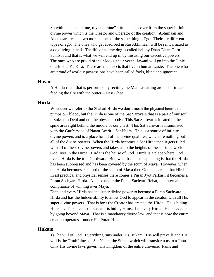So within us, the "I, me, my and mine" attitude takes over from the super infinite divine power which is the Creator and Operator of the creation. Abhimaan and Ahankaar are also two more names of the same thing – Ego. Their are different types of ego. The ones who get absorbed in Raj Abhimaan will be reincarnated as a dog living in hell. The life of a stray dog is called hell by Dhan-Dhan Guru Sahib Ji and that is what we will end up in by misusing our executive powers. The ones who are proud of their looks, their youth, Jawani will go into the Junie of a Bishta Ka Kira. These are the insects that live in human waste. The one who are proud of worldly possessions have been called fools, blind and ignorant.

## **Havan**

A Hindu ritual that is performed by reciting the Mantras sitting around a fire and feeding the fire with the butter – Desi Ghee.

## **Hirda**

Whenever we refer to the Shabad Hirda we don't mean the physical heart that pumps our blood, but the Hirda is one of the Sat Sarovars that is a part of our soul – Suksham Dehi and not the physical body. This Sat Sarovar is located in the spine area right behind the middle of our chest. This Sat Sarovar is illuminated with the GurParsaad of Naam Amrit – Sat Naam. This is a source of infinite divine powers and is a place for all of the divine qualities, which are nothing but all of the divine powers. When the Hirda becomes a Sat Hirda then it gets filled with all of these divine powers and takes us to the heights of the spiritual world. God lives in the Hirda. Hirda is the house of God. Hirda is a place where God lives. Hirda is the true Gurdwara. But, what has been happening is that the Hirda has been suppressed and has been covered by the scum of Maya. However, when the Hirda becomes cleansed of the scum of Maya then God appears in that Hirda. In all practical and physical senses there comes a Puran Jyot Parkash it becomes a Puran Sachyara Hirda. A place under the Puran Sachyari Rehat, the internal compliance of winning over Maya.

Each and every Hirda has the super divine power to become a Puran Sachyara Hirda and has the hidden ability to allow God to appear in the creaton with all His super divine powers. That is how the Creator has created the Hirda. He is hiding Himself. This means the Creator is hiding Himself in every Hirda. He is revealed by going beyond Maya. That is a mandatory divine law, and that is how the entire creation operates – under His Puran Hukam.

## **Hukam**

1) The will of God. Everything runs under His Hukam. His will prevails and His will is the Truthfulness – Sat Naam, the Sumat which will transform us to a Junn. Only His divine laws govern His Kingdom of the entire universe. Pains and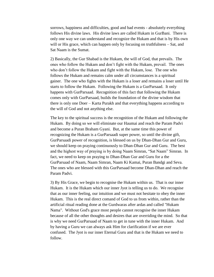sorrows, happiness and difficulties, good and bad events - absolutely everything follows His divine laws. His divine laws are called Hukam in GurBani. There is only one way we can understand and recognize the Hukam and that is by His own will or His grace, which can happen only by focusing on truthfulness – Sat, and Sat Naam is the Sumat.

2) Basically, the Gur Shabad is the Hukam, the will of God, that prevails. The ones who follow the Hukam and don't fight with the Hukam, prevail. The ones who don't follow the Hukam and fight with the Hukam, lose. The one who follows the Hukam and remains calm under all circumstances is a spiritual gainer. The one who fights with the Hukam is a loser and remains a loser until He starts to follow the Hukam. Following the Hukam is a GurParsaad. It only happens with GurParsaad. Recognition of this fact that following the Hukam comes only with GurParsaad, builds the foundation of the divine wisdom that there is only one Doer – Karta Purakh and that everything happens according to the will of God and not anything else.

The key to the spiritual success is the recognition of the Hukam and following the Hukam. By doing so we will eliminate our Haumai and reach the Param Padvi and become a Puran Braham Gyani. But, at the same time this power of recognizing the Hukam is a GurParsaadi super power, so until the divine gift, GurParsaadi power of recognition, is blessed on us by Dhan-Dhan Gur and Guru, we should keep on praying continuously to Dhan-Dhan Gur and Guru. The best and the highest way of praying is by doing Naam Simran, "Sat Naam" Simran. In fact, we need to keep on praying to Dhan-Dhan Gur and Guru for a the GurParsaad of Naam, Naam Simran, Naam Ki Kamai, Puran Bandgi and Seva. The ones who are blessed with this GurParsaad become Dhan-Dhan and reach the Param Padvi.

3) By His Grace, we begin to recognise the Hukam within us. That is our inner Hukam. It is the Hukam which our inner Jyot is telling us to do. We recognise that as our inner feeling, our intuition and we must not hesitate to obey the inner Hukam. This is the real direct comand of God to us from within, rather than the artificial ritual reading done at the Gurdwaras after ardas and called "Hukam Nama". Without God's grace most people cannot recognise the inner Hukam because of all the other thoughts and desires that are overriding the mind. So that is why we need GurParsaad of Naam to get in tune with the inner Hukam. And by having a Guru we can always ask Him for clarification if we are ever confused. The Jyot is our inner Eternal Guru and that is the Hukam we need to follow.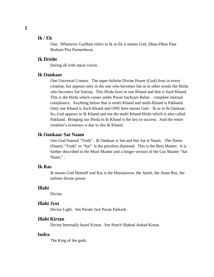## **Ik / Ek**

One. Whenever GurBani refers to Ik or Ek it means God, Dhan-Dhan Paar Braham Pita Parmeshwar.

## **Ik Drisht**

Seeing all with equal vision.

## **Ik Oankaar**

One Universal Creator. The super Infinite Divine Power (God) lives in every creation, but appears only in the one who becomes Sat or in other words the Hirda who becomes Sat Saroop. This Hirda lives in one Khand and that is Sach Khand. This is the Hirda which comes under Puran Sachyari Rehat – complete internal compliance. Anything below that is multi-Khand and multi-Khand is Pakhand. Only one Khand is Sach Khand and ONE here means God – Ik as in Ik Oankaar. So, God appears in Ik Khand and not the multi Khand Hirda which is also called Pakhand. Bringing our Hirda in Ik Khand is the key to success. And the entire creation's existence is due to this Ik Khand.

## **Ik Oankaar Sat Naam**

One God Named "Truth". Ik Oankaar is Sat and this Sat is Naam. The Name (Naam) "Truth" or "Sat" is the priceless diamond. This is the Beej Manter. It is further described in the Mool Manter and a longer version of the Gur Manter "Sat Naam." .

# **Ik Ras**

Ik means God Himself and Ras is the Mansarovar, the Amrit, the Atam Rus, the infinite divine power.

## **Illahi**

Divine.

### **Illahi Jyot**

Divine Light. See Param Jyot Puran Parkash.

### **Illahi Kirtan**

Divine Internally heard Kirtan. See Panch Shabad Anhad Kirtan.

### **Indra**

The King of the gods.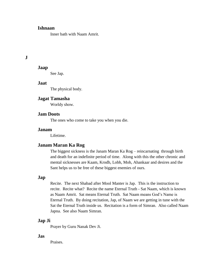# **Ishnaan**

Inner bath with Naam Amrit.

# **J**

# **Jaap**

See Jap.

## **Jaat**

The physical body.

# **Jagat Tamasha**

Worldy show.

# **Jam Doots**

The ones who come to take you when you die.

# **Janam**

Lifetime.

# **Janam Maran Ka Rog**

The biggest sickness is the Janam Maran Ka Rog – reincarnating through birth and death for an indefinite period of time. Along with this the other chronic and mental sicknesses are Kaam, Krodh, Lobh, Moh, Ahankaar and desires and the Sant helps us to be free of these biggest enemies of ours.

## **Jap**

Recite. The next Shabad after Mool Manter is Jap. This is the instruction to recite. Recite what? Recite the name Eternal Truth - Sat Naam, which is known as Naam Amrit. Sat means Eternal Truth. Sat Naam means God's Name is Eternal Truth. By doing recitation, Jap, of Naam we are getting in tune with the Sat the Eternal Truth inside us. Recitation is a form of Simran. Also called Naam Japna. See also Naam Simran.

## **Jap Ji**

Prayer by Guru Nanak Dev Ji.

# **Jas**

Praises.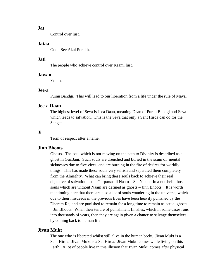## **Jat**

Control over lust.

### **Jataa**

God. See Akal Purakh.

## **Jati**

The people who achieve control over Kaam, lust.

### **Jawani**

Youth.

## **Jee-a**

Puran Bandgi. This will lead to our liberation from a life under the rule of Maya.

## **Jee-a Daan**

The highest level of Seva is Jeea Daan, meaning Daan of Puran Bandgi and Seva which leads to salvation. This is the Seva that only a Sant Hirda can do for the Sangat.

## **Ji**

Term of respect after a name.

## **Jinn Bhoots**

Ghosts. The soul which is not moving on the path to Divinity is described as a ghost in GurBani. Such souls are drenched and buried in the scum of mental sicknesses due to five vices and are burning in the fire of desires for worldly things. This has made these souls very selfish and separated them completely from the Almighty. What can bring these souls back to achieve their real objective of salvation is the Gurparsaadi Naam – Sat Naam. In a nutshell, those souls which are without Naam are defined as ghosts – Jinn Bhoots. It is worth mentioning here that there are also a lot of souls wandering in the universe, which due to their misdeeds in the previous lives have been heavily punished by the Dharam Raj and are punished to remain for a long time to remain as actual ghosts – Jin Bhoots. When their tenure of punishment finishes, which in some cases runs into thousands of years, then they are again given a chance to salvage themselves by coming back to human life.

### **Jivan Mukt**

The one who is liberated whilst still alive in the human body. Jivan Mukt is a Sant Hirda. Jivan Mukt is a Sat Hirda. Jivan Mukti comes while living on this Earth. A lot of people live in this illusion that Jivan Mukti comes after physical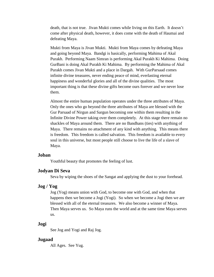death, that is not true. Jivan Mukti comes while living on this Earth. It doesn't come after physical death, however, it does come with the death of Haumai and defeating Maya.

Mukti from Maya is Jivan Mukti. Mukti from Maya comes by defeating Maya and going beyond Maya. Bandgi is basically, performing Mahima of Akal Purakh. Performing Naam Simran is performing Akal Purakh Ki Mahima. Doing GurBani is doing Akal Purakh Ki Mahima. By performing the Mahima of Akal Purakh comes Jivan Mukti and a place in Dargah. With GurParsaad comes infinite divine treasures, never ending peace of mind, everlasting eternal happiness and wonderful glories and all of the divine qualities. The most important thing is that these divine gifts become ours forever and we never lose them.

Almost the entire human population operates under the three attributes of Maya. Only the ones who go beyond the three attributes of Maya are blessed with the Gur Parsaad of Nirgun and Sargun becoming one within them resulting in the Infinite Divine Power taking over them completely. At this stage there remain no shackles of Maya around them. There are no Bandhans (ties) with anything of Maya. There remains no attachment of any kind with anything. This means there is freedom. This freedom is called salvation. This freedom is available to every soul in this universe, but most people still choose to live the life of a slave of Maya.

## **Joban**

Youthful beauty that promotes the feeling of lust.

### **Jodyan Di Seva**

Seva by wiping the shoes of the Sangat and applying the dust to your forehead.

### **Jog / Yog**

Jog (Yog) means union with God, to become one with God, and when that happens then we become a Jogi (Yogi). So when we become a Jogi then we are blessed with all of the eternal treasures. We also become a winner of Maya. Then Maya serves us. So Maya runs the world and at the same time Maya serves us.

## **Jogi**

See Jog and Yogi and Raj Jog.

### **Jugaad**

All Ages. See Yug.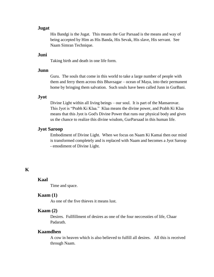# **Jugat**

His Bandgi is the Jugat. This means the Gur Parsaad is the means and way of being accepted by Him as His Banda, His Sevak, His slave, His servant. See Naam Simran Technique.

# **Juni**

Taking birth and death in one life form.

# **Junn**

Guru. The souls that come in this world to take a large number of people with them and ferry them across this Bhavsagar – ocean of Maya, into their permanent home by bringing them salvation. Such souls have been called Junn in GurBani.

### **Jyot**

Divine Light within all living beings – our soul. It is part of the Mansarovar. This Jyot is "Prabh Ki Klaa." Klaa means the divine power, and Prabh Ki Klaa means that this Jyot is God's Divine Power that runs our physical body and gives us the chance to realize this divine wisdom, GurParsaad in this human life.

# **Jyot Saroop**

Embodiment of Divine Light. When we focus on Naam Ki Kamai then our mind is transformed completely and is replaced with Naam and becomes a Jyot Saroop - emodiment of Divine Light.

# **K**

# **Kaal**

Time and space.

### **Kaam (1)**

As one of the five thieves it means lust.

# **Kaam (2)**

Desires. Fullfillment of desires as one of the four neccessties of life, Chaar Padarath.

# **Kaamdhen**

A cow in heaven which is also believed to fulfill all desires. All this is received through Naam.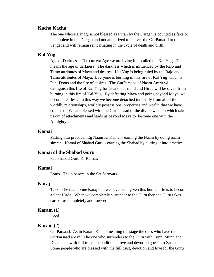# **Kacho Kacha**

The one whose Bandgi is not blessed as Puran by the Dargah is counted as fake or incomplete in the Dargah and not authorized to deliver the GurParsaad to the Sangat and will remain reincarnating in the cycle of death and birth.

# **Kal Yug**

Age of Darkness. The current Age we are living in is called the Kal Yug. This means the age of darkness. The darkness which is influenced by the Rajo and Tamo attributes of Maya and desires. Kal Yug is being ruled by the Rajo and Tamo attributes of Maya. Everyone is burning in this fire of Kal Yug which is Panj Doots and the fire of desires. The GurParsaad of Naam Amrit will extinguish this fire of Kal Yug for us and our mind and Hirda will be saved from burning in this fire of Kal Yug. By defeating Maya and going beyond Maya, we become fearless. In this way we become detached internally from all of the worldly relationships, worldly possessions, properties and wealth that we have collected. We are blessed with the GurParsaad of the divine wisdom which take us out of attachments and leads us beyond Maya to become one with the Almighty.

## **Kamai**

Putting into practice. Eg Naam Ki Kamai - earning the Naam by doing naam simran. Kamai of Shabad Guru - earning the Shabad by putting it into practice.

# **Kamai of the Shabad Guru**

See Shabad Guru Ki Kamai.

# **Kamal**

Lotus. The blossom in the Sat Sarovars.

### **Karaj**

Task. The real divine Karaj that we have been given this human life is to become a Sant Hirda. When we completely surrender to the Guru then the Guru takes care of us completely and forever.

### **Karam (1)**

Deed.

## **Karam (2)**

GurParsaad. As in Karam Khand meaning the stage the ones who have the GurParsaad are in. The one who surrenders to the Guru with Tunn, Munn and Dhann and with full trust, unconditional love and devotion goes into Samadhi. Some people who are blessed with the full trust, devotion and love for the Guru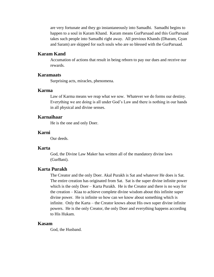are very fortunate and they go instantaneously into Samadhi. Samadhi begins to happen to a soul in Karam Khand. Karam means GurParsaad and this GurParsaad takes such people into Samadhi right away. All previous Khands (Dharam, Gyan and Saram) are skipped for such souls who are so blessed with the GurParsaad.

## **Karam Kand**

Accumation of actions that result in being reborn to pay our dues and receive our rewards.

## **Karamaats**

Surprising acts, miracles, phenomena.

# **Karma**

Law of Karma means we reap what we sow. Whatever we do forms our destiny. Everything we are doing is all under God's Law and there is nothing in our hands in all physical and divine senses.

## **Karnaihaar**

He is the one and only Doer.

## **Karni**

Our deeds.

## **Karta**

God, the Divine Law Maker has written all of the mandatory divine laws (GurBani).

# **Karta Purakh**

The Creator and the only Doer. Akal Purakh is Sat and whatever He does is Sat. The entire creation has originated from Sat. Sat is the super divine infinite power which is the only Doer – Karta Purakh. He is the Creator and there is no way for the creation – Kiaa to achieve complete divine wisdom about this infinite super divine power. He is infinite so how can we know about something which is infinite. Only the Karta – the Creator knows about His own super divine infinite powers. He is the only Creator, the only Doer and everything happens according to His Hukam.

## **Kasam**

God, the Husband.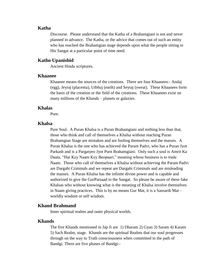## **Katha**

Discourse. Please understand that the Katha of a Brahamgiani is not and never planned in advance. The Katha, or the advice that comes out of such an entity who has reached the Brahamgian stage depends upon what the people sitting in His Sangat at a particular point of time need.

# **Katho Upanishid**

Ancient Hindu scriptures.

## **Khaanee**

Khaanee means the sources of the creations. There are four Khaanees:- Andaj (egg), Jeyraj (placenta), Utbhuj (earth) and Seytaj (sweat). These Khaanees form the basis of the creation or the field of the creations. These Khaanees exist on many millions of the Khands – planets or galaxies.

## **Khalas**

Pure.

## **Khalsa**

Pure Soul. A Puran Khalsa is a Puran Brahamgiani and nothing less than that, those who think and call of themselves a Khalsa without reaching Puran Brahamgian Stage are mistaken and are fooling themselves and the masses. A Puran Khalsa is the one who has achieved the Param Padvi, who has a Puran Jyot Parkash and is a Pargatyeo Jyot Purn Brahamgiani. Only such a soul is Amrit Ka Daata, "Har Key Naam Key Beopaari," meaning whose business is to trade Naam. Those who call of themselves a Khalsa without achieving the Param Padvi are Dargahi Criminals and we repeat are Dargahi Criminals and are misleading the masses. A Puran Khalsa has the infinite divine power and is capable and authorized to give the GurParsaad to the Sangat. So please be aware of these fake Khalsas who without knowing what is the meaning of Khalsa involve themselves in Naam giving practices. This is by no means Gur Mat, it is a Sansarik Mat – worldly wisdom or self wisdom.

# **Khand Brahmand**

Inner spiritual realms and outer physical worlds.

## **Khands**

The five Khands mentioned in Jap Ji are 1) Dharam 2) Gyan 3) Saram 4) Karam 5) Sach Realm, stage. Khands are the spiritual Realms that our soul progresses through on the way to Truth consciousness when committed to the path of Bandgi. There are five phases of Bandgi:-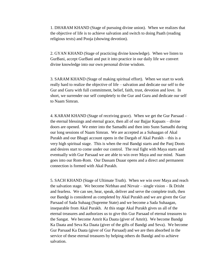1. DHARAM KHAND (Stage of pursuing divine union). When we realizes that the objective of life is to achieve salvation and switch to doing Paath (reading religious texts) and Pooja (showing devotion).

2. GYAN KHAND (Stage of practicing divine knowledge). When we listen to GurBani, accept GurBani and put it into practice in our daily life we convert divine knowledge into our own personal divine wisdom.

3. SARAM KHAND (Stage of making spiritual effort). When we start to work really hard to realize the objective of life – salvation and dedicate our self to the Gur and Guru with full commitment, belief, faith, trust, devotion and love. In short, we surrender our self completely to the Gur and Guru and dedicate our self to Naam Simran.

4. KARAM KHAND (Stage of receiving grace). When we get the Gur Parsaad – the eternal blessings and eternal grace, then all of our Bajjar Kapaats – divine doors are opened. We enter into the Samadhi and then into Sunn Samadhi during our long sessions of Naam Simran. We are accepted as a Suhaagan of Akal Purakh and our Bhagti account opens in the Dargah of Akal Purakh – this is a very high spiritual stage. This is when the real Bandgi starts and the Panj Doots and desires start to come under our control. The real fight with Maya starts and eventually with Gur Parsaad we are able to win over Maya and our mind. Naam goes into our Rom-Rom. Our Dassam Duaar opens and a direct and permanent connection is formed with Akal Purakh.

5. SACH KHAND (Stage of Ultimate Truth). When we win over Maya and reach the salvation stage. We become Nirbhao and Nirvair – single vision – Ik Drisht and fearless. We can see, hear, speak, deliver and serve the complete truth, then our Bandgi is considered as completed by Akal Purakh and we are given the Gur Parsaad of Sada Suhaag (Supreme State) and we become a Sada Suhaagan, inseparable from Akal Purakh. At this stage Akal Purakh gives us all of the eternal treasures and authorizes us to give this Gur Parsaad of eternal treasures to the Sangat. We become Amrit Ka Daata (giver of Amrit). We become Bandgi Ka Daata and Seva Ka Daata (giver of the gifts of Bandgi and Seva). We become Gur Parsaad Ka Daata (giver of Gur Parsaad) and we are then absorbed in the service of these eternal treasures by helping others do Bandgi and to achieve salvation.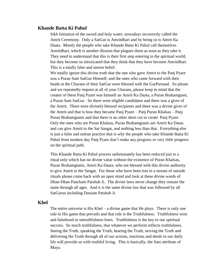## **Khande Batta Ki Pahul**

Sikh Initiation of the sword and holy water, nowadays incorrectly called the Amrit Ceremony. Only a SatGur is Amritdhari and by being so is Amrit Ka Daata. Mostly the people who take Khande Batta Ki Pahul call themselves Amritdhari, which is another illusion that plagues them as soon as they take it. They need to understand that this is their first step entering in the spiritual world, but they become so intoxicated that they think that they have become Amritdhari. This is a totally false and untrue belief.

We totally ignore this divine truth that the one who gave Amrit to the Panj Pyare was a Puran Sant SatGur Himself, and the ones who came forward with their heads at the Charans of their SatGur were blessed with the GurParsaad. So please and we repeatedly request at all of your Charans, please keep in mind that the creator of these Panj Pyare was himself an Amrit Ka Daata, a Puran Brahamgiani, a Puran Sant SatGur. So there were eligible candidates and there was a giver of the Amrit. There were divinely blessed recipients and there was a divine giver of the Amrit and that is how they became Panj Pyare – Panj Puran Khalsas – Panj Puran Brahamgianis and that there is no other short cut to create Panj Pyare. Only the ones who are Puran Khalsas, Puran Brahamgianis are Amrit Ka Dataa and can give Amrit to the Sat Sangat, and nothing less than that. Everything else is just a false and untrue practice that is why the people who take Khande Batta Ki Pahul from modern day Panj Pyare don't make any progress or very little progress on the spiritual path.

This Khande Batta Ki Pahul process unfortunately has been reduced just to a ritual only which has no divine value without the existence of Puran Khalsas, Puran Brahamgianis, Amrit Ka Daata, who are blessed with this divine authority to give Amrit to the Sangat. For those who have been lost in a stream of outside rituals please come back with an open mind and look at these divine words of Dhan-Dhan Pancham Patshah Ji. The divine laws never change they remain the same through all ages. And it is the same divine law that was followed by all SatGurus including Dassam Patshah Ji.

# **Khel**

The entire universe is His Khel – a divine game that He plays. There is only one rule in His game that prevails and that rule is the Truthfulness. Truthfulness wins and falsehood or untruthfulness loses. Truthfulness is the key to our spiritual success. So much truthfulness, that whatever we perform reflects truthfulness. Seeing the Truth, speaking the Truth, hearing the Truth, serving the Truth and delivering the Truth through all of our actions, reactions and deeds in our daily life will provide us with truthful living. This is basically, the Sato attribute of Maya.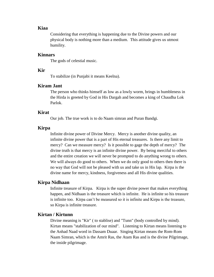## **Kiaa**

Considering that everything is happening due to the Divine powers and our physical body is nothing more than a medium. This attitude gives us utmost humility.

## **Kinnars**

The gods of celestial music.

# **Kir**

To stabilize (in Punjabi it means Keelna).

# **Kiram Jant**

The person who thinks himself as low as a lowly worm, brings in humbleness in the Hirda is greeted by God in His Dargah and becomes a king of Chaudha Lok Parlok.

# **Kirat**

Our job. The true work is to do Naam simran and Puran Bandgi.

## **Kirpa**

Infinite divine power of Divine Mercy. Mercy is another divine quality, an infinite divine power that is a part of His eternal treasures. Is there any limit to mercy? Can we measure mercy? Is it possible to gage the depth of mercy? The divine truth is that mercy is an infinite divine power. By being merciful to others and the entire creation we will never be prompted to do anything wrong to others. We will always do good to others. When we do only good to others then there is no way that God will not be pleased with us and take us in His lap. Kirpa is the divine name for mercy, kindness, forgiveness and all His divine qualities.

## **Kirpa Nidhaan**

Infinite treasure of Kirpa. Kirpa is the super divine power that makes everything happen, and Nidhaan is the treasure which is infinite. He is infinite so his treasure is infinite too. Kirpa can't be measured so it is infinite and Kirpa is the treasure, so Kirpa is infinite treasure.

## **Kirtan / Kirtunn**

Divine meaning is "Kir" ( to stablise) and "Tunn" (body controlled by mind). Kirtan means "stabilization of our mind". Listening to Kirtan means listening to the Anhad Naad word in Dassam Duaar. Singing Kirtan means the Rom-Rom Naam Simran, which is the Amrit Ras, the Atam Ras and is the divine Pilgrimage, the inside pilgrimage.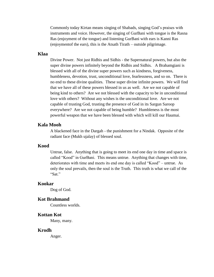Commonly today Kirtan means singing of Shabads, singing God's praises with instruments and voice. However, the singing of GurBani with tongue is the Rasna Ras (enjoyment of the tongue) and listening GurBani with ears is Kanni Ras (enjoymentof the ears), this is the Atsath Tirath – outside pilgrimage.

## **Klaa**

Divine Power. Not just Ridhis and Sidhis - the Supernatural powers, but also the super divine powers infinitely beyond the Ridhis and Sidhis. A Brahamgiani is blessed with all of the divine super powers such as kindness, forgiveness, humbleness, devotion, trust, unconditional love, fearlessness, and so on. There is no end to these divine qualities. These super divine infinite powers. We will find that we have all of these powers blessed in us as well. Are we not capable of being kind to others? Are we not blessed with the capacity to be in unconditional love with others? Without any wishes is the unconditional love. Are we not capable of trusting God, trusting the presence of God in its Sargun Saroop everywhere? Are we not capable of being humble? Humbleness is the most powerful weapon that we have been blessed with which will kill our Haumai.

## **Kala Mooh**

A blackened face in the Dargah - the punishment for a Nindak. Opposite of the radiant face (Mukh ujalay) of blessed soul.

### **Kood**

Untrue, false. Anything that is going to meet its end one day in time and space is called "Kood" in GurBani. This means untrue. Anything that changes with time, deteriorates with time and meets its end one day is called "Kood" – untrue. As only the soul prevails, then the soul is the Truth. This truth is what we call of the "Sat"

### **Kookar**

Dog of God.

## **Kot Brahmand**

Countless worlds.

### **Kottan Kot**

Many, many.

### **Krodh**

Anger.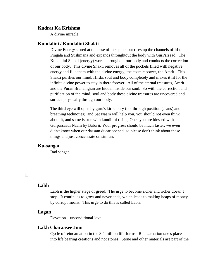## **Kudrat Ka Krishma**

A divine miracle.

## **Kundalini / Kundalini Shakti**

Divine Energy stored at the base of the spine, but rises up the channels of Ida, Pingala and Sushmana and expands throughtout the body with GurParsaad. The Kundalini Shakti (energy) works throughout our body and conducts the correction of our body. This divine Shakti removes all of the pockets filled with negative energy and fills them with the divine energy, the cosmic power, the Amrit. This Shakti purifies our mind, Hirda, soul and body completely and makes it fit for the infinite divine power to stay in there forever. All of the eternal treasures, Amrit and the Puran Brahamgian are hidden inside our soul. So with the correction and purification of the mind, soul and body these divine treasures are uncovered and surface physically through our body.

The third eye will open by guru's kirpa only (not through position (asans) and breathing technques), and Sat Naam will help you, you should not even think about it, and same is true with kundilini rising. Once you are blessed with Gurparsaadi Naam by Baba ji. Your progress should be much faster, we even didn't know when our dassam duaar opened, so please don't think about these things and just concentrate on simran.

# **Ku-sangat**

Bad sangat.

# **L**

# **Labh**

Labh is the higher stage of greed. The urge to become richer and richer doesn't stop. It continues to grow and never ends, which leads to making heaps of money by corrupt means. This urge to do this is called Labh.

#### **Lagan**

Devotion – unconditional love.

### **Lakh Charaasee Juni**

Cycle of reincarnation in the 8.4 million life-forms. Reincarnation takes place into life bearing creations and not stones. Stone and other materials are part of the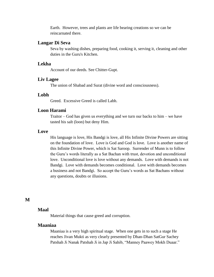Earth. However, trees and plants are life bearing creations so we can be reincarnated there.

## **Langar Di Seva**

Seva by washing dishes, preparing food, cooking it, serving it, cleaning and other duties in the Guru's Kitchen.

## **Lekha**

Account of our deeds. See Chitter-Gupt.

#### **Liv Lagee**

The union of Shabad and Surat (divine word and consciousness).

## **Lobh**

Greed. Excessive Greed is called Labh.

# **Loon Harami**

Traitor – God has given us everything and we turn our backs to him – we have tasted his salt (loon) but deny Him.

## **Love**

His language is love, His Bandgi is love, all His Infinite Divine Powers are sitting on the foundation of love. Love is God and God is love. Love is another name of this Infinite Divine Power, which is Sat Saroop. Surrender of Munn is to follow the Guru's words literally as a Sat Bachan with trust, devotion and unconditional love. Unconditional love is love without any demands. Love with demands is not Bandgi. Love with demands becomes conditional. Love with demands becomes a business and not Bandgi. So accept the Guru's words as Sat Bachans without any questions, doubts or illusions.

## **M**

# **Maal**

Material things that cause greed and corruption.

# **Maaniaa**

Maaniaa is a very high spiritual stage. When one gets in to such a stage He reaches Jivan Mukti as very clearly presented by Dhan-Dhan SatGur Sachey Patshah Ji Nanak Patshah Ji in Jap Ji Sahib, "Manney Paawey Mokh Duaar."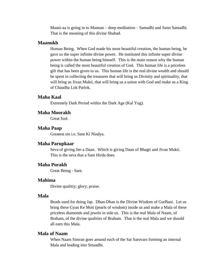Maani-aa is going in to Mannan – deep meditation – Samadhi and Sunn Samadhi. That is the meaning of this divine Shabad.

## **Maanukh**

Human Being. When God made his most beautiful creation, the human being, he gave us the super infinite divine power. He instituted this infinite super divine power within the human being himself. This is the main reason why the human being is called the most beautiful creation of God. This human life is a priceless gift that has been given to us. This human life is the real divine wealth and should be spent in collecting the treasures that will bring us Divinity and spirituality, that will bring us Jivan Mukti, that will bring us a union with God and make us a King of Chaudha Lok Parlok.

## **Maha Kaal**

Extremely Dark Period within the Dark Age (Kal Yug).

# **Maha Moorakh**

Great fool.

### **Maha Paap**

Greatest sin i.e. Sant Ki Nindya.

## **Maha Parupkaar**

Seva of giving Jee-a Daan. Which is giving Daan of Bhagti and Jivan Mukti. This is the seva that a Sant Hirda does.

## **Maha Purakh**

Great Being - Sant.

# **Mahima**

Divine qualitiy; glory; praise.

## **Mala**

Beads used for doing Jap. Dhan-Dhan is the Divine Wisdom of GurBani. Let us bring these Gyan Ke Moti (pearls of wisdom) inside us and make a Mala of these priceless diamonds and jewels in side us. This is the real Mala of Naam, of Braham, of the divine qualities of Braham. That is the real Mala and we should all earn this Mala.

# **Mala of Naam**

When Naam Simran goes around each of the Sat Sarovars forming an internal Mala and leading into Smaadhi.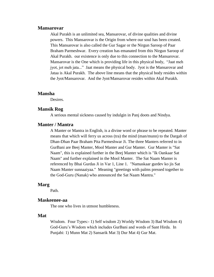## **Mansarovar**

Akal Purakh is an unlimited sea, Mansarovar, of divine qualities and divine powers. This Mansarovar is the Origin from where our soul has been created. This Mansarovar is also called the Gur Sagar or the Nirgun Saroop of Paar Braham Parmeshwar. Every creation has emanated from this Nirgun Saroop of Akal Purakh. our existence is only due to this connection to the Mansarovar. Mansarovar is the One which is providing life in this physical body, "Jaat meh jyot, jot meh jata..." Jaat means the physical body. Jyot is the Mansarovar and Jataa is Akal Purakh. The above line means that the physical body resides within the Jyot/Mansarovar. And the Jyot/Mansarovar resides within Akal Purakh.

### **Mansha**

Desires.

### **Mansik Rog**

A serious mental sickness caused by indulgin in Panj doots and Nindya.

### **Manter / Mantra**

A Manter or Mantra in English, is a divine word or phrase to be repeated. Manter means that which will ferry us across (tra) the mind (man/munn) to the Dargah of Dhan-Dhan Paar Braham Pita Parmeshwar Ji. The three Manters referred to in GurBani are Beej Manter, Mool Manter and Gur Manter. Gur Manter is "Sat Naam", this is explained further in the Beej Manter which is "Ik Oankaar Sat Naam" and further explained in the Mool Manter. The Sat Naam Manter is referenced by Bhai Gurdas Ji in Var 1, Line 1. "Namaskaar gurdev ko jis Sat Naam Manter sunnaaiyaa." Meaning "greetings with palms pressed together to the God-Guru (Nanak) who announced the Sat Naam Mantra."

## **Marg**

Path.

### **Maskeenee-aa**

The one who lives in utmost humbleness.

# **Mat**

Wisdom. Four Types:- 1) Self wisdom 2) Worldy Wisdom 3) Bad Wisdom 4) God-Guru's Wisdom which includes GurBani and words of Sant Hirda. In Punjabi: 1) Munn Mat 2) Sansarik Mat 3) Dur Mat 4) Gur Mat.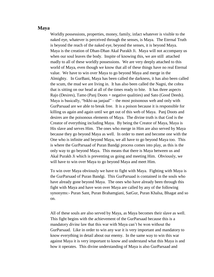# **Maya**

Worldly possessions, properties, money, family, infact whatever is visible to the naked eye, whatever is perceived through the senses, is Maya. The Eternal Truth is beyond the reach of the naked eye, beyond the senses, it is beyond Maya. Maya is the creation of Dhan-Dhan Akal Purakh Ji. Maya will not accompany us when our soul leaves the body. Inspite of knowing this, we are still attached madly to all of these worldly possessions. We are very deeply attached to this world of Maya, even though we know that all of these things have no real Eternal value. We have to win over Maya to go beyond Maya and merge in the Almighty. In GurBani, Maya has been called the darkness, it has also been called the scum, the mud we are living in. It has also been called the Nagni, the cobra that is sitting on our head at all of the times ready to bite. It has three aspects Rajo (Desires), Tamo (Panj Doots + negative qualities) and Sato (Good Deeds). Maya is basically, "bikhi-aa janjaal" – the most poisonous web and only with GurParsaad are we able to break free. It is a poison because it is responsible for killing us again and again until we get out of this web of Maya. Panj Doots and desires are the poisonous elements of Maya. The divine truth is that God is the Creator of everything including Maya. By being the Creator of Maya, Maya is His slave and serves Him. The ones who merge in Him are also served by Maya because they go beyond Maya as well. In order to meet and become one with the One who is infinite and beyond Maya, we all have to go beyond Maya too. This is where the GurParsaad of Puran Bandgi process comes into play, as this is the only way to go beyond Maya. This means that there is Maya between us and Akal Purakh Ji which is preventing us going and meeting Him. Obviously, we will have to win over Maya to go beyond Maya and meet Him.

To win over Maya obviously we have to fight with Maya. Fighting with Maya is the GurParsaad of Puran Bandgi. This GurParsaad is contained in the souls who have already gone beyond Maya. The ones who have already been through this fight with Maya and have won over Maya are called by any of the following synonyms:- Puran Sant, Puran Brahamgiani, SatGur, Puran Khalsa, Bhagat and so on.

All of these souls are also served by Maya, as Maya becomes their slave as well. This fight begins with the achievement of the GurParsaad because this is a mandatory divine law that this war with Maya can't be won without the GurParsaad. Like in order to win any war it is very important and mandatory to know everything in detail about our enemy. In the same way to win this war against Maya it is very important to know and understand what this Maya is and how it operates. This divine understanding of Maya is also GurParsaad and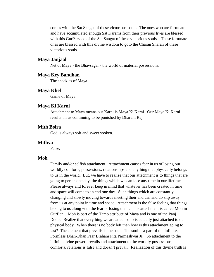comes with the Sat Sangat of these victorious souls. The ones who are fortunate and have accumulated enough Sat Karams from their previous lives are blessed with this GurParsaad of the Sat Sangat of these victorious souls. These fortunate ones are blessed with this divine wisdom to goto the Charan Sharan of these victorious souls.

## **Maya Janjaal**

Net of Maya - the Bhavsagar - the world of material possessions.

## **Maya Key Bandhan**

The shackles of Maya.

## **Maya Khel**

Game of Maya.

# **Maya Ki Karni**

Attachment to Maya means our Karni is Maya Ki Karni. Our Maya Ki Karni results in us continuing to be punished by Dharam Raj.

# **Mith Bolra**

God is always soft and sweet spoken.

### **Mithya**

False.

# **Moh**

Family and/or selfish attachment. Atttachment causes fear in us of losing our worldly comforts, possessions, relationships and anything that physically belongs to us in the world. But, we have to realize that our attachment is to things that are going to perish one day, the things which we can lose any time in our lifetime. Please always and forever keep in mind that whatever has been created in time and space will come to an end one day. Such things which are constantly changing and slowly moving towards meeting their end can and do slip away from us at any point in time and space. Attachment is the false feeling that things belong to us along with the fear of losing them. This attachment is called Moh in GurBani. Moh is part of the Tamo attribute of Maya and is one of the Panj Doots. Realize that everything we are attached to is actually just attached to our physical body. When there is no body left then how is this attachment going to last? The element that prevails is the soul. The soul is a part of the Infinite, Formless Dhan-Dhan Paar Braham Pita Parmeshwar Ji. So attachment to the infinite divine power prevails and attachment to the worldly possessions, comforts, relations is false and doesn't prevail. Realization of this divine truth is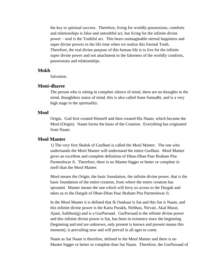the key to spiritual success. Therefore, living for worldly possessions, comforts and relationships is false and untruthful act, but living for the infinite divine power – soul is the Truthful act. This bears unimaginable eternal happiness and super divine powers in the life time when we realize this Eternal Truth. Therefore, the real divine purpose of this human life is to live for the infinite super divine power and not attachment to the falseness of the worldly comforts, possessions and relationships.

## **Mokh**

Salvation.

# **Moni-dharee**

The person who is sitting in complete silence of mind, there are no thoughts in the mind, thoughtless status of mind, this is also called Sunn Samadhi, and is a very high stage in the spirituality.

## **Mool**

Origin. God first created Himself and then created His Naam, which became the Mool (Origin). Naam forms the basis of the Creation. Everything has originated from Naam.

## **Mool Manter**

1) The very first Shalok of GurBani is called the Mool Manter. The one who understands the Mool Manter will understand the entire GurBani. Mool Manter gives an excellent and complete definition of Dhan-Dhan Paar Braham Pita Parmeshwar Ji. Therefore, there is no Manter bigger or better or complete in itself than the Mool Manter.

Mool means the Origin, the basic foundation, the infinite divine power, that is the basic foundation of the entire creation, from where the entire creation has sprouted. Manter means the one which will ferry us across to the Dargah and takes us to the Dargah of Dhan-Dhan Paar Braham Pita Parmeshwar Ji.

In the Mool Manter it is defined that Ik Oankaar is Sat and this Sat is Naam, and this infinite divine power is the Karta Purakh, Nirbhao, Nirvair, Akal Murat, Ajuni, Saibhun(g) and is a GurParsaad. GurParsaad is the infinite divine power and this infinite divine power is Sat, has been in existence since the beginning (beginning and end are unknown, only present is known and present means this moment), is prevailing now and will prevail in all ages to come.

Naam as Sat Naam is therefore, defined in the Mool Manter and there is no Manter bigger or better or complete than Sat Naam. Therefore, the GurParsaad of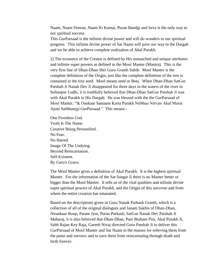Naam, Naam Simran, Naam Ki Kamai, Puran Bandgi and Seva is the only way to our spiritual success.

This GurParsaad is the infinite divine power and will do wonders to our spiritual progress. This infinite divine power of Sat Naam will pave our way to the Dargah and we be able to achieve complete realization of Akal Purakh.

2) The existence of the Creator is defined by His unmatched and unique attributes and infinite super powers as defined in the Mool Manter (Mantra). This is the very first line of Dhan-Dhan Shri Guru Granth Sahib. Mool Manter is the complete definition of the Origin, just like the complete definition of the tree is contained in the tiny seed. Mool means seed or Beej. When Dhan-Dhan SatGur Patshah Ji Nanak Dev Ji disappeared for three days in the waters of the river in Sultanpur Lodhi, it is truthfully believed that Dhan-Dhan SatGur Patshah Ji was with Akal Purakh in His Dargah. He was blessed with the the GurParsaad of Mool Manter, "Ik Oankaar Satnaam Karta Purakh Nirbhao Nirvair Akal Murat Ajuni Saibhun(g) GurParsaad." This means:-

One Formless God. Truth Is The Name. Creative Being Personified. No Fear. No Hatred. Image Of The Undying. Beyond Reincarnation. Self-Existent. By Guru's Grace.

The Mool Manter gives a definition of Akal Purakh. It is the highest spiritual Manter. For the information of the Sat Sangat Ji there is no Manter better or bigger than the Mool Manter. It tells us of the vital qualities and infinite divine super spiritual powers of Akal Purakh, and the Origin of this universe and from where the entire creation has emanated.

Based on the descriptions given in Guru Nanak Parkash Granth, which is a collection of all of the original dialogues and Janam Sakhis of Dhan-Dhan, Nirankaar Roop, Param Jyot, Puran Parkash, SatGur Nanak Dev Patshah Ji Maharaj, it is also believed that Dhan-Dhan, Paar Braham Pita, Akal Purakh Ji, Sabh Rajan Key Raja, Gareeb Nivaj directed Guru Patshah Ji to deliver this GurParsaad of Mool Manter and Sat Naam to the masses for relieving them from the pains and sorrows and to save them from reincarnating through death and birth forever.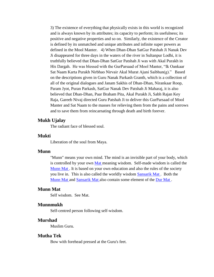3) The existence of everything that physically exists in this world is recognized and is always known by its attributes; its capacity to perform; its usefulness; its positive and negative properties and so on. Similarly, the existence of the Creator is defined by its unmatched and unique attributes and infinite super powers as defined in the Mool Manter. 4) When Dhan-Dhan SatGur Patshah Ji Nanak Dev Ji disappeared for three days in the waters of the river in Sultanpur Lodhi, it is truthfully believed that Dhan-Dhan SatGur Patshah Ji was with Akal Purakh in His Dargah. He was blessed with the GurParsaad of Mool Manter, "Ik Oankaar Sat Naam Karta Purakh Nirbhao Nirvair Akal Murat Ajuni Saibhun(g)." Based on the descriptions given in Guru Nanak Parkash Granth, which is a collection of all of the original dialogues and Janam Sakhis of Dhan-Dhan, Nirankaar Roop, Param Jyot, Puran Parkash, SatGur Nanak Dev Patshah Ji Maharaj, it is also believed that Dhan-Dhan, Paar Braham Pita, Akal Purakh Ji, Sabh Rajan Key Raja, Gareeb Nivaj directed Guru Patshah Ji to deliver this GurParsaad of Mool Manter and Sat Naam to the masses for relieving them from the pains and sorrows and to save them from reincarnating through death and birth forever.

## **Mukh Ujalay**

The radiant face of blessed soul.

# **Mukti**

Liberation of the soul from Maya.

# **Munn**

"Munn" means your own mind. The mind is an invisible part of your body, which is controlled by your own [Mat m](http://www.satnaam.info/index.php?option=com_content&task=view&id=1539&Itemid=55)eaning wisdom. Self-made wisdom is called the [Munn Mat .](http://www.satnaam.info/index.php?option=com_content&task=view&id=1524&Itemid=55) It is based on your own education and also the rules of the society you live in. This is also called the worldly wisdom [Sansarik Mat .](http://www.satnaam.info/index.php?option=com_content&task=view&id=1350&Itemid=55) Both the [Munn Mat a](http://www.satnaam.info/index.php?option=com_content&task=view&id=1524&Itemid=55)nd [Sansarik Mat a](http://www.satnaam.info/index.php?option=com_content&task=view&id=1350&Itemid=55)lso contain some element of the [Dur Mat .](http://www.satnaam.info/index.php?option=com_content&task=view&id=1718&Itemid=55)

# **Munn Mat**

Self wisdom. See Mat.

## **Munnmukh**

Self-centred person following self-wisdom.

### **Murshad**

Muslim Guru.

## **Mutha Tek**

Bow with forehead pressed at the Guru's feet.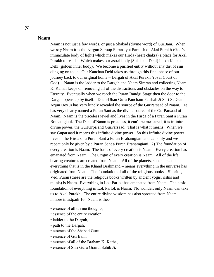## **Naam**

Naam is not just a few words, or just a Shabad (divine word) of GurBani. When we say Naam it is the Nirgun Saroop Puran Jyot Parkash of Akal Purakh (God's immaculate body of light) which makes our Hirda (heart chakra) a place for Akal Purakh to reside. Which makes our astral body (Suksham Dehi) into a Kanchan Dehi (golden inner body). We become a purified entity without any dirt of sins clinging on to us. Our Kanchan Dehi takes us through this final phase of our journey back to our original home – Dargah of Akal Purakh (royal Court of God). Naam is the ladder to the Dargah and Naam Simran and collecting Naam Ki Kamai keeps on removing all of the distractions and obstacles on the way to Eternity. Eventually when we reach the Puran Bandgi Stage then the door to the Dargah opens up by itself. Dhan-Dhan Guru Pancham Patshah Ji Shri SatGur Arjun Dev Ji has very kindly revealed the source of the GurParsaad of Naam. He has very clearly named a Puran Sant as the divine source of the GurParsaad of Naam. Naam is the priceless jewel and lives in the Hirda of a Puran Sant a Puran Brahamgiani. The Daat of Naam is priceless, it can't be measured, it is infinite divine power, the GurKirpa and GurParsaad. That is what it means. When we say Guparsaad it means this infinite divine power. So this infinite divine power lives in the Hirda of a Puran Sant a Puran Brahamgiani and can only and we repeat only be given by a Puran Sant a Puran Brahamgiani. 2) The foundation of every creation is Naam. The basis of every creation is Naam. Every creation has emanated from Naam. The Origin of every creation is Naam. All of the life bearing creatures are created from Naam. All of the planets, sun, stars and everything that is in the Khand Brahmand – means everything in the universe has originated from Naam. The foundation of all of the religious books – Simritis, Ved, Puran (these are the religious books written by ancient yogis, rishis and munis) is Naam. Everything in Lok Parlok has emanated from Naam. The basic foundation of everything in Lok Parlok is Naam. No wonder, only Naam can take us to Akal Purakh. The entire divine wisdom has also sprouted from Naam. ...more in astpadi 16. Naam is the:-

- essence of all divine thoughts,
- essence of the entire creation,
- ladder to the Dargah,
- path to the Dargah,
- essence of the Shabad Guru,
- essence of GurBani,
- essence of all of the Braham Ki Katha,
- essence of Shri Guru Granth Sahib Ji,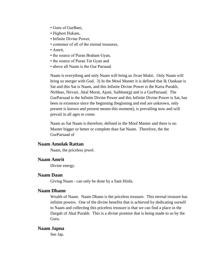- Guru of GurBani,
- Highest Hukam,
- Infinite Divine Power,
- container of all of the eternal treasures,
- Amrit,
- the source of Puran Braham Gyan,
- the source of Puran Tat Gyan and
- above all Naam is the Gur Parsaad.

Naam is everything and only Naam will bring us Jivan Mukti. Only Naam will bring us merger with God. 3) In the Mool Manter it is defined that Ik Oankaar is Sat and this Sat is Naam, and this Infinite Divine Power is the Karta Purakh, Nirbhao, Nirvair, Akal Murat, Ajuni, Saibhun(g) and is a GurParsaad. The GurParsaad is the Infinite Divine Power and this Infinite Divine Power is Sat, has been in existence since the beginning (beginning and end are unknown, only present is known and present means this moment), is prevailing now and will prevail in all ages to come.

Naam as Sat Naam is therefore, defined in the Mool Manter and there is no Manter bigger or better or complete than Sat Naam. Therefore, the the GurParsaad of

## **Naam Amolak Rattan**

Naam, the priceless jewel.

## **Naam Amrit**

Divine energy.

# **Naam Daan**

Giving Naam - can only be done by a Sant Hirda.

# **Naam Dhann**

Wealth of Naam. Naam Dhann is the priceless treasure. This eternal treasure has infinite powers. One of the divine benefits that is achieved by dedicating ourself to Naam and collecting this priceless treasure is that we can find a place in the Dargah of Akal Purakh. This is a divine promise that is being made to us by the Guru.

## **Naam Japna**

See Jap.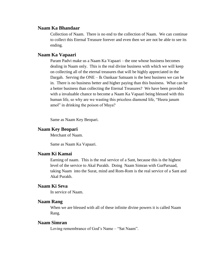# **Naam Ka Bhandaar**

Collection of Naam. There is no end to the collection of Naam. We can continue to collect this Eternal Treasure forever and even then we are not be able to see its ending.

## **Naam Ka Vapaari**

Param Padvi make us a Naam Ka Vapaari – the one whose business becomes dealing in Naam only. This is the real divine business with which we will keep on collecting all of the eternal treasures that will be highly appreciated in the Dargah. Serving the ONE – Ik Oankaar Satnaam is the best business we can be in. There is no business better and higher paying than this business. What can be a better business than collecting the Eternal Treasures? We have been provided with a invaluable chance to become a Naam Ka Vapaari being blessed with this human life, so why are we wasting this priceless diamond life, "Heera janam amol" in drinking the poison of Maya?

Same as Naam Key Beopari.

# **Naam Key Beopari**

Merchant of Naam.

Same as Naam Ka Vapaari.

# **Naam Ki Kamai**

Earning of naam. This is the real service of a Sant, because this is the highest level of the service to Akal Purakh. Doing Naam Simran with GurParsaad, taking Naam into the Surat, mind and Rom-Rom is the real service of a Sant and Akal Purakh.

# **Naam Ki Seva**

In service of Naam.

# **Naam Rang**

When we are blessed with all of these infinite divine powers it is called Naam Rang.

## **Naam Simran**

Loving remembrance of God's Name – "Sat Naam".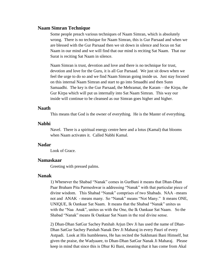## **Naam Simran Technique**

Some people preach various techniques of Naam Simran, which is absolutely wrong. There is no technique for Naam Simran, this is Gur Parsaad and when we are blessed with the Gur Parsaad then we sit down in silence and focus on Sat Naam in our mind and we will find that our mind is reciting Sat Naam. That our Surat is reciting Sat Naam in silence.

Naam Simran is trust, devotion and love and there is no technique for trust, devotion and love for the Guru, it is all Gur Parsaad. We just sit down when we feel the urge to do so and we find Naam Simran going inside us. Just stay focused on this internal Naam Simran and start to go into Smaadhi and then Sunn Samaadhi. The key is the Gur Parsaad, the Mehramat, the Karam – the Kirpa, the Gur Kirpa which will put us internally into Sat Naam Simran. This way our inside will continue to be cleansed as our Simran goes higher and higher.

### **Naath**

This means that God is the owner of everything. He is the Master of everything.

### **Nabhi**

Navel. There is a spiritual energy centre here and a lotus (Kamal) that blooms when Naam activates it. Called Nabhi Kamal.

## **Nadar**

Look of Grace.

## **Namaskaar**

Greeting with pressed palms.

### **Nanak**

1) Whenever the Shabad "Nanak" comes in GurBani it means that Dhan-Dhan Paar Braham Pita Parmeshwar is addressing "Nanak" with that particular piece of divine wisdom. This Shabad "Nanak" comprises of two Shabads. NAA –means not and ANAK - means many. So "Nanak" means "Not Many." It means ONE, UNIQUE, Ik Oankaar Sat Naam. It means that the Shabad "Nanak" unites us with the "Naa Anak", unites us with the One, the Ik Oankaar Sat Naam. So the Shabad "Nanak" means Ik Oankaar Sat Naam in the real divine sense.

2) Dhan-Dhan SatGur Sachey Patshah Arjun Dev Ji has used the name of Dhan-Dhan SatGur Sachey Patshah Nanak Dev Ji Maharaj in every Pauri of every Astpadi. Look at His humbleness, He has recited the Sukhmani Bani Himself, but given the praise, the Wadyaaee, to Dhan-Dhan SatGur Nanak Ji Maharaj. Please keep in mind that since this is Dhur Ki Bani, meaning that it has come from Akal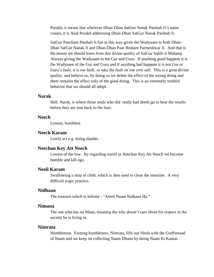Purakh, it means that wherever Dhan-Dhan SatGur Nanak Patshah Ji's name comes, it is Akal Purakh addressing Dhan-Dhan SatGur Nanak Patshah Ji.

SatGur Pancham Patshah Ji has in this way given the Wadyaaee to both Dhan-Dhan SatGur Nanak Ji and Dhan-Dhan Paar Braham Parmeshwar Ji. And that is the lesson we should learn from this divine quality of SatGur Sahib Ji Maharaj. Always giving the Wadyaaee to the Gur and Guru. If anything good happens it is the Wadyaaee of the Gur and Guru and if anything bad happens it is not Gur or Guru's fault, it is our fault, so take the fault on our own self. This is a great divine quality, and believe us, by doing so we delete the effect of the wrong doing and there remains the effect only of the good doing. This is an extremely truthful behavior that we should all adopt.

## **Narak**

Hell. Narak, is where those souls who did really bad deeds go to bear the results before they are sent back to the Juni.

## **Neech**

Lowest, humblest.

## **Neech Karam**

Lowly act e.g. doing slander.

### **Neechan Key Att Neech**

Lowest of the low. By regarding ourelf as Neechan Key Att Neech we become humble and kill ego.

# **Neoli Karam**

Swallowing a strip of cloth, which is then used to clean the intestine. A very difficult yogic practice.

# **Nidhaan**

The treasure which is Infinite - "Amrit Naam Nidhaan Ha."

### **Nimana**

The one who has no Maan, meaning the who doesn't care about his respect in the society he is living in.

### **Nimrata**

Humbleness. Earning humbleness, Nimrata, fills our Hirda with the GurParsaad of Naam and we keep on collecting Naam Dhann by doing Naam Ki Kamai.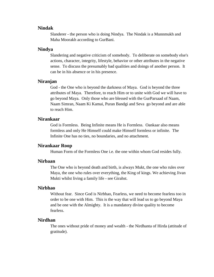#### **Nindak**

Slanderer - the person who is doing Nindya. The Nindak is a Munnmukh and Maha Moorakh according to GurBani.

## **Nindya**

Slandering and negative criticism of somebody. To deliberate on somebody else's actions, character, integrity, lifestyle, behavior or other attributes in the negative sense. To discuss the presumably bad qualities and doings of another person. It can be in his absence or in his presence.

# **Niranjan**

God - the One who is beyond the darkness of Maya. God is beyond the three attributes of Maya. Therefore, to reach Him or to unite with God we will have to go beyond Maya. Only those who are blessed with the GurParsaad of Naam, Naam Simran, Naam Ki Kamai, Puran Bandgi and Seva go beyond and are able to reach Him.

## **Nirankaar**

God is Formless. Being Infinite means He is Formless. Oankaar also means formless and only He Himself could make Himself formless or infinite. The Infinite One has no ties, no boundaries, and no attachment.

#### **Nirankaar Roop**

Human Form of the Formless One i.e. the one within whom God resides fully.

### **Nirbaan**

The One who is beyond death and birth, is always Mukt, the one who rules over Maya, the one who rules over everything, the King of kings. We achieving Jivan Mukti whilst living a family life - see Girahst.

#### **Nirbhao**

Without fear. Since God is Nirbhao, Fearless, we need to become fearless too in order to be one with Him. This is the way that will lead us to go beyond Maya and be one with the Almighty. It is a mandatory divine quality to become fearless.

## **Nirdhan**

The ones without pride of money and wealth - the Nirdhanta of Hirda (attitude of gratitude).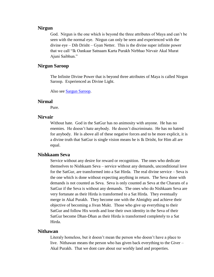# **Nirgun**

God. Nirgun is the one which is beyond the three attributes of Maya and can't be seen with the normal eye. Nirgun can only be seen and experienced with the divine eye – Dib Drisht – Gyan Netter. This is the divine super infinite power that we call "Ik Oankaar Satnaam Karta Purakh Nirbhao Nirvair Akal Murat Ajuni Saibhun."

# **Nirgun Saroop**

The Infinite Divine Power that is beyond three attributes of Maya is called Nirgun Saroop. Experienced as Divine Light.

Also see [Sargun Saroop.](http://www.satnaam.info/index.php?option=com_content&task=view&id=1336&Itemid=55)

#### **Nirmal**

Pure.

## **Nirvair**

Without hate. God in the SatGur has no animosity with anyone. He has no enemies. He doesn't hate anybody. He doesn't discriminate. He has no hatred for anybody. He is above all of these negative forces and to be more explicit, it is a divine truth that SatGur is single vision means he is Ik Drisht, for Him all are equal.

# **Nishkaam Seva**

Service without any desire for reward or recognition. The ones who dedicate themselves to Nishkaam Seva – service without any demands, unconditional love for the SatGur, are transformed into a Sat Hirda. The real divine service – Seva is the one which is done without expecting anything in return. The Seva done with demands is not counted as Seva. Seva is only counted as Seva at the Charans of a SatGur if the Seva is without any demands. The ones who do Nishkaam Seva are very fortunate as their Hirda is transformed to a Sat Hirda. They eventually merge in Akal Purakh. They become one with the Almighty and achieve their objective of becoming a Jivan Mukt. Those who give up everything to their SatGur and follow His words and lose their own identity in the Seva of their SatGur become Dhan-Dhan as their Hirda is transformed completely to a Sat Hirda.

#### **Nithawan**

Literaly homeless, but it doesn't mean the person who doesn't have a place to live. Nithawan means the person who has given back everything to the Giver – Akal Purakh. That we dont care about our worldy land and properties.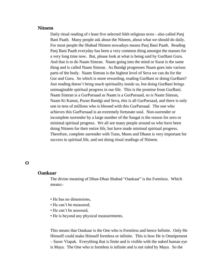#### **Nitnem**

Daily ritual reading of t least five selected Sikh religious texts - also called Panj Bani Paath. Many people ask about the Nitnem, about what we should do daily. For most people the Shabad Nitnem nowadays means Panj Bani Paath. Reading Panj Bani Paath everyday has been a very common thing amongst the masses for a very long time now. But, please look at what is being said by GurBani Guru. And that is to do Naam Simran. Naam going into the mind or Surat is the same thing and is called Naam Simran. As Bandgi progresses Naam goes into various parts of the body. Naam Simran is the highest level of Seva we can do for the Gur and Guru. So which is more rewarding, reading GurBani or doing GurBani? Just reading doesn't bring much spirituality inside us, but doing GurBani brings unimaginable spiritual progress in our life. This is the promise from GurBani. Naam Simran is a GurParsaad as Naam is a GurParsaad, so is Naam Simran, Naam Ki Kamai, Puran Bandgi and Seva, this is all GurParsaad, and there is only one in tens of millions who is blessed with this GurParsaad. The one who achieves this GurParsaad is an extremely fortunate soul. Non-surrender or incomplete surrender by a large number of the Sangat is the reason for zero or minimal spiritual progress. We all see many people around us who have been doing Nitnem for their entire life, but have made minimal spiritual progress. Therefore, complete surrender with Tunn, Munn and Dhann is very important for success in spiritual life, and not doing ritual readings of Nitnem.

# **O**

# **Oankaar**

The divine meaning of Dhan-Dhan Shabad "Oankaar" is the Formless. Which means:-

- He has no dimensions,
- He can't be measured,
- He can't be assessed,
- He is beyond any physical measurements.

This means that Oankaar is the One who is Formless and hence Infinite. Only He Himself could make Himself formless or infinite. This is how He is Omnipresent – Sarav Viapak. Everything that is finite and is visible with the naked human eye is Maya. The One who is formless is infinite and is not ruled by Maya. So the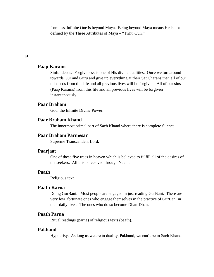formless, infinite One is beyond Maya. Being beyond Maya means He is not defined by the Three Attributes of Maya – "Trihu Gun."

# **P**

# **Paap Karams**

Sinful deeds. Forgiveness is one of His divine qualities. Once we turnaround towards Gur and Guru and give up everything at their Sat Charans then all of our misdeeds from this life and all previous lives will be forgiven. All of our sins (Paap Karams) from this life and all previous lives will be forgiven instantaneously.

# **Paar Braham**

God, the Infinite Divine Power.

# **Paar Braham Khand**

The innermost primal part of Sach Khand where there is complete Silence.

# **Paar Braham Parmesar**

Supreme Transcendent Lord.

#### **Paarjaat**

One of these five trees in heaven which is believed to fulfill all of the desires of the seekers. All this is received through Naam.

# **Paath**

Religious text.

# **Paath Karna**

Doing GurBani. Most people are engaged in just reading GurBani. There are very few fortunate ones who engage themselves in the practice of GurBani in their daily lives. The ones who do so become Dhan-Dhan.

# **Paath Parna**

Ritual readings (parna) of religious texts (paath).

## **Pakhand**

Hypocrisy. As long as we are in duality, Pakhand, we can't be in Sach Khand.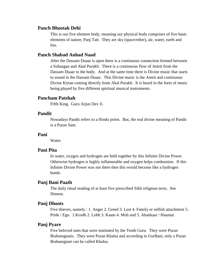## **Panch Bhootak Dehi**

This is our five element body, meaning our physical body comprises of five basic elements of nature, Panj Tatt. They are sky (space/ether), air, water, earth and fire.

# **Panch Shabad Anhad Naad**

After the Dassam Duaar is open there is a continuous connection formed between a Suhaagan and Akal Purakh. There is a continuous flow of Amrit from the Dassam Duaar to the body. And at the same time there is Divine music that starts to sound in the Dassam Duaar. This Divine music is the Amrit and continuous Divine Kirtan coming directly from Akal Purakh. It is heard in the form of music being played by five different spiritual musical instruments.

# **Pancham Patshah**

Fifth King. Guru Arjun Dev Ji.

# **Pandit**

Nowadays Pandit refers to a Hindu priest. But, the real divine meaning of Pandit is a Puran Sant.

#### **Pani**

Water.

## **Pani Pita**

In water, oxygen and hydrogen are held together by this Infinite Divine Power. Otherwise hydrogen is highly inflammable and oxygen helps combustion. If this Infinite Divine Power was not there then this would become like a hydrogen bomb.

### **Panj Bani Paath**

The daily ritual reading of at least five prescribed Sikh religious texts. See Nitnem.

#### **Panj Dhoots**

Five thieves, namely : 1. Anger 2. Greed 3. Lust 4. Family or selfish attachment 5. Pride / Ego. 1.Krodh 2. Lobh 3. Kaam 4. Moh and 5. Ahankaar / Haumai.

## **Panj Pyare**

Five beloved ones that were instituted by the Tenth Guru. They were Puran Brahamgianis. They were Puran Khalsa and according to GurBani, only a Puran Brahamgiani can be called Khalsa.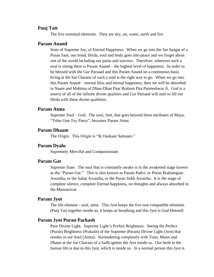## **Panj Tatt**

The five essential elements. They are sky, air, water, earth and fire.

#### **Param Anand**

State of Supreme Joy, of Eternal Happiness. When we go into the Sat Sangat of a Puran Sant, our mind, Hirda, soul and body goes into peace and we forget about rest of the world including our pains and sorrows. Therefore, wherever such a soul is sitting there is Param Anand – the highest level of happiness. In order to be blessed with the Gur Parsaad and this Param Anand on a continuous basis living at the Sat Charans of such a soul is the right way to go. When we go into this Param Anand – eternal bliss and eternal happiness, then we will be absorbed in Naam and Mahima of Dhan-Dhan Paar Braham Pita Parmeshwar Ji. God is a source of all of the infinite divine qualities and Gur Parsaad will start to fill our Hirda with these divine qualitites.

## **Param Atma**

Supreme Soul – God. The soul, Jyot, that goes beyond three attributes of Maya, "Trihu Gun Tey Parey", becomes Param Atma.

# **Param Dhaam**

The Origin. This Origin is "Ik Oankaar Satnaam."

# **Param Dyalu**

Supremely Merciful and Compassionate.

#### **Param Gat**

Supreme State. The soul that is constantly awake is in the awakened stage known as the "Param Gat." This is also known as Param Padvi, or Puran Brahamgian Awastha, or the Sahaj Awastha, or the Puran Sukh Awastha. It is the stage of complete silence, complete Eternal happiness, no thoughts and always absorbed in the Mansarovar.

#### **Param Jyot**

The life element - soul, atma. This Jyot keeps the five non compatible elements (Panj Tat) together inside us, it keeps us breathing and this Jyot is God Himself.

## **Param Jyot Puran Parkash**

Pure Divine Light. Supreme Light's Perfect Brightness. Seeing the Perfect (Puran) Brightness (Prakash) of the Supreme (Param) Divine Light (Jyot) that resides in our Soul (Atma). Surrendering completely with Tunn, Munn and Dhann at the Sat Charans of a Sadh ignites the Jyot inside us. Our birth in the human life is due to this Jyot, which is inside us. In a normal person this Jyot is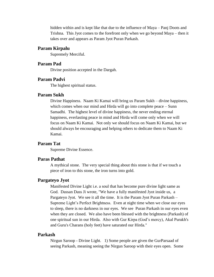hidden within and is kept like that due to the influence of Maya – Panj Doots and Trishna. This Jyot comes to the forefront only when we go beyond Maya – then it takes over and appears as Param Jyot Puran Parkash.

## **Param Kirpalu**

Supremely Merciful.

# **Param Pad**

Divine position accepted in the Dargah.

# **Param Padvi**

The highest spiritual status.

# **Param Sukh**

Divine Happiness. Naam Ki Kamai will bring us Param Sukh – divine happiness, which comes when our mind and Hirda will go into complete peace – Sunn Samadhi. The highest level of divine happiness, the never ending eternal happiness, everlasting peace in mind and Hirda will come only when we will focus on Naam Ki Kamai. Not only we should focus on Naam Ki Kamai, but we should always be encouraging and helping others to dedicate them to Naam Ki Kamai.

# **Param Tat**

Supreme Divine Essence.

#### **Paras Pathat**

A mythical stone. The very special thing about this stone is that if we touch a piece of iron to this stone, the iron turns into gold.

## **Pargateyo Jyot**

Manifested Divine Light i.e. a soul that has become pure divine light same as God. Dassan Dass Ji wrote, "We have a fully manifested Jyot inside us, a Pargateyo Jyot. We see it all the time. It is the Param Jyot Puran Parkash – Supreme Light's Perfect Brightness. Even at night time when we close our eyes to sleep, there is no darkness in our eyes. We see Puran Parkash in our eyes even when they are closed. We also have been blessed with the brightness (Parkash) of one spiritual sun in our Hirda. Also with Gur Kirpa (God's mercy), Akal Purakh's and Guru's Charans (holy feet) have saturated our Hirda."

#### **Parkash**

Nirgun Saroop - Divine Light. 1) Some people are given the GurParsaad of seeing Parkash, meaning seeing the Nirgun Saroop with their eyes open. Some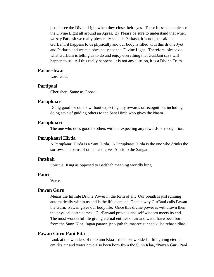people see the Divine Light when they close their eyes. These blessed people see the Divine Light all around an Apras. 2) Please be sure to understand that when we say Parkash we really physically see this Parkash, it is not just said in GurBani, it happens to us physically and our body is filled with this divine Jyot and Parkash and we can physically see this Divine Light. Therefore, please do what GurBani is telling us to do and enjoy everything that GurBani says will happen to us. All this really happens, it is not any illusion, it is a Divine Truth.

# **Parmeshwar**

Lord God.

#### **Partipaal**

Cherisher. Same as Gopaal.

#### **Parupkaar**

Doing good for others without expecting any rewards or recognition, including doing seva of guiding others to the Sant Hirda who gives the Naam.

### **Parupkaari**

The one who does good to others without expecting any rewards or recognition.

## **Parupkaari Hirda**

A Parupkaari Hirda is a Sant Hirda. A Parupkaari Hirda is the one who drinks the sorrows and pains of others and gives Amrit to the Sangat.

## **Patshah**

Spiritual King as opposed to Badshah meaning worldly king.

#### **Pauri**

Verse.

# **Pawan Guru**

Means the Infinite Divine Power in the form of air. Our breath is just running automatically within us and is the life element. That is why GurBani calls Pawan the Guru. Pawan gives our body life. Once this divine power is withdrawn then the physical death comes. GurParsaad prevails and self wisdom meets its end. The most wonderful life giving eternal entities of air and water have been born from the Sunn Klaa, "agan paanee jeeo joth thumaaree sunnae kulaa rehaaeidhaa."

# **Pawan Guru Pani Pita**

Look at the wonders of the Sunn Klaa – the most wonderful life giving eternal entities air and water have also been born from the Sunn Klaa, "Pawan Guru Pani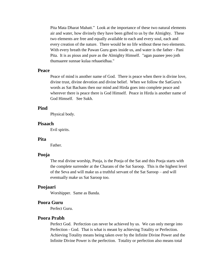Pita Mata Dharat Mahatt." Look at the importance of these two natural elements air and water, how divinely they have been gifted to us by the Almighty. These two elements are free and equally available to each and every soul, each and every creation of the nature. There would be no life without these two elements. With every breath the Pawan Guru goes inside us, and water is the father - Pani Pita. It is as pious and pure as the Almighty Himself. "agan paanee jeeo joth thumaaree sunnae kulaa rehaaeidhaa."

### **Peace**

Peace of mind is another name of God. There is peace when there is divine love, divine trust, divine devotion and divine belief. When we follow the SatGuru's words as Sat Bachans then our mind and Hirda goes into complete peace and wherever there is peace there is God Himself. Peace in Hirda is another name of God Himself. See Sukh.

# **Pind**

Physical body.

#### **Pisaach**

Evil spirits.

### **Pita**

Father.

#### **Pooja**

The real divine worship, Pooja, is the Pooja of the Sat and this Pooja starts with the complete surrender at the Charans of the Sat Saroop. This is the highest level of the Seva and will make us a truthful servant of the Sat Saroop – and will eventually make us Sat Saroop too.

### **Poojaari**

Worshipper. Same as Banda.

## **Poora Guru**

Perfect Guru.

## **Poora Prabh**

Perfect God. Perfection can never be achieved by us. We can only merge into Perfection - God. That is what is meant by achieving Totality or Perfection. Achieving Totality means being taken over by the Infinite Divine Power and the Infinite Divine Power is the perfection. Totality or perfection also means total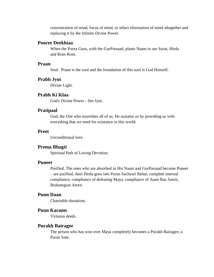concentration of mind, focus of mind, or infact elimination of mind altogether and replacing it by the Infinite Divine Power.

# **Pooree Deekhiaa**

When the Poora Guru, with the GurParsaad, plants Naam in our Surat, Hirda and Rom-Rom.

# **Praan**

Soul. Praan is the soul and the foundation of this soul is God Himself.

#### **Prabh Jyot**

Divine Light.

# **Prabh Ki Klaa**

God's Divine Power - See Jyot.

### **Pratipaal**

God, the One who nourishes all of us. He sustains us by providing us with everything that we need for existance in this world.

## **Preet**

Unconditional love.

### **Prema Bhagti**

Spiritual Path of Loving Devotion.

# **Puneet**

Purified. The ones who are absorbed in His Naam and GurParsaad become Puneet – are purified, their Hirda goes into Puran Sachyari Rehat, complete internal compliance, compliance of defeating Maya, compliance of Atam Ras Amrit, Brahamgian Amrit.

# **Punn Daan**

Charitable donations.

# **Punn Karams**

Virtuous deeds.

## **Purakh Bairagee**

The person who has won over Maya completely becomes a Purakh Bairagee, a Puran Sant.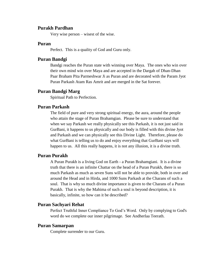### **Purakh Pardhan**

Very wise person – wisest of the wise.

### **Puran**

Perfect. This is a quality of God and Guru only.

### **Puran Bandgi**

Bandgi reaches the Puran state with winning over Maya. The ones who win over their own mind win over Maya and are accepted in the Dargah of Dhan-Dhan Paar Braham Pita Parmeshwar Ji as Puran and are decorated with the Param Jyot Puran Parkash Atam Ras Amrit and are merged in the Sat forever.

## **Puran Bandgi Marg**

Spiritual Path to Perfection.

# **Puran Parkash**

The field of pure and very strong spiritual energy, the aura, around the people who attain the stage of Puran Brahamgian. Please be sure to understand that when we say Parkash we really physically see this Parkash, it is not just said in GurBani, it happens to us physically and our body is filled with this divine Jyot and Parkash and we can physically see this Divine Light. Therefore, please do what GurBani is telling us to do and enjoy everything that GurBani says will happen to us. All this really happens, it is not any illusion, it is a divine truth.

# **Puran Purakh**

A Puran Purakh is a living God on Earth - a Puran Brahamgiani. It is a divine truth that there is an infinite Chattar on the head of a Puran Purakh, there is so much Parkash as much as seven Suns will not be able to provide, both in over and around the Head and in Hirda, and 1000 Suns Parkash at the Charans of such a soul. That is why so much divine importance is given to the Charans of a Puran Purakh. That is why the Mahima of such a soul is beyond description, it is basically, infinite, so how can it be described?

# **Puran Sachyari Rehat**

Perfect Truthful Inner Compliance To God's Word. Only by complying to God's word do we complete our inner pilgrimage. See Andherlaa Teerath.

## **Puran Samarpan**

Complete surrender to our Guru.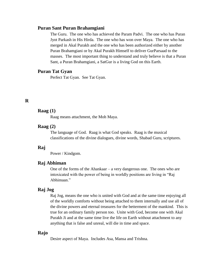### **Puran Sant Puran Brahamgiani**

The Guru. The one who has achieved the Param Padvi. The one who has Puran Jyot Parkash in His Hirda. The one who has won over Maya. The one who has merged in Akal Purakh and the one who has been authorized either by another Puran Brahamgiani or by Akal Purakh Himself to deliver GurParsaad to the masses. The most important thing to understand and truly believe is that a Puran Sant, a Puran Brahamgiani, a SatGur is a living God on this Earth.

# **Puran Tat Gyan**

Perfect Tat Gyan. See Tat Gyan.

# **R**

# **Raag (1)**

Raag means attachment, the Moh Maya.

## **Raag (2)**

The language of God. Raag is what God speaks. Raag is the musical classifications of the divine dialogues, divine words, Shabad Guru, scriptures.

#### **Raj**

Power / Kindgom.

# **Raj Abhiman**

One of the forms of the Ahankaar – a very dangerous one. The ones who are intoxicated with the power of being in worldly positions are living in "Raj Abhimaan."

# **Raj Jog**

Raj Jog, means the one who is united with God and at the same time enjoying all of the worldly comforts without being attached to them internally and use all of the divine powers and eternal treasures for the betterment of the mankind. This is true for an ordinary family person too. Unite with God, become one with Akal Purakh Ji and at the same time live the life on Earth without attachment to any anything that is false and unreal, will die in time and space.

# **Rajo**

Desire aspect of Maya. Includes Asa, Mansa and Trishna.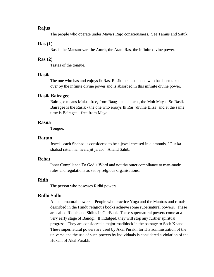## **Rajus**

The people who operate under Maya's Rajo consciousness. See Tamus and Satuk.

#### **Ras (1)**

Ras is the Mansarovar, the Amrit, the Atam Ras, the infinite divine power.

#### **Ras (2)**

Tastes of the tongue.

### **Rasik**

The one who has and enjoys Ik Ras. Rasik means the one who has been taken over by the infinite divine power and is absorbed in this infinite divine power.

#### **Rasik Bairagee**

Bairagee means Mukt - free, from Raag - attachment, the Moh Maya. So Rasik Bairagee is the Rasik - the one who enjoys Ik Ras (divine Bliss) and at the same time is Bairagee - free from Maya.

#### **Rasna**

Tongue.

#### **Rattan**

Jewel - each Shabad is considered to be a jewel encased in diamonds, "Gur ka shabad rattan ha, heera jit jarao." Anand Sahib.

## **Rehat**

Inner Compliance To God's Word and not the outer compliance to man-made rules and regulations as set by relgious organisations.

# **Ridh**

The person who posesses Ridhi powers.

### **Ridhi Sidhi**

All supernatural powers. People who practice Yoga and the Mantras and rituals described in the Hindu religious books achieve some supernatural powers. These are called Ridhis and Sidhis in GurBani. These supernatural powers come at a very early stage of Bandgi. If indulged, they will stop any further spiritual progress. They are considered a major roadblock in the passage to Sach Khand. These supernatural powers are used by Akal Purakh for His administration of the universe and the use of such powers by individuals is considered a violation of the Hukam of Akal Purakh.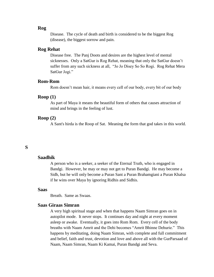# **Rog**

Disease. The cycle of death and birth is considered to be the biggest Rog (disease), the biggest sorrow and pain.

#### **Rog Rehat**

Disease free. The Panj Doots and desires are the highest level of mental sicknesses. Only a SatGur is Rog Rehat, meaning that only the SatGur doesn't suffer from any such sickness at all, "Jo Jo Disey So So Rogi. Rog Rehat Mera SatGur Jogi."

## **Rom-Rom**

Rom doesn't mean hair, it means every cell of our body, every bit of our body

## **Roop (1)**

As part of Maya it means the beautiful form of others that causes attraction of mind and brings in the feeling of lust.

# **Roop (2)**

A Sant's hirda is the Roop of Sat. Meaning the form that god takes in this world.

# **S**

### **Saadhik**

A person who is a seeker, a seeker of the Eternal Truth, who is engaged in Bandgi. However, he may or may not get to Puran Bandgi. He may become a Sidh, but he will only become a Puran Sant a Puran Brahamgiani a Puran Khalsa if he wins over Maya by ignoring Ridhis and Sidhis.

## **Saas**

Breath. Same as Swaas.

# **Saas Giraas Simran**

A very high spiritual stage and when that happens Naam Simran goes on in autopilot mode. It never stops. It continues day and night at every moment asleep or awake. Eventually, it goes into Rom Rom. Every cell of the body breaths with Naam Amrit and the Dehi becomes "Amrit Bhinne Dehurie." This happens by meditating, doing Naam Simran, with complete and full commitment and belief, faith and trust, devotion and love and above all with the GurParsaad of Naam, Naam Simran, Naam Ki Kamai, Puran Bandgi and Seva.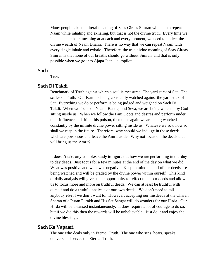Many people take the literal meaning of Saas Giraas Simran which is to repeat Naam while inhaling and exhaling, but that is not the divine truth. Every time we inhale and exhale, meaning at at each and every moment, we need to collect the divine wealth of Naam Dhann. There is no way that we can repeat Naam with every single inhale and exhale. Therefore, the true divine meaning of Saas Giraas Simran is that none of our breaths should go without Simran, and that is only possible when we go into Ajapa Jaap – autopilot.

### **Sach**

True.

# **Sach Di Takdi**

Benchmark of Truth against which a soul is measured. The yard stick of Sat. The scales of Truth. Our Karni is being constantly watched against the yard stick of Sat. Everything we do or perform is being judged and weighed on Sach Di Takdi. When we focus on Naam, Bandgi and Seva, we are being watched by God sitting inside us. When we follow the Panj Doots and desires and perform under their influence and drink this poison, then once again we are being watched constantly by the infinite divine power sitting inside us. Whateve we sow now so shall we reap in the future. Therefore, why should we indulge in those deeds whch are poisonous and leave the Amrit aside. Why not focus on the deeds that will bring us the Amrit?

It doesn't take any complex study to figure out how we are performing in our day to day deeds. Just focus for a few minutes at the end of the day on what we did. What was positive and what was negative. Keep in mind that all of our deeds are being watched and will be graded by the divine power within ourself. This kind of daily analysis will give us the opportunity to relfect upon our deeds and allow us to focus more and more on truthful deeds. We can at least be truthful with ourself and do a truthful analysis of our own deeds. We don't need to tell anybody else if we don't want to. However, accepting our misdeeds at the Charan Sharan of a Puran Purakh and His Sat Sangat will do wonders for our Hirda. Our Hirda will be cleansed instantaneously. It does require a lot of courage to do so, but if we did this then the rewards will be unbelievable. Just do it and enjoy the divine blessings.

#### **Sach Ka Vapaari**

The one who deals only in Eternal Truth. The one who sees, hears, speaks, delivers and serves the Eternal Truth.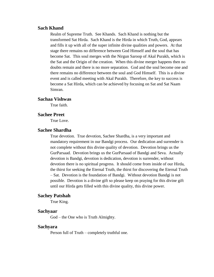## **Sach Khand**

Realm of Supreme Truth. See Khands. Sach Khand is nothing but the transformed Sat Hirda. Sach Khand is the Hirda in which Truth, God, appears and fills it up with all of the super infinite divine qualities and powers. At that stage there remains no difference between God Himself and the soul that has become Sat. This soul merges with the Nirgun Saroop of Akal Purakh, which is the Sat and the Origin of the creation. When this divine merger happens then no doubts remain and there is no more separation. God and the soul become one and there remains no difference between the soul and God Himself. This is a divine event and is called meeting with Akal Purakh. Therefore, the key to success is become a Sat Hirda, which can be achieved by focusing on Sat and Sat Naam Simran.

#### **Sachaa Vishwas**

True faith.

#### **Sachee Preet**

True Love.

## **Sachee Shardha**

True devotion. True devotion, Sachee Shardha, is a very important and mandatory requirement in our Bandgi process. Our dedication and surrender is not complete without this divine quality of devotion. Devotion brings us the GurParsaad. Devotion brings us the GurParsaad of Bandgi and Seva. Actually devotion is Bandgi, devotion is dedication, devotion is surrender, without devotion there is no spiritual progress. It should come from inside of our Hirda, the thirst for seeking the Eternal Truth, the thirst for discovering the Eternal Truth – Sat. Devotion is the foundation of Bandgi. Without devotion Bandgi is not possible. Devotion is a divine gift so please keep on praying for this divine gift until our Hirda gets filled with this divine quality, this divine power.

#### **Sachey Patshah**

True King.

#### **Sachyaar**

God – the One who is Truth Almighty.

#### **Sachyara**

Person full of Truth – completely truthful one.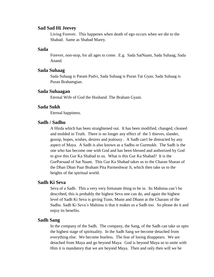## **Sad Sad Hi Jeevey**

Living Forever. This happenes when death of ego occurs when we die to the Shabad. Same as Shabad Marey.

### **Sada**

Forever, non-stop, for all ages to come. E.g. Sada SatNaam, Sada Suhaag, Sada Anand.

## **Sada Suhaag**

Sada Suhaag is Param Padvi, Sada Suhaag is Puran Tat Gyan, Sada Suhaag is Puran Brahamgian.

#### **Sada Suhaagan**

Eternal Wife of God the Husband. The Braham Gyani.

# **Sada Sukh**

Eternal happiness.

# **Sadh / Sadhu**

A Hirda which has been straightened out. It has been modified, changed, cleaned and molded in Truth. There is no longer any effect of the 5 thieves, slander, gossip, hopes, wishes, desires and jealousy . A Sadh can't be distracted by any aspect of Maya. A Sadh is also known as a Sadhu or Gurmukh. The Sadh is the one who has become one with God and has been blessed and authorized by God to give this Gur Ka Shabad to us. What is this Gur Ka Shabad? It is the GurParsaad of Sat Naam. This Gur Ka Shabad takes us to the Charan Sharan of the Dhan Dhan Paar Braham Pita Parmeshwar Ji, which then take us to the heights of the spiritual world.

## **Sadh Ki Seva**

Seva of a Sadh. This a very very fortunate thing to be in. Its Mahima can't be described, this is probably the highest Seva one can do, and again the highest level of Sadh Ki Seva is giving Tunn, Munn and Dhann at the Charans of the Sadhu. Sadh Ki Seva's Mahima is that it makes us a Sadh too. So please do it and enjoy its benefits.

# **Sadh Sang**

In the company of the Sadh. The company, the Sang, of the Sadh can take us upto the highest stage of spirituality. In the Sadh Sang we become detached from everything else. We become fearless. The fear of losing disappears. We are detached from Maya and go beyond Maya. God is beyond Maya so to unite with Him it is mandatory that we are beyond Maya. Then and only then will we be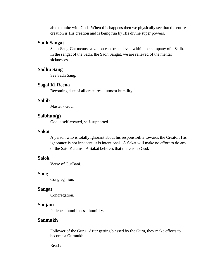able to unite with God. When this happens then we physically see that the entire creation is His creation and is being run by His divine super powers.

## **Sadh Sangat**

Sadh-Sang-Gat means salvation can be achieved within the company of a Sadh. In the sangat of the Sadh, the Sadh Sangat, we are relieved of the mental sicknesses.

## **Sadhu Sang**

See Sadh Sang.

### **Sagal Ki Reena**

Becoming dust of all creatures – utmost humility.

# **Sahib**

Master - God.

# **Saibhun(g)**

God is self-created, self-supported.

#### **Sakat**

A person who is totally ignorant about his responsibility towards the Creator. His ignorance is not innocent, it is intentional. A Sakat will make no effort to do any of the Sato Karams. A Sakat believes that there is no God.

# **Salok**

Verse of GurBani.

## **Sang**

Congregation.

#### **Sangat**

Congregation.

### **Sanjam**

Patience; humbleness; humility.

# **Sanmukh**

Follower of the Guru. After getting blessed by the Guru, they make efforts to become a Gurmukh.

Read :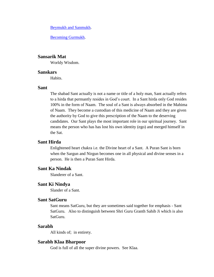[Beymukh and Sanmukh.](http://www.satnaam.info/index.php?option=com_content&task=view&id=10&Itemid=11)

[Becoming Gurmukh.](http://www.satnaam.info/index.php?option=com_content&task=category§ionid=2&id=3&Itemid=11)

# **Sansarik Mat**

Worldy Wisdom.

#### **Sanskars**

**Habits** 

#### **Sant**

The shabad Sant actually is not a name or title of a holy man, Sant actually refers to a hirda that permantly resides in God's court. In a Sant hirda only God resides 100% in the form of Naam. The soul of a Sant is always absorbed in the Mahima of Naam. They become a custodian of this medicine of Naam and they are given the authority by God to give this prescription of the Naam to the deserving candidates. Our Sant plays the most important role in our spiritual journey. Sant means the person who has has lost his own identity (ego) and merged himself in the Sat.

# **Sant Hirda**

Enlightened heart chakra i.e. the Divine heart of a Sant. A Puran Sant is born when the Sargun and Nirgun becomes one in all physical and divine senses in a person. He is then a Puran Sant Hirda.

# **Sant Ka Nindak**

Slanderer of a Sant.

# **Sant Ki Nindya**

Slander of a Sant.

## **Sant SatGuru**

Sant means SatGuru, but they are sometimes said together for emphasis - Sant SatGuru. Also to distinguish between Shri Guru Granth Sahib Ji which is also SatGuru.

#### **Sarabh**

All kinds of; in entirety.

#### **Sarabh Klaa Bharpoor**

God is full of all the super divine powers. See Klaa.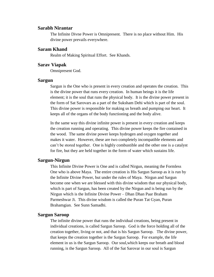#### **Sarabh Nirantar**

The Infinite Divne Power is Omnipresent. There is no place without Him. His divine power prevails everywhere.

## **Saram Khand**

Realm of Making Spiritual Effort. See Khands.

## **Sarav Viapak**

Omnipresent God.

#### **Sargun**

Sargun is the One who is present in every creation and operates the creation. This is the divine power that runs every creation. In human beings it is the life element; it is the soul that runs the physical body. It is the divine power present in the form of Sat Sarovars as a part of the Suksham Dehi which is part of the soul. This divine power is responsible for making us breath and pumping our heart. It keeps all of the organs of the body functioning and the body alive.

In the same way this divine infinite power is present in every creation and keeps the creation running and operating. This divine power keeps the fire contained in the wood. The same divine power keeps hydrogen and oxygen together and makes it water. However, these are two completely incompatible elements and can't be stored together. One is highly combustible and the other one is a catalyst for fire, but they are held together in the form of water which sustains life.

# **Sargun-Nirgun**

This Infinite Divine Power is One and is called Nirgun, meaning the Formless One who is above Maya. The entire creation is His Sargun Saroop as it is run by the Infinite Divine Power, but under the rules of Maya. Nirgun and Sargun become one when we are blessed with this divine wisdom that our physical body, which is part of Sargun, has been created by the Nirgun and is being run by the Nirgun which is the Infinite Divine Power – Dhan Dhan Paar Braham Parmeshwar Ji. This divine wisdom is called the Puran Tat Gyan, Puran Brahamgian. See Sunn Samadhi.

#### **Sargun Saroop**

The infinite divine power that runs the individual creations, being present in individual creations, is called Sargun Saroop. God is the force holding all of the creation together, living or not, and that is his Sargun Saroop. The divine power, that keeps the creation together is the Sargun Saroop. For example, the life element in us is the Sargun Saroop. Our soul,which keeps our breath and blood running, is the Sargun Saroop. All of the Sat Sarovar in our soul is Sargun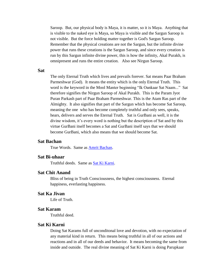Saroop. But, our physical body is Maya, it is matter, so it is Maya. Anything that is visible to the naked eye is Maya, so Maya is visible and the Sargun Saroop is not visible. But the force holding matter together is God's Sargun Saroop. Remember that the physical creations are not the Sargun, but the infinite divine power that runs these creations is the Sargun Saroop, and since every creation is run by this Sargun infinite divine power, this is how the infinity, Akal Purakh, is omnipresent and runs the entire creation. Also see Nirgun Saroop.

### **Sat**

The only Eternal Truth which lives and prevails forever. Sat means Paar Braham Parmeshwar (God). It means the entity which is the only Eternal Truth. This word is the keyword in the Mool Manter beginning "Ik Oankaar Sat Naam..." Sat therefore signifies the Nirgun Saroop of Akal Purakh. This is the Param Jyot Puran Parkash part of Paar Braham Parmeshwar. This is the Atam Ras part of the Almighty. It also signifies that part of the Sargun which has become Sat Saroop, meaning the one who has become completely truthful and only sees, speaks, hears, delivers and serves the Eternal Truth. Sat is GurBani as well, it is the divine wisdom, it's every word is nothing but the description of Sat and by this virtue GurBani itself becomes a Sat and GurBani itself says that we should become GurBani, which also means that we should become Sat.

## **Sat Bachan**

True Words. Same as [Amrit Bachan.](http://www.satnaam.info/index.php?option=com_content&task=view&id=1212&Itemid=55)

#### **Sat Bi-uhaar**

Truthful deeds. Same as [Sat Ki Karni.](http://www.satnaam.info/index.php?option=com_content&task=view&id=1328&Itemid=55)

# **Sat Chit Anand**

Bliss of being in Truth Consciousness, the highest consciousness. Eternal happiness, everlasting happiness.

# **Sat Ka Jivan**

Life of Truth.

### **Sat Karam**

Truthful deed.

## **Sat Ki Karni**

Doing Sat Karams full of unconditonal love and devotion, with no expectation of any material kind in return. This means being truthful in all of our actions and reactions and in all of our deeds and behavior. It means becoming the same from inside and outside. The real divine meaning of Sat Ki Karni is doing Parupkaar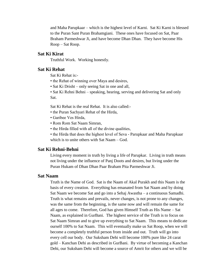and Maha Parupkaar – which is the highest level of Karni. Sat Ki Karni is blessed to the Puran Sant Puran Brahamgiani. These ones have focused on Sat, Paar Braham Parmeshwar Ji, and have become Dhan Dhan. They have become His Roop – Sat Roop.

# **Sat Ki Kirat**

Truthful Work. Working honestly.

# **Sat Ki Rehat**

Sat Ki Rehat is:-

- the Rehat of winning over Maya and desires,
- Sat Ki Drisht only seeing Sat in one and all,
- Sat Ki Rehni Behni speaking, hearing, serving and delivering Sat and only Sat.

Sat Ki Rehat is the real Rehat. It is also called:-

- the Puran Sachyari Rehat of the Hirda,
- Garibee Ves Hirda,
- Rom Rom Sat Naam Simran,
- the Hirda filled with all of the divine qualities,

• the Hirda that does the highest level of Seva - Parupkaar and Maha Parupkaar which is to unite others with Sat Naam – God.

## **Sat Ki Rehni-Behni**

Living every moment in truth by living a life of Parupkar. Living in truth means not living under the influence of Panj Doots and desires, but living under the Puran Hukam of Dhan Dhan Paar Braham Pita Parmeshwar Ji.

#### **Sat Naam**

Truth is the Name of God. Sat is the Naam of Akal Purakh and this Naam is the basis of every creation. Everything has emanated from Sat Naam and by doing Sat Naam we become Sat and go into a Sehaj Awastha – a continuous Samadhi. Truth is what remains and prevails, never changes, is not prone to any changes, was the same from the beginning, is the same now and will remain the same for all ages to come. Therefore, God has given Himself Truth as His Name – Sat Naam, as explained in GurBani. The highest service of the Truth is to focus on Sat Naam Simran and to give up everything to Sat Naam. This means to dedicate ourself 100% to Sat Naam. This will eventually make us Sat Roop, when we will become a completely truthful person from inside and out. Truth will go into every cell our body. Our Suksham Dehi will become 100% pure like 24 carat gold – Kanchan Dehi as described in GurBani. By virtue of becoming a Kanchan Dehi, our Suksham Dehi will become a source of Amrit for others and we will be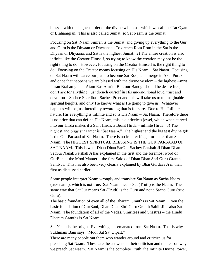blessed with the highest order of the divine wisdom – which we call the Tat Gyan or Brahamgian. This is also called Sumat, so Sat Naam is the Sumat.

Focusing on Sat Naam Simran is the Sumat, and giving up everything to the Gur and Guru is the Dhyaan or Dhyaanaa. To drench Rom Rom in the Sat is the Dhyaan or Dhyaana, and Sat is the highest Sumat. 2) The entire creation is also infinite like the Creator Himself, so trying to know the creation may not be the right thing to do. However, focusing on the Creator Himself is the right thing to do. Focusing on the Creator means focusing on His Naam – Sat Naam. Focusing on Sat Naam will carve our path to become Sat Roop and merge in Akal Purakh, and once that happens we are blessed with the divine wisdom – the highest Amrit Puran Brahamgian – Atam Ras Amrit. But, our Bandgi should be desire free, don't ask for anything, just drench ourself in His unconditional love, trust and devotion – Sachee Shardhaa, Sachee Preet and this will take us to unimaginable spiritual heights, and only He knows what is He going to give us. Whatever happens will be just incredibly rewarding that is for sure. Due to His Infinite nature, His everything is infinite and so is His Naam – Sat Naam. Therefore there is no price that can define His Naam, this is a priceless jewel, which when carved into our Hirda makes it a Sant Hirda, a Beant Hirda – infinite Hirda. 3) The highest and biggest Manter is "Sat Naam." The highest and the biggest divine gift is the Gur Parsaad of Sat Naam. There is no Manter bigger or better than Sat Naam. The HIGHEST SPIRITUAL BLESSING IS THE GUR PARSAAD OF SAT NAAM. This is what Dhan Dhan SatGur Sachey Patshah Ji Dhan Dhan SatGur Nanak Patshah Ji has explained in the first and the foremost word of GurBani – the Mool Manter - the first Salok of Dhan Dhan Shri Guru Granth Sahib Ji. This has also been very clearly explained by Bhai Gurdaas Ji in their first as discussed earlier.

Some people interpret Naam wrongly and translate Sat Naam as Sacha Naam (true name), which is not true. Sat Naam means Sat (Truth) is the Naam. The same way that SatGur means Sat (Truth) is the Guru and not a Sacha Guru (true Guru).

The basic foundation of even all of the Dharam Granths is Sat Naam. Even the basic foundation of GurBani, Dhan Dhan Shri Guru Granth Sahib Ji is also Sat Naam. The foundation of all of the Vedas, Simritees and Shastras – the Hindu Dharam Granths is Sat Naam.

Sat Naam is the origin. Everything has emanated from Sat Naam. That is why Sukhmani Bani says, "Mool Sat Sat Utpatt."

There are many people out there who wander around and criticize us for preaching Sat Naam. These are the answers to their criticism and the reason why we preach Sat Naam. Sat Naam is the complete Truth, the Infinite Divine Power,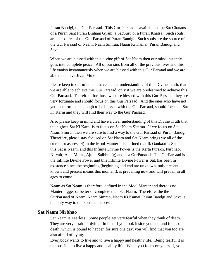Puran Bandgi, the Gur Parsaad. This Gur Parsaad is available at the Sat Charans of a Puran Sant Puran Braham Gyani, a SatGuru or a Puran Khalsa. Such souls are the source of the Gur Parsaad of Puran Bandgi. Such souls are the source of the Gur Parsaad of Naam, Naam Simran, Naam Ki Kamai, Puran Bandgi and Seva.

When we are blessed with this divine gift of Sat Naam then our mind instantly goes into complete peace. All of our sins from all of the previous lives and this life vanish instantanously when we are blessed with this Gur Parsaad and we are able to achieve Jivan Mukti.

Please keep in our mind and have a clear understanding of this Divine Truth, that we are able to achieve this Gur Parsaad, only if we are predestined to achieve this Gur Parsaad. Therefore, for those who are blessed with this Gur Parsaad, they are very fortunate and should focus on this Gur Parsaad. And the ones who have not yet been fortunate enough to be blessed with the Gur Parsaad, should focus on Sat Ki Karni and they will find their way to the Gur Parsaad.

Also please keep in mind and have a clear understanding of this Divine Truth that the highest Sat Ki Karni is to focus on Sat Naam Simran. If we focus on Sat Naam Simran then we are sure to find a way to the Gur Parsaad of Puran Bandgi. Therefore, please stay focused on Sat Naam and Sat Naam brings we all of the eternal treasures. 4) In the Mool Manter it is defined that Ik Oankaar is Sat and this Sat is Naam, and this Infinite Divine Power is the Karta Purakh, Nirbhao, Nirvair, Akal Murat, Ajuni, Saibhun(g) and is a GurParsaad. The GurParsaad is the Infinite Divine Power and this Infinite Divine Power is Sat, has been in existence since the beginning (beginning and end are unknown, only present is known and present means this moment), is prevailing now and will prevail in all ages to come.

Naam as Sat Naam is therefore, defined in the Mool Manter and there is no Manter bigger or better or complete than Sat Naam. Therefore, the the GurParsaad of Naam, Naam Simran, Naam Ki Kamai, Puran Bandgi and Seva is the only way to our spiritual success.

# **Sat Naam Nirbhao**

Sat Naam is Fearless. Some people get very fearful when they think of death. They are very afraid of dying. In fact, if you look inside yourself and focus on death, which is bound to happen for sure one day, you will find that you too are also afraid of dying.

Everybody wants to live and to live a happy and healthy life. Being fearful it is not possible to live a happy and healthy life. When you focus on yourself, you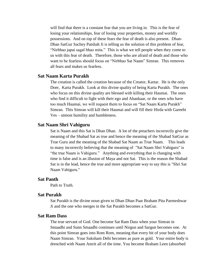will find that there is a constant fear that you are living in. This is the fear of losing your relationships, fear of losing your properties, money and worldly possessions. And on top of these fears the fear of death is also present. Dhan-Dhan SatGur Sachey Patshah Ji is telling us the solution of this problem of fear, "Nirbhao japai sagal bhao mita." This is what we tell people when they come to us with this fear of death. Therefore, those who are afraid of death and those who want to be fearless should focus on "Nirbhao Sat Naam" Simran. This removes all fears and makes us fearless.

# **Sat Naam Karta Purakh**

The creation is called the creation because of the Creator, Kartar. He is the only Doer, Karta Purakh. Look at this divine quality of being Karta Purakh. The ones who focus on this divine quality are blessed with killing their Haumai. The ones who find it difficult to fight with their ego and Ahankaar, or the ones who have too much Haumai, we will request them to focus on "Sat Naam Karta Purakh" Simran. This Simran will kill their Haumai and will fill their Hirda with Gareebi Ves – utmost humility and humbleness.

### **Sat Naam Shri Vahiguru**

Sat is Naam and this Sat is Dhan Dhan. A lot of the preachers incorrectly give the meaning of the Shabad Sat as true and hence the meaning of the Shabad SatGur as True Guru and the meaning of the Shabad Sat Naam as True Naam. This leads to many incorrectly believing that the meaning of "Sat Naam Shri Vahiguru" is "the true Naam is Vahiguru." Anything and everything that is changing with time is false and is an illusion of Maya and not Sat. This is the reason the Shabad Sat is in the lead, hence the true and more appropriate way to say this is "Shri Sat Naam Vahiguru."

### **Sat Panth**

Path to Truth.

### **Sat Purakh**

Sat Purakh is the divine noun given to Dhan Dhan Paar Braham Pita Parmeshwar Ji and the one who merges in the Sat Purakh becomes a SatGur.

# **Sat Ram Dass**

The true servant of God. One become Sat Ram Dass when your Simran in Smaadhi and Sunn Smaadhi continues until Nirgun and Sargun becomes one. At this point Simran goes into Rom Rom, meaning that every bit of your body does Naam Simran. Your Suksham Dehi becomes as pure as gold. Your entire body is drenched with Naam Amrit all of the time. You become Braham Leen (absorbed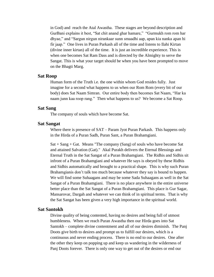in God) and reach the Atal Awastha. These stages are beyond description and GurBani explains it best, "Sat chit anand ghar hamare," "Gurmukh rom rom har dhyae," and "Sargun nirgun nirankaar sunn smaadhi aap, apan kia nanka apan hi fir jaap." One lives in Puran Parkash all of the time and listens to Ilahi Kirtan (divine inner kirtan) all of the time. It is just an incredible experience. This is when one becomes Sat Ram Dass and is directed by the Almighty to serve the Sangat. This is what your target should be when you have been prompted to move on the Bhagti Marg.

#### **Sat Roop**

Human form of the Truth i.e. the one within whom God resides fully. Just imagine for a second what happens to us when our Rom Rom (every bit of our body) does Sat Naam Simran. Our entire body then becomes Sat Naam, "Har ka naam junn kaa roop rang." Then what happens to us? We become a Sat Roop.

#### **Sat Sang**

The company of souls which have become Sat.

#### **Sat Sangat**

Where there is presence of  $SAT$  – Param Jyot Puran Parkash. This happens only in the Hirda of a Puran Sadh, Puran Sant, a Puran Brahamgiani.

 $Sat + Sang + Gat.$  Means "The company (Sang) of souls who have become Sat and attained Salvation (Gat)." Akal Purakh delivers the Eternal Blessings and Eternal Truth in the Sat Sangat of a Puran Brahamgiani. The Ridhis and Sidhis sit infront of a Puran Brahamgiani and whatever He says is obeyed by these Ridhis and Sidhis automatically and brought to a practical shape. This is why such Puran Brahamgianis don't talk too much because whatever they say is bound to happen. We will find some Suhaagans and may be some Sada Suhaagans as well in the Sat Sangat of a Puran Brahamgiani. There is no place anywhere in the entire universe better place than the Sat Sangat of a Puran Brahamgiani. This place is Gur Sagar, Mansarovar, Dargah and whatever we can think of in spiritual terms. That is why the Sat Sangat has been given a very high importance in the spiritual world.

### **Sat Santokh**

Divine quality of being contented, having no desires and being full of utmost humbleness. When we reach Puran Awastha then our Hirda goes into Sat Santokh – complete divine contentment and all of our desires diminish. The Panj Doots give birth to desires and prompt us to fulfill our desires, which is a continuous and never ending process. There is no end to our desires. One after the other they keep on popping up and keep us wandering in the wilderness of Panj Doots forever. There is only one way to get out of the desires or end our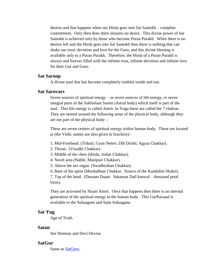desires and that happens when our Hirda goes into Sat Santokh – complete contentment. Only then does there remains no desire. This divine power of Sat Santokh is achieved only by those who become Puran Purakh. When there is no desires left and the Hirda goes into Sat Santokh then there is nothing that can shake our trust, devotion and love for the Guru, and this divine blessing is available only to a Puran Purakh. Therefore, the Hirda of a Puran Purakh is always and forever filled with the infinite trust, infinite devotion and infinite love for their Gur and Guru.

### **Sat Saroop**

A divine soul that has become completely truthful inside and out.

### **Sat Sarovars**

Seven sources of spiritual energy – or seven sources of life energy, or seven integral parts of the Sukhsham Sareer (Astral body) which itself is part of the soul. This life energy is called Amrit. In Yoga these are called the 7 chakras. They are sensed around the following areas of the physical body, although they are not part of the physical body: -

These are seven centers of spiritual energy within human body. These are located at (the Vedic names are also given in brackets):-

- 1. Mid-Forehead. (Trikuti; Gyan Netter; Dib Drisht; Agyaa Chakkar).
- 2. Throat. (Visudhi Chakkar).
- 3. Middle of the chest (Hirda; Anhat Chakkar).
- 4. Navel area (Nabhi; Manipuri Chakkar).
- 5. Above the sex organ. (Swadhisthan Chakkar).

6. Base of the spine (Mooladhaar Chakkar. Source of the Kundalini Shakti).

7. Top of the head. (Dassam Duaar. Sahansar Dall kanwal – thousand petal lotus).

They are activated by Naam Amrit. Once that happens then there is an internal generation of the spiritual energy in the human body. This GurParsaad is available to the Suhaagans and Sada Suhaagans.

#### **Sat Yug**

Age of Truth.

#### **Satan**

See Demons and Devi-Devtas.

# **SatGur**

Same as [SatGuru.](http://www.satnaam.info/index.php?option=com_content&task=view&id=1307&Itemid=55)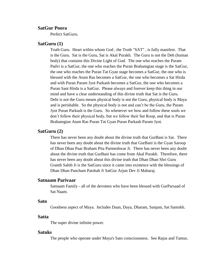# **SatGur Poora**

Perfect SatGuru.

### **SatGuru (1)**

Truth Guru. Heart within whom God , the Truth "SAT" , is fully manifest. That is the Guru. Sat is the Guru, Sat is Akal Purakh. The Guru is not the Deh (human body) that contains this Divine Light of God. The one who reaches the Param Padvi is a SatGur, the one who reaches the Puran Brahamgian stage is the SatGur, the one who reaches the Puran Tat Gyan stage becomes a SatGur, the one who is blessed with the Atum Ras becomes a SatGur, the one who becomes a Sat Hirda and with Puran Param Jyot Parkash becomes a SatGur, the one who becomes a Puran Sant Hirda is a SatGur. Please always and forever keep this thing in our mind and have a clear understanding of this divine truth that Sat is the Guru. Dehi is not the Guru means physical body is not the Guru, physical body is Maya and is perishable. So the physical body is not and can't be the Guru, the Param Jyot Puran Parkash is the Guru. So whenever we bow and follow these souls we don't follow their physical body, but we follow their Sat Roop, and that is Puran Brahamgian Atam Ras Puran Tat Gyan Puran Parkash Param Jyot.

### **SatGuru (2)**

There has never been any doubt about the divine truth that GurBani is Sat. There has never been any doubt about the divine truth that GurBani is the Gyan Saroop of Dhan Dhan Paar Braham Pita Parmeshwar Ji. There has never been any doubt about the divine truth that GurBani has come from Akal Purakh. Therefore, there has never been any doubt about this divine truth that Dhan Dhan Shri Guru Granth Sahib Ji is the SatGuru since it came into existence with the blessings of Dhan Dhan Pancham Patshah Ji SatGur Arjun Dev Ji Maharaj.

# **Satnaam Parivaar**

Satnaam Family - all of the devotees who have been blessed with GurParsaad of Sat Naam.

#### **Sato**

Goodness aspect of Maya. Includes Daan, Daya, Dharam, Sanjam, Sat Santokh.

#### **Satta**

The super divine infinite power.

#### **Satuks**

The people who operate under Maya's Sato consciousness. See Rajus and Tamus.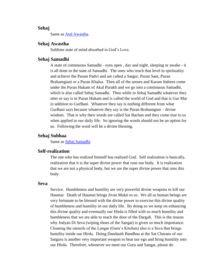# **Sehaj**

Same as [Atal Awastha.](http://www.satnaam.info/index.php?option=com_content&task=view&id=1175&Itemid=55)

## **Sehaj Awastha**

Sublime state of mind absorbed in God's Love.

### **Sehaj Samadhi**

A state of continuous Samadhi - eyes open , day and night, sleeping or awake - it is all done in the state of Samadhi. The ones who reach that level in spirituality and achieve the Param Padvi and are called a Satgur, Puran Sant, Puran Brahamgiani or a Puran Khalsa. Then all of the senses and Karam Indrees come under the Puran Hukam of Akal Purakh and we go into a continuous Samadhi, which is also called Sehaj Samadhi. Then while in Sehaj Samadhi whatever they utter or say is in Puran Hukam and is called the world of God and that is Gur Mat in addition to GurBani. Whatever they say is nothing different from what GurBani says because whatever they say is the Puran Brahamgian – divine wisdom. That is why their words are called Sat Bachan and they come true to us when applied to our daily life. So ignoring the words should not be an option for us. Following the word will be a divine blessing.

#### **Sehaj Subhaa**

Same as [Sehaj Samadhi.](http://www.satnaam.info/index.php?option=com_content&task=view&id=1301&Itemid=55)

## **Self-realization**

The one who has realized himself has realized God. Self realization is basically, realization that it is the super divine power that runs our body. It is realization that we are not a physical body, but we are the super divine power that runs this body.

#### **Seva**

Service. Humbleness and humility are very powerful divine weapons to kill our Haumai. Death of Haumai brings Jivan Mukti to us. We all as human beings are very fortunate to be blessed with the divine power to exercise this divine quality of humbleness and humility in our daily life. By doing so we keep on enhancing this divine quality and eventually our Hirda is filled with so much humility and humbleness that we are able to reach the door of the Dargah. This is the reason why Jodyan Di Seva (wiping shoes of the Sangat) is given so much importance. Cleaning the utensils of the Langar (Guru's Kitchen) also is a Seva that brings humility inside our Hirda. Doing Dandauth Bandhna at the Sat Charans of our Satguru is another very important weapon to beat our ego and bring humility into our Hirda. Therefore, whenever we meet our Guru and Sangat, please do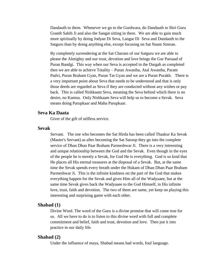Dandauth to them. Whenever we go to the Gurdwara, do Dandauth to Shri Guru Granth Sahib Ji and also the Sangat sitting in there. We are able to gain much more spiritually by doing Jodyan Di Seva, Langar Di Seva and Dandauth to the Satguru than by doing anything else, except focusing on Sat Naam Simran.

By completely surrendering at the Sat Charans of our Satguru we are able to please the Almighty and our trust, devotion and love brings the Gur Parsaad of Puran Bandgi. This way when our Seva is accepted in the Dargah as completed then we are able to achieve Totality – Puran Awastha, Atal Awastha, Param Padvi, Puran Braham Gyan, Puran Tat Gyan and we are a Puran Purakh. There is a very important point about Seva that needs to be understood and that is only those deeds are regarded as Seva if they are conducted without any wishes or pay back. This is called Nishkaam Seva, meaning the Seva behind which there is no desire, no Kamna. Only Nishkaam Seva will help us to become a Sevak. Seva means doing Parupkaar and Maha Parupkaar.

## **Seva Ka Daata**

Giver of the gift of selfless service.

#### **Sevak**

Servant. The one who becomes the Sat Hirda has been called Thaakur Ka Sevak (Master's Servant) as after becoming the Sat Saroop they go into the complete service of Dhan Dhan Paar Braham Parmeshwar Ji. There is a very interesting and unique relationship between the God and the Sevak. Even though in the eyes of the people he is merely a Sevak, for God He is everything. God is so kind that He places all His eternal treasures at the disposal of a Sevak. But, at the same time the Sevak spends every breath under the Hukam of Dhan Dhan Paar Braham Parmeshwar Ji. This is the infinite kindness on the part of the God that makes everything happen for the Sevak and gives Him all of the Wadyaaee, but at the same time Sevak gives back the Wadyaaee to the God Himself, in His infinite love, trust, faith and devotion. The two of them are same, yet keep on playing this interesting and surprising game with each other.

#### **Shabad (1)**

Divine Word. The word of the Guru is a divine promise that will come true for us. All we have to do is to listen to this divine word with full and complete commitment and belief, faith and trust, devotion and love. Then put it into practice in our daily life.

# **Shabad (2)**

Under the influence of maya, Shabad means bad words, foul language.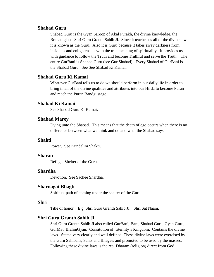# **Shabad Guru**

Shabad Guru is the Gyan Saroop of Akal Purakh, the divine knowledge, the Brahamgian - Shri Guru Granth Sahib Ji. Since it teaches us all of the divine laws it is known as the Guru. Also it is Guru because it takes away darkness from inside us and enlightens us with the true meaning of spirituality. It provides us with guidance to follow the Truth and become Truthful and serve the Truth. The entire GurBani is Shabad Guru (see Gur Shabad). Every Shabad of GurBani is the Shabad Guru. See See Shabad Ki Kamai.

# **Shabad Guru Ki Kamai**

Whatever GurBani tells us to do we should perform in our daily life in order to bring in all of the divine qualities and attributes into our Hirda to become Puran and reach the Puran Bandgi stage.

# **Shabad Ki Kamai**

See Shabad Guru Ki Kamai.

## **Shabad Marey**

Dying unto the Shabad. This means that the death of ego occurs when there is no difference between what we think and do and what the Shabad says.

#### **Shakti**

Power. See Kundalini Shakti.

# **Sharan**

Refuge. Shelter of the Guru.

# **Shardha**

Devotion. See Sachee Shardha.

## **Sharnagat Bhagti**

Spiritual path of coming under the shelter of the Guru.

# **Shri**

Title of honor. E.g. Shri Guru Granth Sahib Ji. Shri Sat Naam.

## **Shri Guru Granth Sahib Ji**

Shri Guru Granth Sahib Ji also called GurBani, Bani, Shabad Guru, Gyan Guru, GurMat, BrahmGyan. Consitution of Eternity's Kingdom. Contains the divine laws. Stated very clearly and well defined. These divine laws were exercised by the Guru Sahibans, Sants and Bhagats and promoted to be used by the masses. Following these divine laws is the real Dharam (religion) direct from God.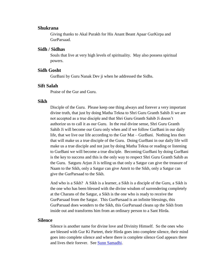### **Shukrana**

Giving thanks to Akal Purakh for His Anant Beant Apaar GurKirpa and GurParsaad.

## **Sidh / Sidhas**

Souls that live at very high levels of spirituality. May also possess spiritual powers.

## **Sidh Gosht**

GurBani by Guru Nanak Dev ji when he addressed the Sidhs.

# **Sift Salah**

Praise of the Gur and Guru.

#### **Sikh**

Disciple of the Guru. Please keep one thing always and forever a very important divine truth, that just by doing Matha Tekna to Shri Guru Granth Sahib Ji we are not accepted as a true disciple and that Shri Guru Granth Sahib Ji doesn't authorize us to call it as our Guru. In the real divine sense, Shri Guru Granth Sahib Ji will become our Guru only when and if we follow GurBani in our daily life, that we live our life according to the Gur Mat – GurBani. Nothing less then that will make us a true disciple of the Guru. Doing GurBani in our daily life will make us a true disciple and not just by doing Matha Tekna or reading or listening to GurBani we will become a true disciple. Becoming GurBani by doing GurBani is the key to success and this is the only way to respect Shri Guru Granth Sahib as the Guru. Satguru Arjun Ji is telling us that only a Satgur can give the treasure of Naam to the Sikh, only a Satgur can give Amrit to the Sikh, only a Satgur can give the GurParsaad to the Sikh.

And who is a Sikh? A Sikh is a learner, a Sikh is a disciple of the Guru, a Sikh is the one who has been blessed with the divine wisdom of surrendering completely at the Charans of the Satgur, a Sikh is the one who is ready to receive the GurParsaad from the Satgur. This GurParsaad is an infinite blessings, this GurParsaad does wonders to the Sikh, this GurParsaad cleans up the Sikh from inside out and transforms him from an ordinary person to a Sant Hirda.

#### **Silence**

Silence is another name for divine love and Divinity Himself. So the ones who are blessed with Gur Ki Parteet, their Hirda goes into complete silence, their mind goes into complete silence and where there is complete silence God appears there and lives their forever. See [Sunn Samadhi.](http://www.satnaam.info/index.php?option=com_content&task=view&id=1261&Itemid=55)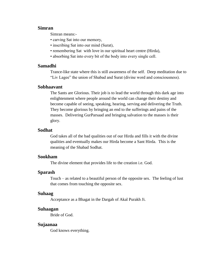## **Simran**

Simran means:-

- carving Sat into our memory,
- inscribing Sat into our mind (Surat),
- remembering Sat with love in our spiritual heart centre (Hirda),
- absorbing Sat into every bit of the body into every single cell.

# **Samadhi**

Trance-like state where this is still awareness of the self. Deep meditation due to "Liv Lagee" the union of Shabad and Surat (divine word and consciousness).

## **Sobhaavant**

The Sants are Glorious. Their job is to lead the world through this dark age into enlightenment where people around the world can change their destiny and become capable of seeing, speaking, hearing, serving and delivering the Truth. They become glorious by bringing an end to the sufferings and pains of the masses. Delivering GurParsaad and bringing salvation to the masses is their glory.

#### **Sodhat**

God takes all of the bad qualities out of our Hirda and fills it with the divine qualities and eventually makes our Hirda become a Sant Hirda. This is the meaning of the Shabad Sodhat.

# **Sookham**

The divine element that provides life to the creation i.e. God.

## **Sparash**

Touch – as related to a beautiful person of the opposite sex. The feeling of lust that comes from touching the opposite sex.

## **Suhaag**

Acceptance as a Bhagat in the Dargah of Akal Purakh Ji.

#### **Suhaagan**

Bride of God.

#### **Sujaanaa**

God knows everything.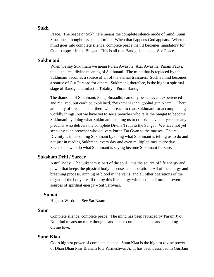#### **Sukh**

Peace. The peace or Sukh here means the complete silence mode of mind, Sunn Smaadhee, thoughtless state of mind. When that happens God appears. When the mind goes into complete silence, complete peace then it becomes mandatory for God to appear in the Bhagat. This is all that Bandgi is about. See Peace.

## **Sukhmani**

When we say Sukhmani we mean Puran Awastha, Atal Awastha, Param Padvi, this is the real divine meaning of Sukhmani. The mind that is replaced by the Sukhmani becomes a source of all of the eternal treasures. Such a mind becomes a source of Gur Parsaad for others. Sukhmani, therefore, is the highest spiritual stage of Bandgi and infact is Totality – Puran Bandgi.

The diamond of Sukhmani, Sehaj Smaadhi, can only be achieved, experienced and realized, but can't be explained, "Sukhmani sahaj gobind gun Naam." There are many of preachers out there who preach to read Sukhmani for accomplishing worldly things, but we have yet to see a preacher who tells the Sangat to become Sukhmani by doing what Sukhmani is telling us to do. We have not yet seen any preacher who delivers the complete Divine Truth to the Sangat. We have not yet seen any such preacher who delivers Puran Tat Gyan to the masses. The real Divinity is in becoming Sukhmani by doing what Sukhmani is telling us to do and not just in reading Sukhmani every day and even multiple times every day. . Such souls who do what Sukhmani is saying become Sukhmani for sure.

# **Suksham Dehi / Sareer**

Astral Body. The Suksham is part of the soul. It is the source of life energy and power that keeps the physical body in senses and operation. All of the energy and breathing process, running of blood in the veins, and all other operations of the organs of the body are all run by this life energy which comes from the seven sources of spiritual energy – Sat Sarovars.

#### **Sumat**

Highest Wisdom. See Sat Naam.

# **Sunn**

Complete silence, complete peace. The mind has been replaced by Param Jyot. No mind means no more thoughts and hence complete silence and unending divine love.

# **Sunn Klaa**

God's highest power of complete silence. Sunn Klaa is the highest divine power of Dhan Dhan Paar Braham Pita Parmeshwar Ji. It has been described in GurBani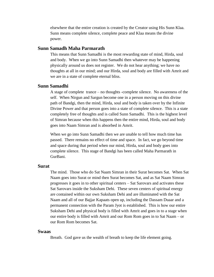elsewhere that the entire creation is created by the Creator using His Sunn Klaa. Sunn means complete silence, complete peace and Klaa means the divine power.

## **Sunn Samadh Maha Parmarath**

This means that Sunn Samadhi is the most rewarding state of mind, Hirda, soul and body. When we go into Sunn Samadhi then whatever may be happening physically around us does not register. We do not hear anything; we have no thoughts at all in our mind; and our Hirda, soul and body are filled with Amrit and we are in a state of complete eternal bliss.

#### **Sunn Samadhi**

A stage of complete trance – no thoughts -complete silence. No awareness of the self. When Nirgun and Sargun become one in a person moving on this divine path of Bandgi, then the mind, Hirda, soul and body is taken over by the Infinite Divine Power and that person goes into a state of complete silence. This is a state completely free of thoughts and is called Sunn Samadhi. This is the highest level of Simran because when this happens then the entire mind, Hirda, soul and body goes into Naam Simran and is absorbed in Amrit.

When we go into Sunn Samadhi then we are unable to tell how much time has passed. There remains no effect of time and space. In fact, we go beyond time and space during that period when our mind, Hirda, soul and body goes into complete silence. This stage of Bandgi has been called Maha Parmarath in GurBani.

## **Surat**

The mind. Those who do Sat Naam Simran in their Surat becomes Sat. When Sat Naam goes into Surat or mind then Surat becomes Sat, and as Sat Naam Simran progresses it goes in to other spiritual centers – Sat Sarovars and activates these Sat Sarovars inside the Suksham Dehi. These seven centers of spiritual energy are contained within our own Suksham Dehi and are illuminated with the Sat Naam and all of our Bajjar Kapaats open up, including the Dassam Duaar and a permanent connection with the Param Jyot is established. This is how our entire Suksham Dehi and physical body is filled with Amrit and goes in to a stage when our entire body is filled with Amrit and our Rom Rom goes in to Sat Naam – or our Rom Rom becomes Sat.

#### **Swaas**

Breath. God gave us the wealth of breath to keep the life element going.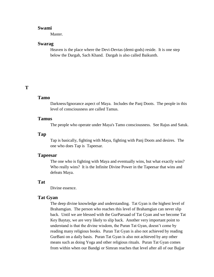### **Swami**

Master.

#### **Swarag**

Heaven is the place where the Devi-Devtas (demi-gods) reside. It is one step below the Dargah, Sach Khand. Dargah is also called Baikunth.

# **T**

### **Tamo**

Darkness/Ignorance aspect of Maya. Includes the Panj Doots. The people in this level of consciousness are called Tamus.

### **Tamus**

The people who operate under Maya's Tamo consciousness. See Rajus and Satuk.

## **Tap**

Tap is basically, fighting with Maya, fighting with Panj Doots and desires. The one who does Tap is Tapeesar.

#### **Tapeesar**

The one who is fighting with Maya and eventually wins, but what exactly wins? Who really wins? It is the Infinite Divine Power in the Tapeesar that wins and defeats Maya.

#### **Tat**

Divine essence.

#### **Tat Gyan**

The deep divine knowledge and understanding. Tat Gyan is the highest level of Brahamgian. The person who reaches this level of Brahamgian can never slip back. Until we are blessed with the GurParsaad of Tat Gyan and we become Tat Key Baytay, we are very likely to slip back. Another very important point to understand is that the divine wisdom, the Puran Tat Gyan, doesn't come by reading many religious books. Puran Tat Gyan is also not achieved by reading GurBani on a daily basis. Puran Tat Gyan is also not achieved by any other means such as doing Yoga and other religious rituals. Puran Tat Gyan comes from within when our Bandgi or Simran reaches that level after all of our Bajjar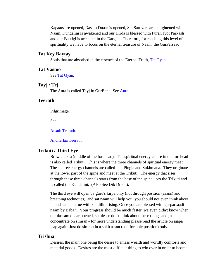Kapaats are opened, Dasam Duaar is opened, Sat Sarovars are enlightened with Naam, Kundalini is awakened and our Hirda is blessed with Puran Jyot Parkash and our Bandgi is accepted in the Dargah. Therefore, for reaching this level of spirituality we have to focus on the eternal treasure of Naam, the GurParsaad.

## **Tat Key Baytay**

Souls that are absorbed in the essence of the Eternal Truth, [Tat Gyan.](http://www.satnaam.info/index.php?option=com_content&task=view&id=1251&Itemid=55)

## **Tat Vastoo**

See [Tat Gyan.](http://www.satnaam.info/index.php?option=com_content&task=view&id=1251&Itemid=55)

## **Tayj / Tej**

The Aura is called Tayj in GurBani. See [Aura.](http://www.satnaam.info/index.php?option=com_content&task=view&id=1169&Itemid=55)

## **Teerath**

Pilgrimage.

See:

#### [Atsath Teerath.](http://www.satnaam.info/index.php?option=com_content&task=view&id=1170&Itemid=55)

[Andherlaa Teerath.](http://www.satnaam.info/index.php?option=com_content&task=view&id=1196&Itemid=55)

## **Trikuti / Third Eye**

Brow chakra (middle of the forehead). The spiritual energy centre in the forehead is also called Trikuti. This is where the three channels of spiritual energy meet. These three energy channels are called Ida, Pingla and Sukhmana. They originate at the lower part of the spine and meet at the Trikuti. The energy that rises through these three channels starts from the base of the spine upto the Trikuti and is called the Kundalini. (Also See Dib Drisht).

The third eye will open by guru's kirpa only (not through position (asans) and breathing technques), and sat naam will help you, you should not even think about it, and same is true with kundilini rising. Once you are blessed with gurparsaadi naam by Baba ji. Your progress should be much faster, we even didn't know when our dassam duaar opened, so please don't think about these things and just concentrate on simran - for more understanding please read the article on ajapa jaap again. Just do simran in a sukh assan (comfortable position) only.

## **Trishna**

Desires, the main one being the desire to amass wealth and worldly comforts and material goods. Desires are the most difficult thing to win over in order to beome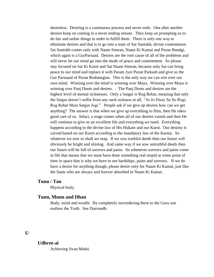desireless. Desiring is a continuous process and never ends. One after another desires keep on coming in a never ending stream. They keep on prompting us to do fair and unfair things in order to fulfill them. There is only one way to eliminate desires and that is to go into a state of Sat Santokh, divine contentment. Sat Santokh comes only with Naam Simran, Naam Ki Kamai and Puran Bandgi, which again is a GurParsaad. Desires are the root cause of all of the problems and will never let our mind go into the mode of peace and contentment. So please stay focused on Sat Ki Karni and Sat Naam Simran, because only Sat can bring peace to our mind and replace it with Param Jyot Puran Parkash and give us the Gur Parsaaad of Puran Brahamgian. This is the only way we can win over our own mind. Winning over the mind is winning over Maya. Winning over Maya is winning over Panj Doots and desires. . The Panj Doots and desires are the highest level of mental sicknesses. Only a Satgur is Rog Rehat, meaning that only the Satgur doesn't suffer from any such sickness at all, "Jo Jo Disey So So Rogi. Rog Rehat Mera Satgur Jogi." People ask if we give up desires how can we get anything? The answer is that when we give up everything to Him, then He takes good care of us. Infact, a stage comes when all of our desires vanish and then He will continue to give us an excellent life and everything we need. Everything happens according to the divine law of His Hukam and our Karni. Our destiny is carved based on our Karni according to the mandatory law of the Karma. So whatever we sow so shall we reap. If we sow truthful deeds then our future will obviously be bright and shining. And same way if we sow untruthful deeds then our future will be full of sorrows and pains. So whenever sorrows and pains come in life that means that we must have done something real stupid at some point of time in space that is why we have to see hardships, pains and sorrows. If we do have a desire for anything though, please desire only for Naam Ki Kamai, just like the Sants who are always and forever absorbed in Naam Ki Kamai.

## **Tunn / Tan**

Physical body.

## **Tunn, Munn and Dhan**

Body, mind and wealth. By completely surrendering these to the Guru one realises the Truth. See Dasvandh.

## **U**

#### **Udhree-ai**

Achieving Jivan Mukti.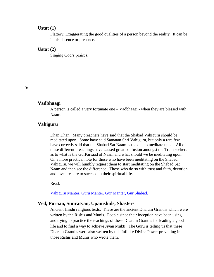### **Ustat (1)**

Flattery. Exaggerating the good qualities of a person beyond the reality. It can be in his absence or presence.

#### **Ustat (2)**

Singing God's praises.

## **V**

#### **Vadbhaagi**

A person is called a very fortunate one – Vadbhaagi - when they are blessed with Naam.

## **Vahiguru**

Dhan Dhan. Many preachers have said that the Shabad Vahiguru should be meditated upon. Some have said Satnaam Shri Vahiguru, but only a rare few have correctly said that the Shabad Sat Naam is the one to meditate upon. All of these different preachings have caused great confusion amongst the Truth seekers as to what is the GurParsaad of Naam and what should we be meditating upon. On a more practical note for those who have been meditating on the Shabad Vahiguru, we will humbly request them to start meditating on the Shabad Sat Naam and then see the difference. Those who do so with trust and faith, devotion and love are sure to succeed in their spiritual life.

Read:

[Vahiguru Manter, Guru Manter, Gur Manter, Gur Shabad.](http://www.satnaam.info/index.php?option=com_content&task=view&id=322&Itemid=21)

## **Ved, Puraan, Simratyan, Upanishids, Shasters**

Ancient Hindu religious texts. These are the ancient Dharam Granths which were written by the Rishis and Munis. People since their inception have been using and trying to practice the teachings of these Dharam Granths for leading a good life and to find a way to achieve Jivan Mukti. The Guru is telling us that these Dharam Granths were also written by this Infinite Divine Power prevailing in those Rishis and Munis who wrote them.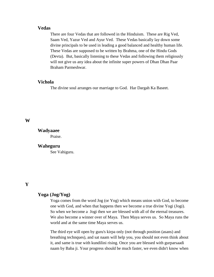## **Vedas**

There are four Vedas that are followed in the Hinduism. These are Rig Ved, Saam Ved, Yazur Ved and Ayur Ved. These Vedas basically lay down some divine principals to be used in leading a good balanced and healthy human life. These Vedas are supposed to be written by Brahma, one of the Hindu Gods (Devta). But, basically listening to these Vedas and following them religiously will not give us any idea about the infinite super powers of Dhan Dhan Paar Braham Parmeshwar.

## **Vichola**

The divine soul arranges our marriage to God. Har Dargah Ka Baseet.

### **W**

**Wadyaaee** Praise.

#### **Waheguru**

See Vahiguru.

## **Y**

# **Yoga (Jog/Yog)**

Yoga comes from the word Jog (or Yog) which means union with God, to become one with God, and when that happens then we become a true divine Yogi (Jogi). So when we become a Jogi then we are blessed with all of the eternal treasures. We also become a winner over of Maya. Then Maya serves us. So Maya runs the world and at the same time Maya serves us.

The third eye will open by guru's kirpa only (not through position (asans) and breathing technques), and sat naam will help you, you should not even think about it, and same is true with kundilini rising. Once you are blessed with gurparsaadi naam by Baba ji. Your progress should be much faster, we even didn't know when